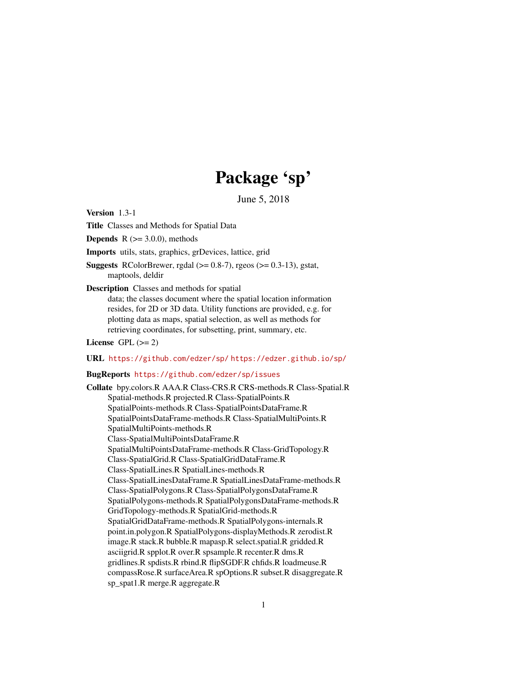# Package 'sp'

June 5, 2018

<span id="page-0-0"></span>Version 1.3-1

Title Classes and Methods for Spatial Data

**Depends** R  $(>= 3.0.0)$ , methods

Imports utils, stats, graphics, grDevices, lattice, grid

**Suggests** RColorBrewer, rgdal  $(>= 0.8-7)$ , rgeos  $(>= 0.3-13)$ , gstat, maptools, deldir

Description Classes and methods for spatial

data; the classes document where the spatial location information resides, for 2D or 3D data. Utility functions are provided, e.g. for plotting data as maps, spatial selection, as well as methods for retrieving coordinates, for subsetting, print, summary, etc.

License GPL  $(>= 2)$ 

#### URL <https://github.com/edzer/sp/> <https://edzer.github.io/sp/>

#### BugReports <https://github.com/edzer/sp/issues>

Collate bpy.colors.R AAA.R Class-CRS.R CRS-methods.R Class-Spatial.R Spatial-methods.R projected.R Class-SpatialPoints.R SpatialPoints-methods.R Class-SpatialPointsDataFrame.R SpatialPointsDataFrame-methods.R Class-SpatialMultiPoints.R SpatialMultiPoints-methods.R Class-SpatialMultiPointsDataFrame.R SpatialMultiPointsDataFrame-methods.R Class-GridTopology.R Class-SpatialGrid.R Class-SpatialGridDataFrame.R Class-SpatialLines.R SpatialLines-methods.R Class-SpatialLinesDataFrame.R SpatialLinesDataFrame-methods.R Class-SpatialPolygons.R Class-SpatialPolygonsDataFrame.R SpatialPolygons-methods.R SpatialPolygonsDataFrame-methods.R GridTopology-methods.R SpatialGrid-methods.R SpatialGridDataFrame-methods.R SpatialPolygons-internals.R point.in.polygon.R SpatialPolygons-displayMethods.R zerodist.R image.R stack.R bubble.R mapasp.R select.spatial.R gridded.R asciigrid.R spplot.R over.R spsample.R recenter.R dms.R gridlines.R spdists.R rbind.R flipSGDF.R chfids.R loadmeuse.R compassRose.R surfaceArea.R spOptions.R subset.R disaggregate.R sp\_spat1.R merge.R aggregate.R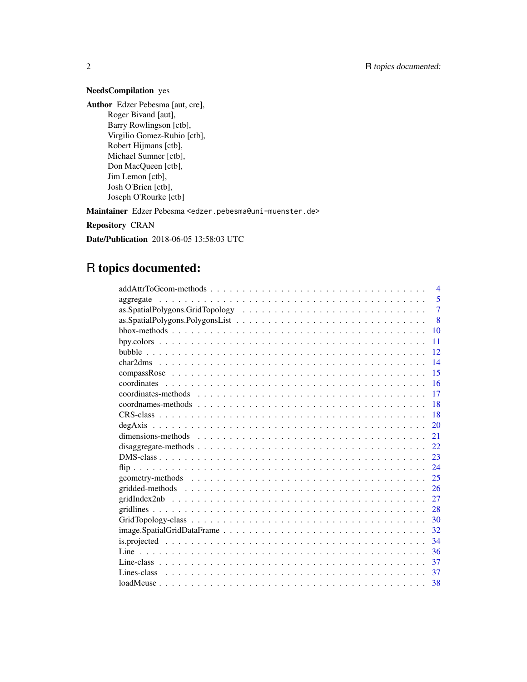# NeedsCompilation yes

Author Edzer Pebesma [aut, cre], Roger Bivand [aut], Barry Rowlingson [ctb], Virgilio Gomez-Rubio [ctb], Robert Hijmans [ctb], Michael Sumner [ctb], Don MacQueen [ctb], Jim Lemon [ctb], Josh O'Brien [ctb], Joseph O'Rourke [ctb]

Maintainer Edzer Pebesma <edzer.pebesma@uni-muenster.de>

Repository CRAN

Date/Publication 2018-06-05 13:58:03 UTC

# R topics documented:

| $\overline{4}$                                                                                                        |
|-----------------------------------------------------------------------------------------------------------------------|
| $\overline{5}$<br>aggregate                                                                                           |
| $\overline{7}$                                                                                                        |
| 8                                                                                                                     |
| 10                                                                                                                    |
| 11                                                                                                                    |
| 12                                                                                                                    |
| 14                                                                                                                    |
| 15                                                                                                                    |
| 16                                                                                                                    |
| 17                                                                                                                    |
| 18                                                                                                                    |
| 18                                                                                                                    |
| 20                                                                                                                    |
| dimensions-methods $\ldots \ldots \ldots \ldots \ldots \ldots \ldots \ldots \ldots \ldots \ldots \ldots \ldots$<br>21 |
| 22                                                                                                                    |
| 23                                                                                                                    |
| 24                                                                                                                    |
| 25                                                                                                                    |
| 26                                                                                                                    |
| 27                                                                                                                    |
| 28                                                                                                                    |
| 30                                                                                                                    |
| 32                                                                                                                    |
| 34                                                                                                                    |
| 36                                                                                                                    |
| 37                                                                                                                    |
| -37                                                                                                                   |
|                                                                                                                       |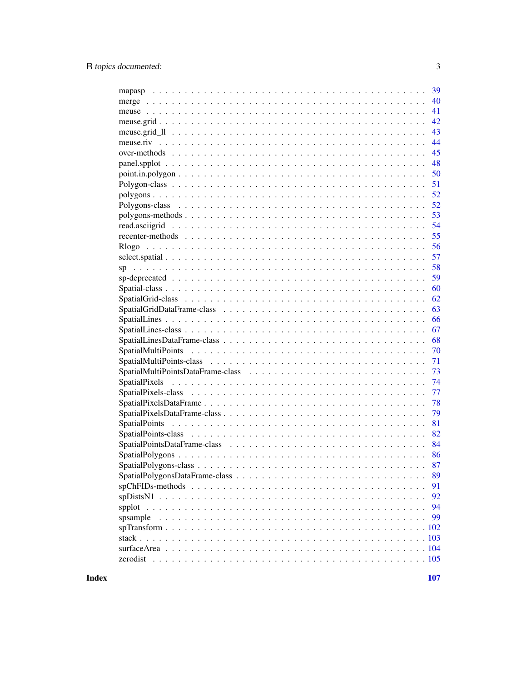|                                                                                                                    | 39 |
|--------------------------------------------------------------------------------------------------------------------|----|
|                                                                                                                    | 40 |
|                                                                                                                    | 41 |
|                                                                                                                    | 42 |
|                                                                                                                    | 43 |
|                                                                                                                    | 44 |
|                                                                                                                    | 45 |
|                                                                                                                    | 48 |
| $point.in.polygon \dots \dots \dots \dots \dots \dots \dots \dots \dots \dots \dots \dots \dots \dots \dots \dots$ | 50 |
|                                                                                                                    | 51 |
|                                                                                                                    | 52 |
|                                                                                                                    | 52 |
| $polygons-methods \dots \dots \dots \dots \dots \dots \dots \dots \dots \dots \dots \dots \dots \dots \dots$       | 53 |
|                                                                                                                    | 54 |
|                                                                                                                    | 55 |
|                                                                                                                    | 56 |
|                                                                                                                    | 57 |
|                                                                                                                    | 58 |
|                                                                                                                    | 59 |
|                                                                                                                    | 60 |
|                                                                                                                    | 62 |
|                                                                                                                    | 63 |
|                                                                                                                    | 66 |
|                                                                                                                    | 67 |
|                                                                                                                    | 68 |
|                                                                                                                    | 70 |
|                                                                                                                    | 71 |
|                                                                                                                    | 73 |
|                                                                                                                    | 74 |
|                                                                                                                    | 77 |
|                                                                                                                    | 78 |
|                                                                                                                    | 79 |
|                                                                                                                    | 81 |
|                                                                                                                    | 82 |
|                                                                                                                    | 84 |
|                                                                                                                    | 86 |
|                                                                                                                    | 87 |
|                                                                                                                    | 89 |
|                                                                                                                    | 91 |
|                                                                                                                    | 92 |
|                                                                                                                    | 94 |
|                                                                                                                    | 99 |
| spsample                                                                                                           |    |
|                                                                                                                    |    |
|                                                                                                                    |    |
|                                                                                                                    |    |
|                                                                                                                    |    |

**Index**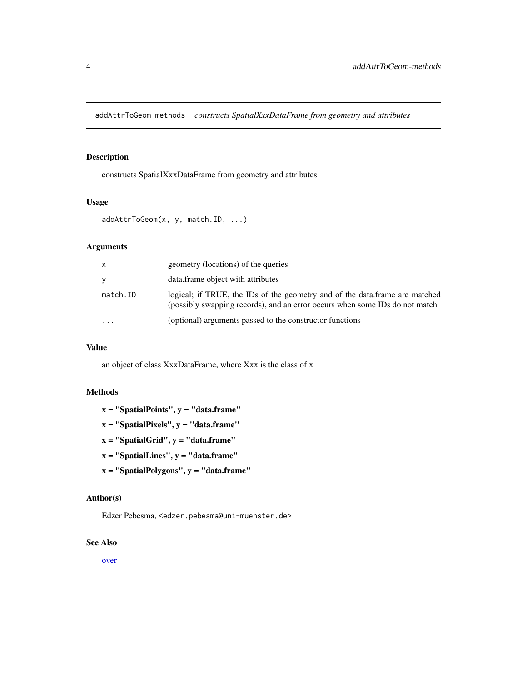<span id="page-3-0"></span>addAttrToGeom-methods *constructs SpatialXxxDataFrame from geometry and attributes*

# Description

constructs SpatialXxxDataFrame from geometry and attributes

#### Usage

```
addAttrToGeom(x, y, match.ID, ...)
```
# Arguments

| x        | geometry (locations) of the queries                                                                                                                        |
|----------|------------------------------------------------------------------------------------------------------------------------------------------------------------|
| V        | data.frame object with attributes                                                                                                                          |
| match.ID | logical; if TRUE, the IDs of the geometry and of the data.frame are matched<br>(possibly swapping records), and an error occurs when some IDs do not match |
|          | (optional) arguments passed to the constructor functions                                                                                                   |

# Value

an object of class XxxDataFrame, where Xxx is the class of x

#### Methods

 $x =$  "SpatialPoints",  $y =$  "data.frame"

- $x =$  "SpatialPixels",  $y =$  "data.frame"
- $x =$  "SpatialGrid",  $y =$  "data.frame"
- $x =$  "SpatialLines",  $y =$  "data.frame"
- $x =$  "SpatialPolygons",  $y =$  "data.frame"

#### Author(s)

Edzer Pebesma, <edzer.pebesma@uni-muenster.de>

#### See Also

[over](#page-44-1)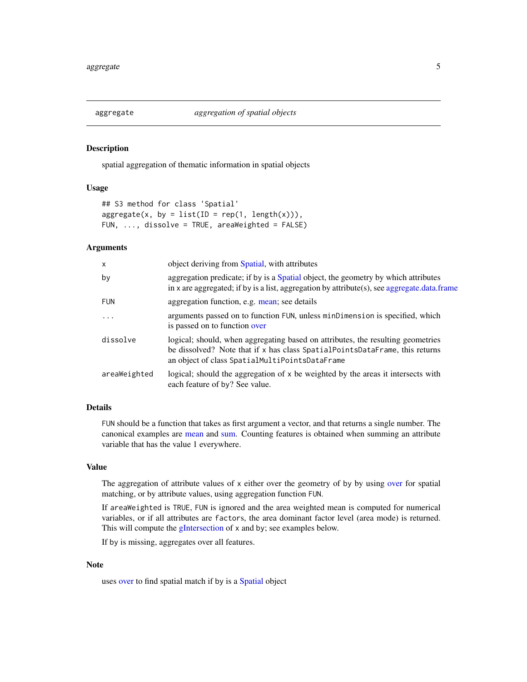<span id="page-4-0"></span>

# Description

spatial aggregation of thematic information in spatial objects

#### Usage

```
## S3 method for class 'Spatial'
aggregate(x, by = list(ID = rep(1, length(x))),FUN, ..., dissolve = TRUE, areaWeighted = FALSE)
```
#### Arguments

| X            | object deriving from Spatial, with attributes                                                                                                                                                                    |
|--------------|------------------------------------------------------------------------------------------------------------------------------------------------------------------------------------------------------------------|
| by           | aggregation predicate; if by is a Spatial object, the geometry by which attributes<br>in x are aggregated; if by is a list, aggregation by attribute(s), see aggregate.data.frame                                |
| <b>FUN</b>   | aggregation function, e.g. mean; see details                                                                                                                                                                     |
| $\ddots$ .   | arguments passed on to function FUN, unless minDimension is specified, which<br>is passed on to function over                                                                                                    |
| dissolve     | logical; should, when aggregating based on attributes, the resulting geometries<br>be dissolved? Note that if x has class SpatialPointsDataFrame, this returns<br>an object of class SpatialMultiPointsDataFrame |
| areaWeighted | logical; should the aggregation of x be weighted by the areas it intersects with<br>each feature of by? See value.                                                                                               |

# Details

FUN should be a function that takes as first argument a vector, and that returns a single number. The canonical examples are [mean](#page-0-0) and [sum.](#page-0-0) Counting features is obtained when summing an attribute variable that has the value 1 everywhere.

#### Value

The aggregation of attribute values of x either over the geometry of by by using [over](#page-44-1) for spatial matching, or by attribute values, using aggregation function FUN.

If areaWeighted is TRUE, FUN is ignored and the area weighted mean is computed for numerical variables, or if all attributes are factors, the area dominant factor level (area mode) is returned. This will compute the [gIntersection](#page-0-0) of x and by; see examples below.

If by is missing, aggregates over all features.

# Note

uses [over](#page-44-1) to find spatial match if by is a [Spatial](#page-59-1) object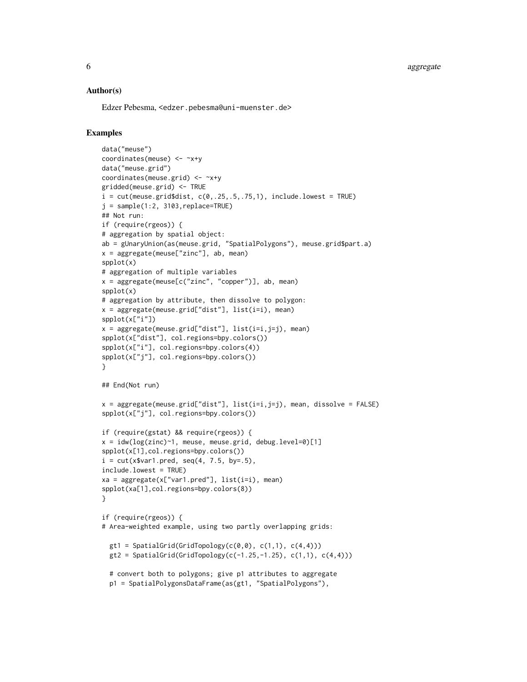6 aggregate by the control of the control of the control of the control of the control of the control of the control of the control of the control of the control of the control of the control of the control of the control

#### Author(s)

Edzer Pebesma, <edzer.pebesma@uni-muenster.de>

# Examples

```
data("meuse")
coordinates(meuse) <- ~x+y
data("meuse.grid")
coordinates(meuse.grid) <- ~x+y
gridded(meuse.grid) <- TRUE
i = cut(meuse.grid$dist, <math>c(0,.25,.5,.75,1)</math>, include.lowest = TRUE)j = sample(1:2, 3103, replace=True)## Not run:
if (require(rgeos)) {
# aggregation by spatial object:
ab = gUnaryUnion(as(meuse.grid, "SpatialPolygons"), meuse.grid$part.a)
x = aggregate(meuse["zinc"], ab, mean)
spplot(x)
# aggregation of multiple variables
x = aggregate(mouse[c("zinc", "copper"))], ab, mean)spplot(x)
# aggregation by attribute, then dissolve to polygon:
x = aggregate(meuse.grid["dist"], list(i=i), mean)
spplot(x["i"])
x = aggregate(meuse.grid["dist"], list(i=i,j=j), mean)
spplot(x["dist"], col.regions=bpy.colors())
spplot(x["i"], col.regions=bpy.colors(4))
spplot(x["j"], col.regions=bpy.colors())
}
## End(Not run)
x = aggregate(meuse.grid['dist'], list(i=i,j=j), mean, dissolve = FALSE)spplot(x["j"], col.regions=bpy.colors())
if (require(gstat) && require(rgeos)) {
x = i dw(log(zinc)^{-1}, meuse, meuse.grid, debug.level=0)[1]
spplot(x[1],col.regions=bpy.colors())
i = cut(x$var1.pred, seq(4, 7.5, by=.5),
include.lowest = TRUE)
xa = aggregate(x['var1.pred''], list(i=i), mean)spplot(xa[1],col.regions=bpy.colors(8))
}
if (require(rgeos)) {
# Area-weighted example, using two partly overlapping grids:
  gt1 = SpatialGrid(GridTopology(c(0,0), c(1,1), c(4,4)))gt2 = SpatialGrid(GridTopology(c(-1.25, -1.25), c(1,1), c(4,4)))# convert both to polygons; give p1 attributes to aggregate
  p1 = SpatialPolygonsDataFrame(as(gt1, "SpatialPolygons"),
```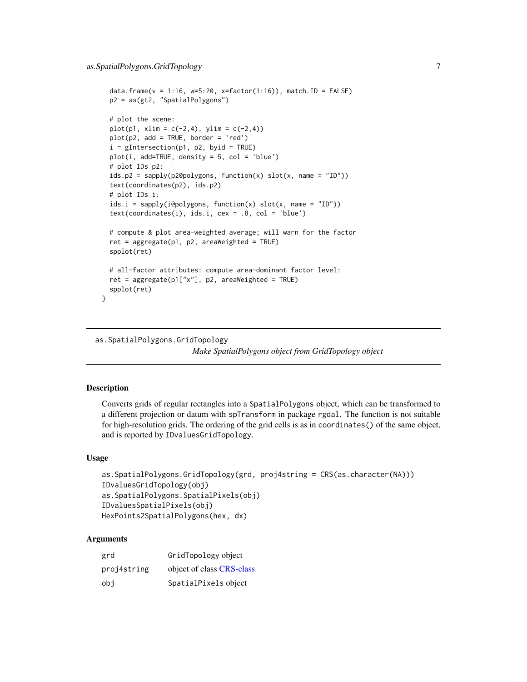```
data.frame(v = 1:16, w=5:20, x=factor(1:16)), match.ID = FALSE)
 p2 = as(gt2, "SpatialPolygons")
 # plot the scene:
 plot(p1, xlim = c(-2, 4), ylim = c(-2, 4))
 plot(p2, add = TRUE, border = 'red')
 i = gIntersection(p1, p2, byid = TRUE)
 plot(i, add=TRUE, density = 5, col = 'blue')
 # plot IDs p2:
 ids.p2 = sapply(p2@polygons, function(x) slot(x, name = "ID"))
 text(coordinates(p2), ids.p2)
 # plot IDs i:
 ids.i = sapply(i@polygons, function(x) slot(x, name = "ID"))
 text(coordinates(i), ids.i, cex = .8, col = 'blue')# compute & plot area-weighted average; will warn for the factor
 ret = aggregate(p1, p2, areaWeighted = TRUE)
 spplot(ret)
 # all-factor attributes: compute area-dominant factor level:
 ret = aggregate(p1["x"], p2, areaWeighted = TRUE)
 spplot(ret)
}
```
as.SpatialPolygons.GridTopology *Make SpatialPolygons object from GridTopology object*

# **Description**

Converts grids of regular rectangles into a SpatialPolygons object, which can be transformed to a different projection or datum with spTransform in package rgdal. The function is not suitable for high-resolution grids. The ordering of the grid cells is as in coordinates() of the same object, and is reported by IDvaluesGridTopology.

#### Usage

```
as.SpatialPolygons.GridTopology(grd, proj4string = CRS(as.character(NA)))
IDvaluesGridTopology(obj)
as.SpatialPolygons.SpatialPixels(obj)
IDvaluesSpatialPixels(obj)
HexPoints2SpatialPolygons(hex, dx)
```
#### Arguments

| grd         | GridTopology object       |
|-------------|---------------------------|
| proj4string | object of class CRS-class |
| obi         | SpatialPixels object      |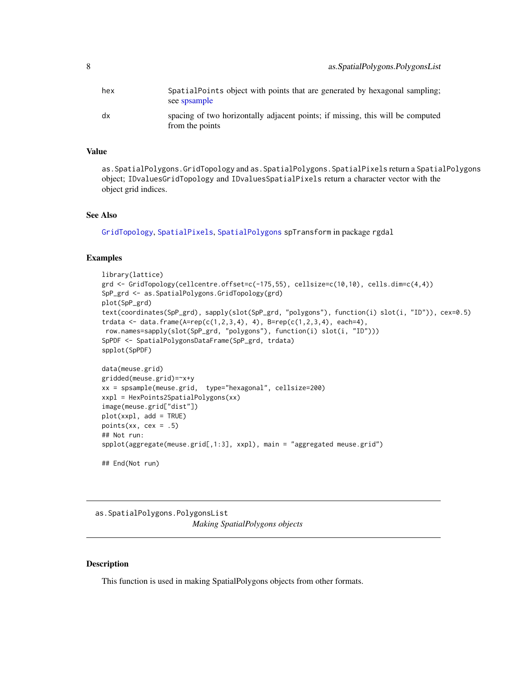<span id="page-7-0"></span>

| hex | SpatialPoints object with points that are generated by hexagonal sampling;<br>see spsample        |
|-----|---------------------------------------------------------------------------------------------------|
| dx  | spacing of two horizontally adjacent points; if missing, this will be computed<br>from the points |

# Value

as.SpatialPolygons.GridTopology and as.SpatialPolygons.SpatialPixels return a SpatialPolygons object; IDvaluesGridTopology and IDvaluesSpatialPixels return a character vector with the object grid indices.

#### See Also

[GridTopology](#page-73-1), [SpatialPixels](#page-73-2), [SpatialPolygons](#page-85-1) spTransform in package rgdal

#### Examples

```
library(lattice)
grd <- GridTopology(cellcentre.offset=c(-175,55), cellsize=c(10,10), cells.dim=c(4,4))
SpP_grd <- as.SpatialPolygons.GridTopology(grd)
plot(SpP_grd)
text(coordinates(SpP_grd), sapply(slot(SpP_grd, "polygons"), function(i) slot(i, "ID")), cex=0.5)
trdata \leq data-frame(A=rep(c(1,2,3,4), 4), B=rep(c(1,2,3,4), each=4),row.names=sapply(slot(SpP_grd, "polygons"), function(i) slot(i, "ID")))
SpPDF <- SpatialPolygonsDataFrame(SpP_grd, trdata)
spplot(SpPDF)
data(meuse.grid)
gridded(meuse.grid)=~x+y
xx = spsample(meuse.grid, type="hexagonal", cellsize=200)
xxpl = HexPoints2SpatialPolygons(xx)
image(meuse.grid["dist"])
plot(xxpl, add = TRUE)
points(xx, cex = .5)
## Not run:
spplot(aggregate(meuse.grid[,1:3], xxpl), main = "aggregated meuse.grid")
## End(Not run)
```
as.SpatialPolygons.PolygonsList *Making SpatialPolygons objects*

# Description

This function is used in making SpatialPolygons objects from other formats.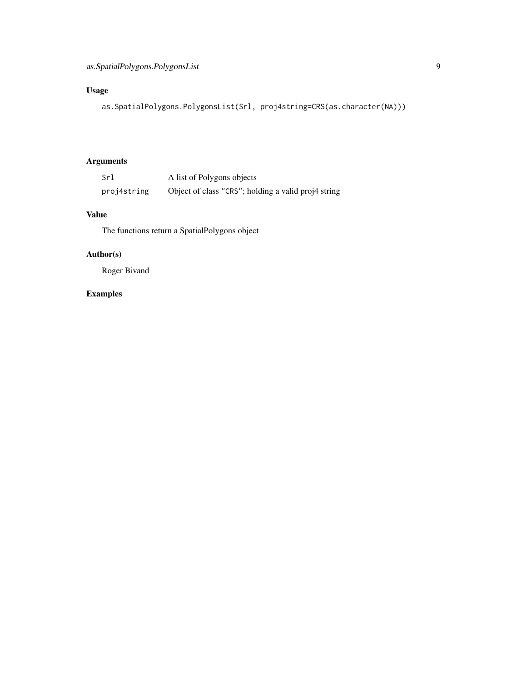# Usage

```
as.SpatialPolygons.PolygonsList(Srl, proj4string=CRS(as.character(NA)))
```
# Arguments

| Srl         | A list of Polygons objects                          |
|-------------|-----------------------------------------------------|
| proj4string | Object of class "CRS"; holding a valid proj4 string |

# Value

The functions return a SpatialPolygons object

# Author(s)

Roger Bivand

# Examples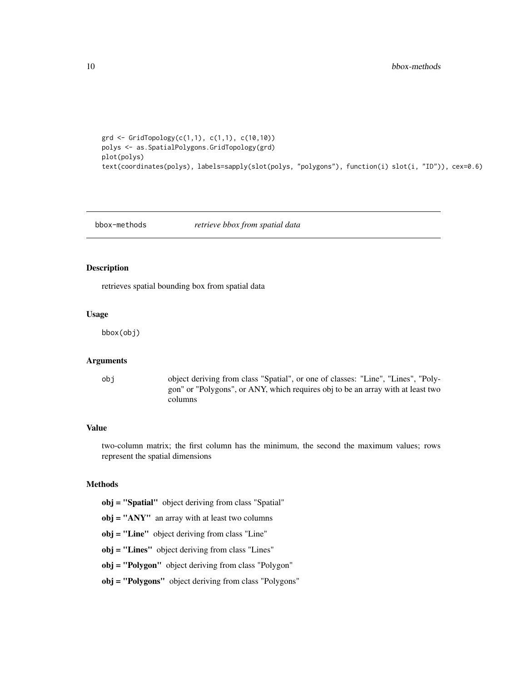```
grd <- GridTopology(c(1,1), c(1,1), c(10,10))
polys <- as.SpatialPolygons.GridTopology(grd)
plot(polys)
text(coordinates(polys), labels=sapply(slot(polys, "polygons"), function(i) slot(i, "ID")), cex=0.6)
```
#### bbox-methods *retrieve bbox from spatial data*

#### Description

retrieves spatial bounding box from spatial data

# Usage

bbox(obj)

#### Arguments

obj object deriving from class "Spatial", or one of classes: "Line", "Lines", "Polygon" or "Polygons", or ANY, which requires obj to be an array with at least two columns

#### Value

two-column matrix; the first column has the minimum, the second the maximum values; rows represent the spatial dimensions

#### Methods

obj = "Spatial" object deriving from class "Spatial"

obj = "ANY" an array with at least two columns

obj = "Line" object deriving from class "Line"

obj = "Lines" object deriving from class "Lines"

obj = "Polygon" object deriving from class "Polygon"

obj = "Polygons" object deriving from class "Polygons"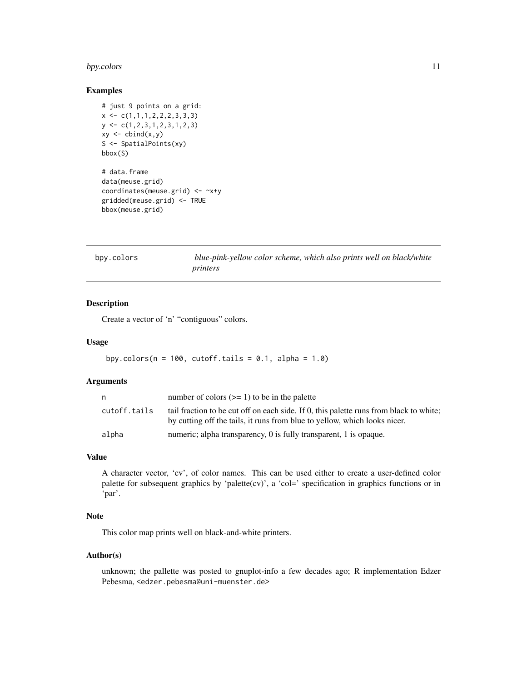# <span id="page-10-0"></span>bpy.colors 11

#### Examples

```
# just 9 points on a grid:
x \leftarrow c(1,1,1,2,2,2,3,3,3)y \leftarrow c(1, 2, 3, 1, 2, 3, 1, 2, 3)xy \leftarrow \text{cbind}(x, y)S <- SpatialPoints(xy)
bbox(S)
# data.frame
data(meuse.grid)
coordinates(meuse.grid) <- ~x+y
gridded(meuse.grid) <- TRUE
bbox(meuse.grid)
```
bpy.colors *blue-pink-yellow color scheme, which also prints well on black/white printers*

# Description

Create a vector of 'n' "contiguous" colors.

#### Usage

```
bpy.colors(n = 100, cutoff.tails = 0.1, alpha = 1.0)
```
# Arguments

| n            | number of colors $(>= 1)$ to be in the palette                                                                                                                      |
|--------------|---------------------------------------------------------------------------------------------------------------------------------------------------------------------|
| cutoff.tails | tail fraction to be cut off on each side. If 0, this palette runs from black to white;<br>by cutting off the tails, it runs from blue to yellow, which looks nicer. |
| alpha        | numeric; alpha transparency, 0 is fully transparent, 1 is opaque.                                                                                                   |

# Value

A character vector, 'cv', of color names. This can be used either to create a user-defined color palette for subsequent graphics by 'palette(cv)', a 'col=' specification in graphics functions or in 'par'.

# Note

This color map prints well on black-and-white printers.

# Author(s)

unknown; the pallette was posted to gnuplot-info a few decades ago; R implementation Edzer Pebesma, <edzer.pebesma@uni-muenster.de>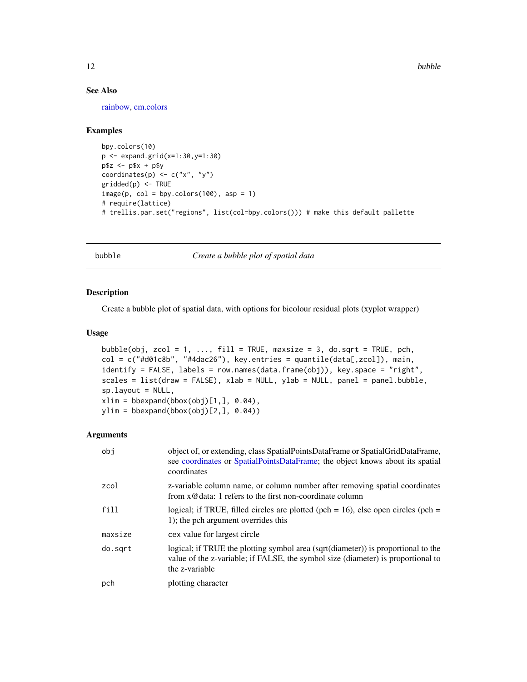#### See Also

[rainbow,](#page-0-0) [cm.colors](#page-0-0)

# Examples

```
bpy.colors(10)
p <- expand.grid(x=1:30,y=1:30)
p$z < -p$x + p$ycoordinates(p) <- c("x", "y")
gridded(p) <- TRUE
image(p, col = bpy.close(100), asp = 1)# require(lattice)
# trellis.par.set("regions", list(col=bpy.colors())) # make this default pallette
```
bubble *Create a bubble plot of spatial data*

#### Description

Create a bubble plot of spatial data, with options for bicolour residual plots (xyplot wrapper)

#### Usage

```
bubble(obj, zcol = 1, ..., fill = TRUE, maxsize = 3, do.sqrt = TRUE, pch,
col = c("#d01c8b", "#4dac26"), key.entries = quantile(data[,zcol]), main,
identify = FALSE, labels = row.names(data.frame(obj)), key.space = "right",
scales = list(draw = FALSE), xlab = NULL, ylab = NULL, panel = panel.bubble,
sp.layout = NULL,
xlim = bbexpand(bbox(obj)[1,], 0.04),
ylim = bbexpand(bbox(obj)[2,], 0.04))
```
#### Arguments

| obj     | object of, or extending, class SpatialPointsDataFrame or SpatialGridDataFrame,<br>see coordinates or SpatialPointsDataFrame; the object knows about its spatial<br>coordinates          |
|---------|-----------------------------------------------------------------------------------------------------------------------------------------------------------------------------------------|
| zcol    | z-variable column name, or column number after removing spatial coordinates<br>from x@data: 1 refers to the first non-coordinate column                                                 |
| fill    | logical; if TRUE, filled circles are plotted (pch = $16$ ), else open circles (pch =<br>1); the pch argument overrides this                                                             |
| maxsize | cex value for largest circle                                                                                                                                                            |
| do.sqrt | logical; if TRUE the plotting symbol area (sqrt(diameter)) is proportional to the<br>value of the z-variable; if FALSE, the symbol size (diameter) is proportional to<br>the z-variable |
| pch     | plotting character                                                                                                                                                                      |

<span id="page-11-0"></span>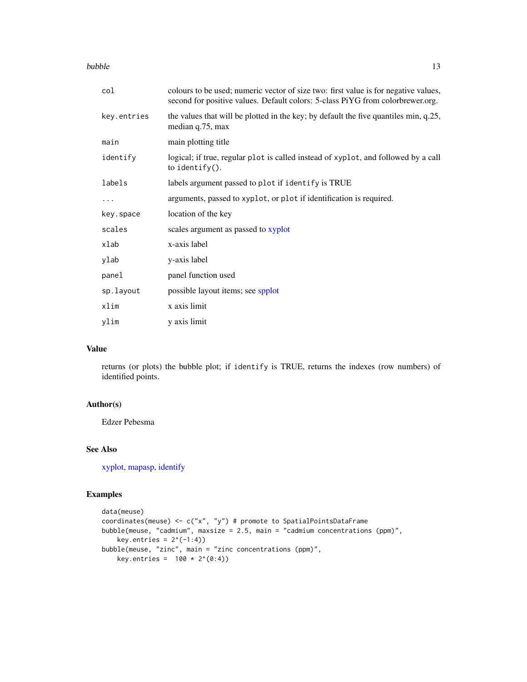bubble that the contract of the contract of the contract of the contract of the contract of the contract of the contract of the contract of the contract of the contract of the contract of the contract of the contract of th

| col         | colours to be used; numeric vector of size two: first value is for negative values,<br>second for positive values. Default colors: 5-class PiYG from colorbrewer.org. |
|-------------|-----------------------------------------------------------------------------------------------------------------------------------------------------------------------|
| key.entries | the values that will be plotted in the key; by default the five quantiles min, q.25,<br>median q.75, max                                                              |
| main        | main plotting title                                                                                                                                                   |
| identify    | logical; if true, regular plot is called instead of xyplot, and followed by a call<br>to identify $()$ .                                                              |
| labels      | labels argument passed to plot if identify is TRUE                                                                                                                    |
| .           | arguments, passed to xyplot, or plot if identification is required.                                                                                                   |
| key.space   | location of the key                                                                                                                                                   |
| scales      | scales argument as passed to xyplot                                                                                                                                   |
| xlab        | x-axis label                                                                                                                                                          |
| ylab        | y-axis label                                                                                                                                                          |
| panel       | panel function used                                                                                                                                                   |
| sp.layout   | possible layout items; see spplot                                                                                                                                     |
| xlim        | x axis limit                                                                                                                                                          |
| ylim        | y axis limit                                                                                                                                                          |

# Value

returns (or plots) the bubble plot; if identify is TRUE, returns the indexes (row numbers) of identified points.

# Author(s)

Edzer Pebesma

#### See Also

[xyplot,](#page-0-0) [mapasp,](#page-38-1) [identify](#page-0-0)

# Examples

```
data(meuse)
coordinates(meuse) <- c("x", "y") # promote to SpatialPointsDataFrame
bubble(meuse, "cadmium", maxsize = 2.5, main = "cadmium concentrations (ppm)",
    key.entries = 2^(-1:4))
bubble(meuse, "zinc", main = "zinc concentrations (ppm)",
   key.entries = 100 * 2^(0:4))
```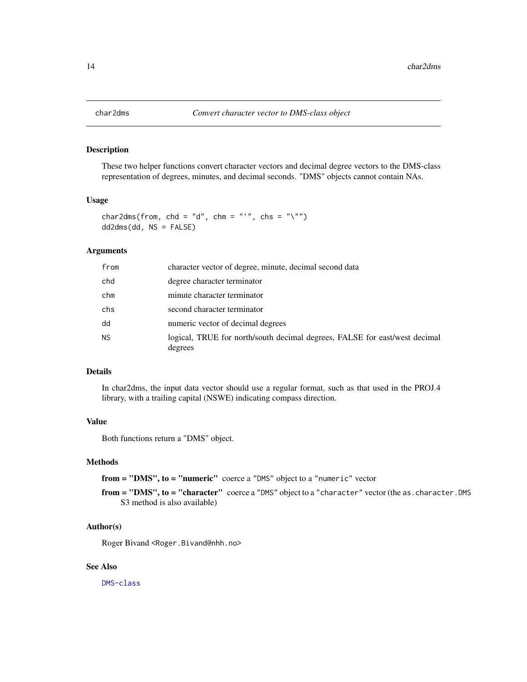<span id="page-13-1"></span><span id="page-13-0"></span>

#### <span id="page-13-2"></span>Description

These two helper functions convert character vectors and decimal degree vectors to the DMS-class representation of degrees, minutes, and decimal seconds. "DMS" objects cannot contain NAs.

#### Usage

```
char2dms(from, chd = "d", chm = "'", chs = "\"")
dd2dms(dd, NS = FALSE)
```
# Arguments

| from      | character vector of degree, minute, decimal second data                               |
|-----------|---------------------------------------------------------------------------------------|
| chd       | degree character terminator                                                           |
| chm       | minute character terminator                                                           |
| chs       | second character terminator                                                           |
| dd        | numeric vector of decimal degrees                                                     |
| <b>NS</b> | logical, TRUE for north/south decimal degrees, FALSE for east/west decimal<br>degrees |

#### Details

In char2dms, the input data vector should use a regular format, such as that used in the PROJ.4 library, with a trailing capital (NSWE) indicating compass direction.

# Value

Both functions return a "DMS" object.

# Methods

from = "DMS", to = "numeric" coerce a "DMS" object to a "numeric" vector

from = "DMS", to = "character" coerce a "DMS" object to a "character" vector (the as. character. DMS S3 method is also available)

# Author(s)

Roger Bivand <Roger.Bivand@nhh.no>

# See Also

[DMS-class](#page-22-1)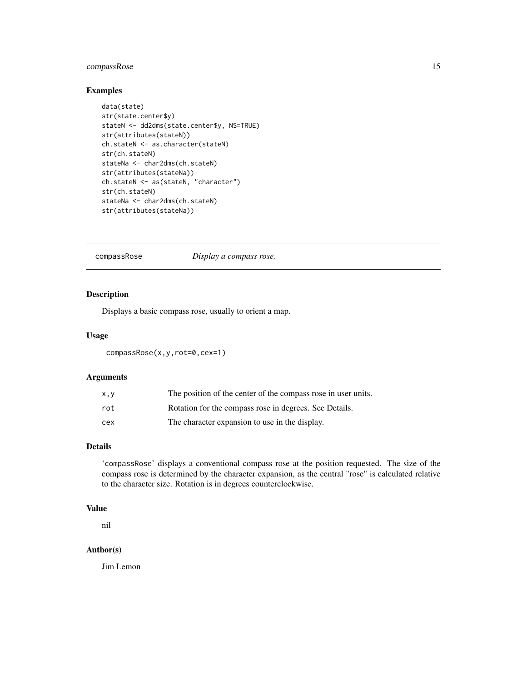# <span id="page-14-0"></span>compassRose 15

# Examples

```
data(state)
str(state.center$y)
stateN <- dd2dms(state.center$y, NS=TRUE)
str(attributes(stateN))
ch.stateN <- as.character(stateN)
str(ch.stateN)
stateNa <- char2dms(ch.stateN)
str(attributes(stateNa))
ch.stateN <- as(stateN, "character")
str(ch.stateN)
stateNa <- char2dms(ch.stateN)
str(attributes(stateNa))
```
compassRose *Display a compass rose.*

# Description

Displays a basic compass rose, usually to orient a map.

# Usage

compassRose(x,y,rot=0,cex=1)

#### Arguments

| X, V | The position of the center of the compass rose in user units. |
|------|---------------------------------------------------------------|
| rot  | Rotation for the compass rose in degrees. See Details.        |
| cex  | The character expansion to use in the display.                |

#### Details

'compassRose' displays a conventional compass rose at the position requested. The size of the compass rose is determined by the character expansion, as the central "rose" is calculated relative to the character size. Rotation is in degrees counterclockwise.

# Value

nil

# Author(s)

Jim Lemon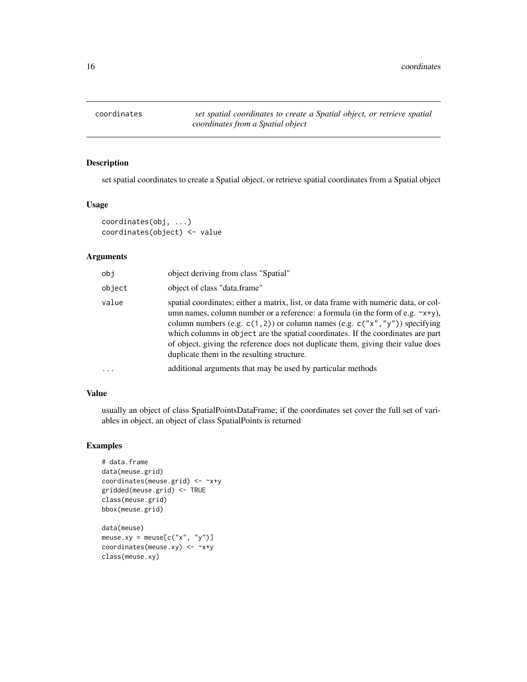<span id="page-15-1"></span><span id="page-15-0"></span>

# Description

set spatial coordinates to create a Spatial object, or retrieve spatial coordinates from a Spatial object

#### Usage

```
coordinates(obj, ...)
coordinates(object) <- value
```
# Arguments

| obj                     | object deriving from class "Spatial"                                                                                                                                                                                                                                                                                                                                                                                                                                                     |
|-------------------------|------------------------------------------------------------------------------------------------------------------------------------------------------------------------------------------------------------------------------------------------------------------------------------------------------------------------------------------------------------------------------------------------------------------------------------------------------------------------------------------|
| object                  | object of class "data.frame"                                                                                                                                                                                                                                                                                                                                                                                                                                                             |
| value                   | spatial coordinates; either a matrix, list, or data frame with numeric data, or col-<br>umn names, column number or a reference: a formula (in the form of e.g. $\sim x+y$ ),<br>column numbers (e.g. $c(1, 2)$ ) or column names (e.g. $c("x", "y")$ ) specifying<br>which columns in object are the spatial coordinates. If the coordinates are part<br>of object, giving the reference does not duplicate them, giving their value does<br>duplicate them in the resulting structure. |
| $\cdot$ $\cdot$ $\cdot$ | additional arguments that may be used by particular methods                                                                                                                                                                                                                                                                                                                                                                                                                              |

# Value

usually an object of class SpatialPointsDataFrame; if the coordinates set cover the full set of variables in object, an object of class SpatialPoints is returned

# Examples

```
# data.frame
data(meuse.grid)
coordinates(meuse.grid) <- ~x+y
gridded(meuse.grid) <- TRUE
class(meuse.grid)
bbox(meuse.grid)
data(meuse)
meuse.xy = meuse[c("x", "y")]coordinates(meuse.xy) <- ~x+y
```
class(meuse.xy)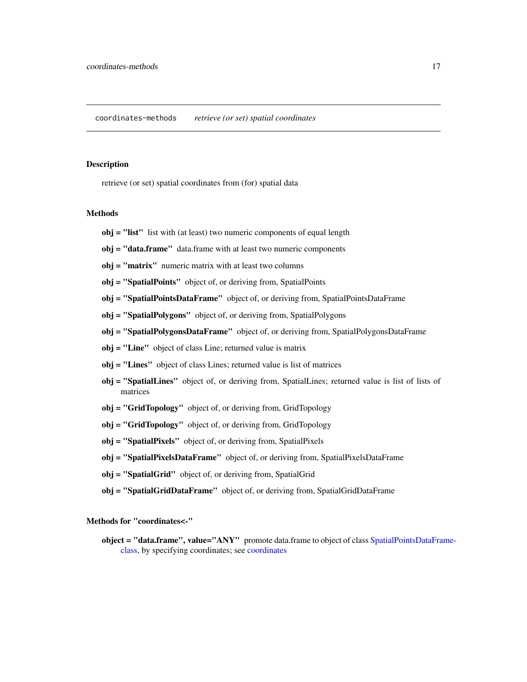#### <span id="page-16-0"></span>Description

retrieve (or set) spatial coordinates from (for) spatial data

#### Methods

- obj = "list" list with (at least) two numeric components of equal length
- obj = "data.frame" data.frame with at least two numeric components
- obj = "matrix" numeric matrix with at least two columns
- obj = "SpatialPoints" object of, or deriving from, SpatialPoints
- obj = "SpatialPointsDataFrame" object of, or deriving from, SpatialPointsDataFrame
- obj = "SpatialPolygons" object of, or deriving from, SpatialPolygons
- obj = "SpatialPolygonsDataFrame" object of, or deriving from, SpatialPolygonsDataFrame
- obj = "Line" object of class Line; returned value is matrix
- obj = "Lines" object of class Lines; returned value is list of matrices
- obj = "SpatialLines" object of, or deriving from, SpatialLines; returned value is list of lists of matrices
- obj = "GridTopology" object of, or deriving from, GridTopology
- obj = "GridTopology" object of, or deriving from, GridTopology
- obj = "SpatialPixels" object of, or deriving from, SpatialPixels
- obj = "SpatialPixelsDataFrame" object of, or deriving from, SpatialPixelsDataFrame
- obj = "SpatialGrid" object of, or deriving from, SpatialGrid
- obj = "SpatialGridDataFrame" object of, or deriving from, SpatialGridDataFrame

Methods for "coordinates<-"

object = "data.frame", value="ANY" promote data.frame to object of class [SpatialPointsDataFra](#page-83-1)me[class,](#page-83-1) by specifying coordinates; see [coordinates](#page-15-1)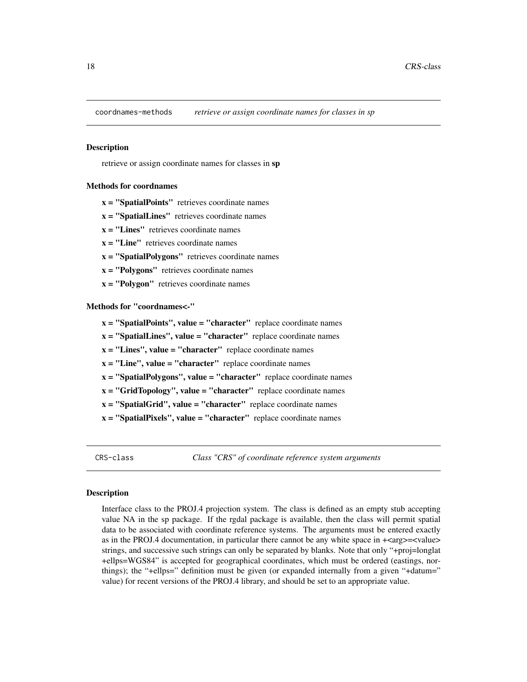<span id="page-17-0"></span>coordnames-methods *retrieve or assign coordinate names for classes in sp*

#### Description

retrieve or assign coordinate names for classes in sp

#### Methods for coordnames

 $x =$  "SpatialPoints" retrieves coordinate names

- $x =$  "SpatialLines" retrieves coordinate names
- $x = "Lines"$  retrieves coordinate names
- $x = "Line"$  retrieves coordinate names
- $x =$  "SpatialPolygons" retrieves coordinate names
- $x = "Polygons"$  retrieves coordinate names
- $x = "Polygon"$  retrieves coordinate names

Methods for "coordnames<-"

- $x =$  "SpatialPoints", value = "character" replace coordinate names
- $x =$  "SpatialLines", value = "character" replace coordinate names
- $x =$  "Lines", value = "character" replace coordinate names
- $x =$  "Line", value = "character" replace coordinate names
- $x =$  "SpatialPolygons", value = "character" replace coordinate names
- $x = "GridTopology", value = "character" replace coordinate names$
- $x =$  "SpatialGrid", value = "character" replace coordinate names
- $x =$  "SpatialPixels", value = "character" replace coordinate names

<span id="page-17-1"></span>CRS-class *Class "CRS" of coordinate reference system arguments*

#### <span id="page-17-2"></span>Description

Interface class to the PROJ.4 projection system. The class is defined as an empty stub accepting value NA in the sp package. If the rgdal package is available, then the class will permit spatial data to be associated with coordinate reference systems. The arguments must be entered exactly as in the PROJ.4 documentation, in particular there cannot be any white space in  $+\langle \text{arg}\rangle = \langle \text{value}\rangle$ strings, and successive such strings can only be separated by blanks. Note that only "+proj=longlat +ellps=WGS84" is accepted for geographical coordinates, which must be ordered (eastings, northings); the "+ellps=" definition must be given (or expanded internally from a given "+datum=" value) for recent versions of the PROJ.4 library, and should be set to an appropriate value.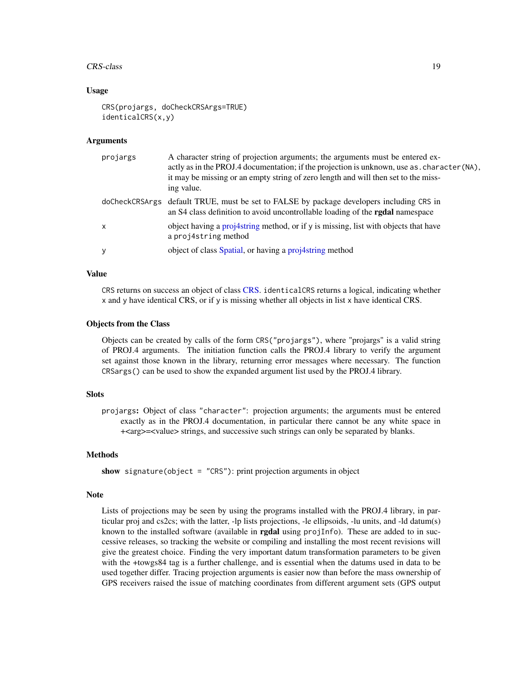#### CRS-class 19

#### Usage

```
CRS(projargs, doCheckCRSArgs=TRUE)
identicalCRS(x,y)
```
#### Arguments

| projargs     | A character string of projection arguments; the arguments must be entered ex-<br>actly as in the PROJ.4 documentation; if the projection is unknown, use as . character (NA),<br>it may be missing or an empty string of zero length and will then set to the miss-<br>ing value. |
|--------------|-----------------------------------------------------------------------------------------------------------------------------------------------------------------------------------------------------------------------------------------------------------------------------------|
|              | doCheckCRSArgs default TRUE, must be set to FALSE by package developers including CRS in<br>an S4 class definition to avoid uncontrollable loading of the <b>rgdal</b> namespace                                                                                                  |
| $\mathsf{x}$ | object having a proj4string method, or if y is missing, list with objects that have<br>a projastring method                                                                                                                                                                       |
| y            | object of class Spatial, or having a projetring method                                                                                                                                                                                                                            |

#### Value

CRS returns on success an object of class [CRS.](#page-17-2) identicalCRS returns a logical, indicating whether x and y have identical CRS, or if y is missing whether all objects in list x have identical CRS.

#### Objects from the Class

Objects can be created by calls of the form CRS("projargs"), where "projargs" is a valid string of PROJ.4 arguments. The initiation function calls the PROJ.4 library to verify the argument set against those known in the library, returning error messages where necessary. The function CRSargs() can be used to show the expanded argument list used by the PROJ.4 library.

#### Slots

projargs: Object of class "character": projection arguments; the arguments must be entered exactly as in the PROJ.4 documentation, in particular there cannot be any white space in +<arg>=<value> strings, and successive such strings can only be separated by blanks.

#### Methods

show signature(object = "CRS"): print projection arguments in object

#### **Note**

Lists of projections may be seen by using the programs installed with the PROJ.4 library, in particular proj and cs2cs; with the latter, -lp lists projections, -le ellipsoids, -lu units, and -ld datum(s) known to the installed software (available in **rgdal** using proj $I$ nfo). These are added to in successive releases, so tracking the website or compiling and installing the most recent revisions will give the greatest choice. Finding the very important datum transformation parameters to be given with the +towgs84 tag is a further challenge, and is essential when the datums used in data to be used together differ. Tracing projection arguments is easier now than before the mass ownership of GPS receivers raised the issue of matching coordinates from different argument sets (GPS output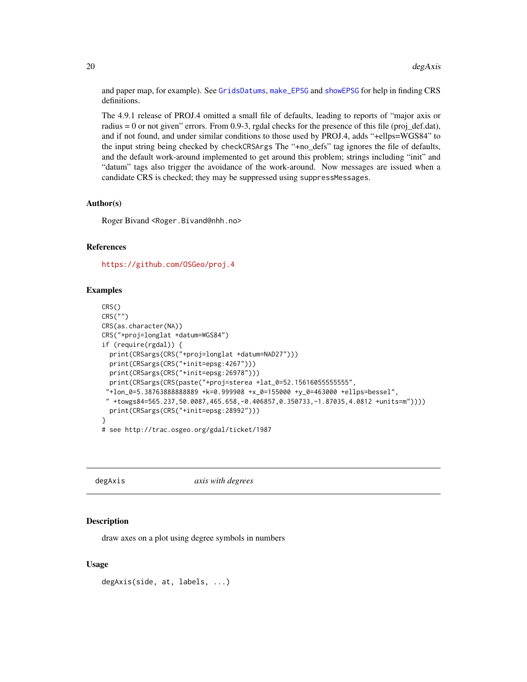and paper map, for example). See [GridsDatums](#page-0-0), [make\\_EPSG](#page-0-0) and [showEPSG](#page-0-0) for help in finding CRS definitions.

The 4.9.1 release of PROJ.4 omitted a small file of defaults, leading to reports of "major axis or radius = 0 or not given" errors. From 0.9-3, rgdal checks for the presence of this file (proj\_def.dat), and if not found, and under similar conditions to those used by PROJ.4, adds "+ellps=WGS84" to the input string being checked by checkCRSArgs The "+no\_defs" tag ignores the file of defaults, and the default work-around implemented to get around this problem; strings including "init" and "datum" tags also trigger the avoidance of the work-around. Now messages are issued when a candidate CRS is checked; they may be suppressed using suppressMessages.

#### Author(s)

Roger Bivand <Roger.Bivand@nhh.no>

#### References

<https://github.com/OSGeo/proj.4>

#### Examples

```
CRS()
CRS("")
CRS(as.character(NA))
CRS("+proj=longlat +datum=WGS84")
if (require(rgdal)) {
 print(CRSargs(CRS("+proj=longlat +datum=NAD27")))
 print(CRSargs(CRS("+init=epsg:4267")))
 print(CRSargs(CRS("+init=epsg:26978")))
 print(CRSargs(CRS(paste("+proj=sterea +lat_0=52.15616055555555",
 "+lon_0=5.38763888888889 +k=0.999908 +x_0=155000 +y_0=463000 +ellps=bessel",
 " +towgs84=565.237,50.0087,465.658,-0.406857,0.350733,-1.87035,4.0812 +units=m"))))
 print(CRSargs(CRS("+init=epsg:28992")))
}
# see http://trac.osgeo.org/gdal/ticket/1987
```
#### degAxis *axis with degrees*

#### Description

draw axes on a plot using degree symbols in numbers

#### Usage

degAxis(side, at, labels, ...)

<span id="page-19-0"></span>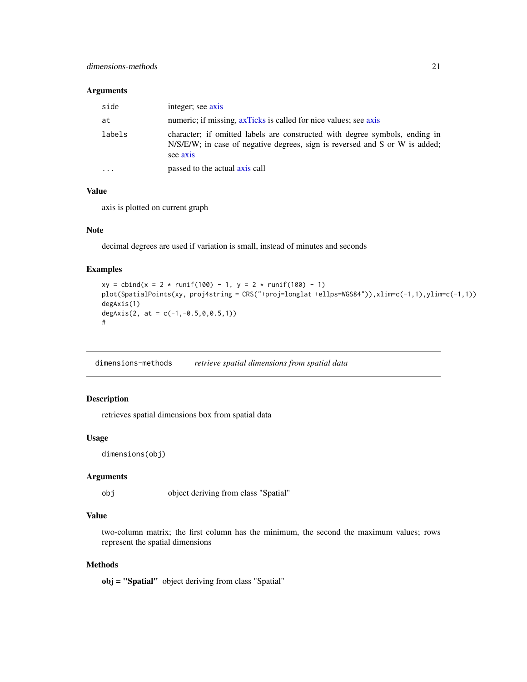#### <span id="page-20-0"></span>Arguments

| side   | integer; see axis                                                                                                                                                      |
|--------|------------------------------------------------------------------------------------------------------------------------------------------------------------------------|
| at     | numeric; if missing, axTicks is called for nice values; see axis                                                                                                       |
| labels | character; if omitted labels are constructed with degree symbols, ending in<br>N/S/E/W; in case of negative degrees, sign is reversed and S or W is added;<br>see axis |
| .      | passed to the actual axis call                                                                                                                                         |

# Value

axis is plotted on current graph

#### Note

decimal degrees are used if variation is small, instead of minutes and seconds

# Examples

```
xy = \text{cbind}(x = 2 * \text{runif}(100) - 1, y = 2 * \text{runif}(100) - 1)plot(SpatialPoints(xy, proj4string = CRS("+proj=longlat +ellps=WGS84")),xlim=c(-1,1),ylim=c(-1,1))
degAxis(1)
degAxis(2, at = c(-1, -0.5, 0, 0.5, 1))
#
```
dimensions-methods *retrieve spatial dimensions from spatial data*

# Description

retrieves spatial dimensions box from spatial data

#### Usage

```
dimensions(obj)
```
#### Arguments

obj object deriving from class "Spatial"

# Value

two-column matrix; the first column has the minimum, the second the maximum values; rows represent the spatial dimensions

# Methods

obj = "Spatial" object deriving from class "Spatial"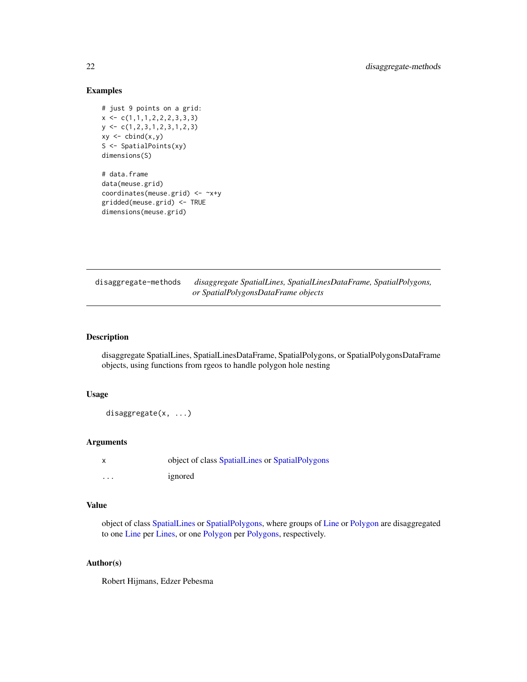# <span id="page-21-0"></span>Examples

```
# just 9 points on a grid:
x \leftarrow c(1,1,1,2,2,2,3,3,3)y <- c(1,2,3,1,2,3,1,2,3)
xy \leftarrow \text{cbind}(x, y)S <- SpatialPoints(xy)
dimensions(S)
```
# data.frame data(meuse.grid) coordinates(meuse.grid) <- ~x+y gridded(meuse.grid) <- TRUE dimensions(meuse.grid)

disaggregate-methods *disaggregate SpatialLines, SpatialLinesDataFrame, SpatialPolygons, or SpatialPolygonsDataFrame objects*

# Description

disaggregate SpatialLines, SpatialLinesDataFrame, SpatialPolygons, or SpatialPolygonsDataFrame objects, using functions from rgeos to handle polygon hole nesting

# Usage

disaggregate(x, ...)

# Arguments

|          | object of class SpatialLines or SpatialPolygons |
|----------|-------------------------------------------------|
| $\cdots$ | ignored                                         |

## Value

object of class [SpatialLines](#page-65-1) or [SpatialPolygons,](#page-85-1) where groups of [Line](#page-35-1) or [Polygon](#page-85-2) are disaggregated to one [Line](#page-35-1) per [Lines,](#page-35-2) or one [Polygon](#page-85-2) per [Polygons,](#page-85-2) respectively.

# Author(s)

Robert Hijmans, Edzer Pebesma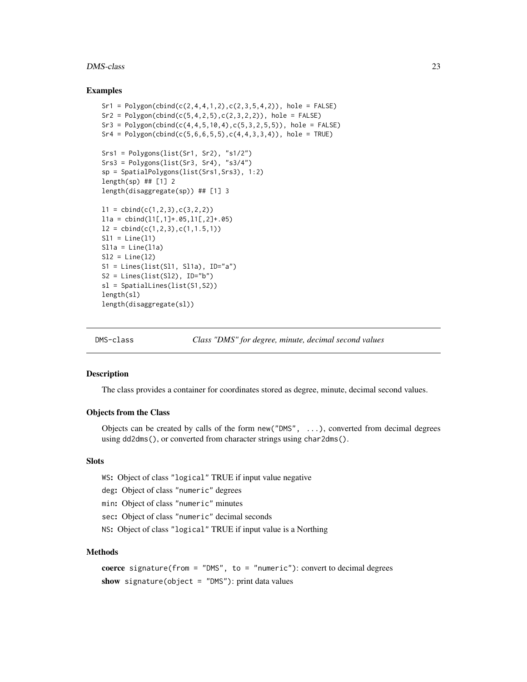#### <span id="page-22-0"></span>DMS-class 23

#### Examples

```
Sr1 = Polygon(cbind(c(2, 4, 4, 1, 2), c(2, 3, 5, 4, 2)), hole = FALSE)
Sr2 = Polygon(cbind(c(5, 4, 2, 5), c(2, 3, 2, 2)), hole = FALSE)
Sr3 = Polygon(cbind(c(4, 4, 5, 10, 4), c(5, 3, 2, 5, 5)), hole = FALSE)Sr4 = Polygon(cbind(c(5,6,6,5,5),c(4,4,3,3,4)), hole = TRUE)
Srs1 = Polygons(list(Sr1, Sr2), "s1/2")
Srs3 = Polygons(list(Sr3, Sr4), "s3/4")
sp = SpatialPolygons(list(Srs1,Srs3), 1:2)
length(sp) ## [1] 2
length(disaggregate(sp)) ## [1] 3
11 = \text{cbind}(c(1, 2, 3), c(3, 2, 2))11a = \text{cbind}(11[, 1]+0.65, 11[, 2]+0.65)l2 = \text{cbind}(c(1, 2, 3), c(1, 1.5, 1))S11 = Line(11)S11a = Line(11a)S12 = Line(12)S1 = Lines(list(S11, S11a), ID="a")S2 = Lines(list(S12), ID="b")sl = SpatialLines(list(S1,S2))
length(sl)
length(disaggregate(sl))
```
<span id="page-22-1"></span>

DMS-class *Class "DMS" for degree, minute, decimal second values*

# Description

The class provides a container for coordinates stored as degree, minute, decimal second values.

# Objects from the Class

Objects can be created by calls of the form new("DMS", ...), converted from decimal degrees using dd2dms(), or converted from character strings using char2dms().

#### Slots

WS: Object of class "logical" TRUE if input value negative

deg: Object of class "numeric" degrees

min: Object of class "numeric" minutes

sec: Object of class "numeric" decimal seconds

NS: Object of class "logical" TRUE if input value is a Northing

#### Methods

coerce signature(from = "DMS", to = "numeric"): convert to decimal degrees show signature(object = "DMS"): print data values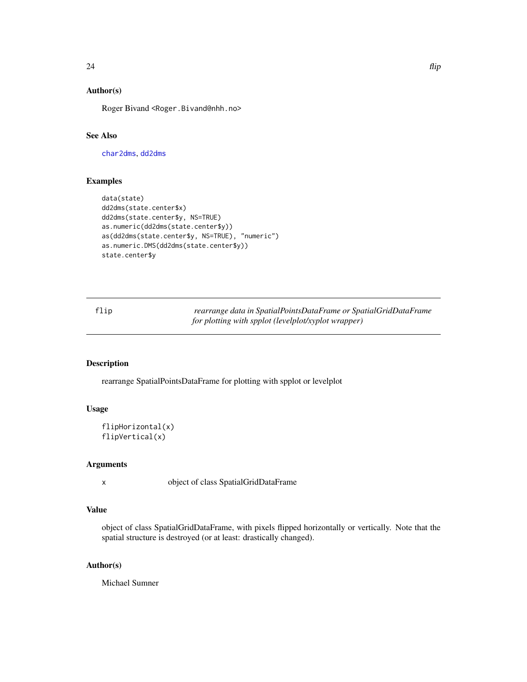# <span id="page-23-0"></span>Author(s)

Roger Bivand <Roger.Bivand@nhh.no>

#### See Also

[char2dms](#page-13-1), [dd2dms](#page-13-2)

#### Examples

```
data(state)
dd2dms(state.center$x)
dd2dms(state.center$y, NS=TRUE)
as.numeric(dd2dms(state.center$y))
as(dd2dms(state.center$y, NS=TRUE), "numeric")
as.numeric.DMS(dd2dms(state.center$y))
state.center$y
```
flip *rearrange data in SpatialPointsDataFrame or SpatialGridDataFrame for plotting with spplot (levelplot/xyplot wrapper)*

#### Description

rearrange SpatialPointsDataFrame for plotting with spplot or levelplot

# Usage

```
flipHorizontal(x)
flipVertical(x)
```
# Arguments

x object of class SpatialGridDataFrame

#### Value

object of class SpatialGridDataFrame, with pixels flipped horizontally or vertically. Note that the spatial structure is destroyed (or at least: drastically changed).

#### Author(s)

Michael Sumner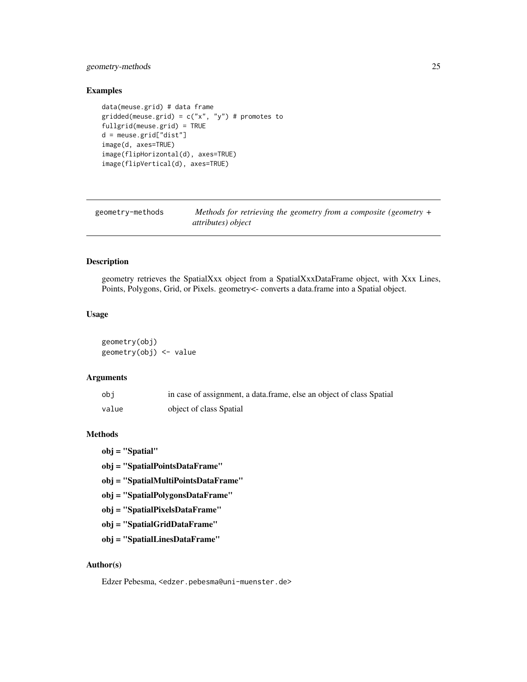# <span id="page-24-0"></span>geometry-methods 25

# Examples

```
data(meuse.grid) # data frame
gridded(meuse.grid) = c("x", "y") # promotes to
fullgrid(meuse.grid) = TRUE
d = meuse.grid["dist"]
image(d, axes=TRUE)
image(flipHorizontal(d), axes=TRUE)
image(flipVertical(d), axes=TRUE)
```

| geometry-methods | Methods for retrieving the geometry from a composite (geometry $+$ |
|------------------|--------------------------------------------------------------------|
|                  | <i>attributes</i> ) <i>object</i>                                  |

#### Description

geometry retrieves the SpatialXxx object from a SpatialXxxDataFrame object, with Xxx Lines, Points, Polygons, Grid, or Pixels. geometry<- converts a data.frame into a Spatial object.

# Usage

geometry(obj) geometry(obj) <- value

#### Arguments

| obi   | in case of assignment, a data frame, else an object of class Spatial |
|-------|----------------------------------------------------------------------|
| value | object of class Spatial                                              |

#### Methods

obj = "Spatial"

obj = "SpatialPointsDataFrame"

- obj = "SpatialMultiPointsDataFrame"
- obj = "SpatialPolygonsDataFrame"
- obj = "SpatialPixelsDataFrame"
- obj = "SpatialGridDataFrame"
- obj = "SpatialLinesDataFrame"

# Author(s)

Edzer Pebesma, <edzer.pebesma@uni-muenster.de>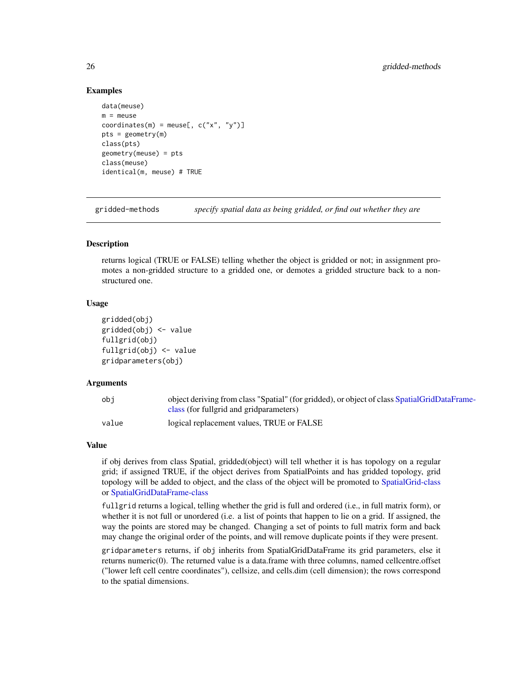#### Examples

```
data(meuse)
m = meuse
coordinates(m) = meuse[, c("x", "y")]
pts = geometry(m)class(pts)
geometry(meuse) = pts
class(meuse)
identical(m, meuse) # TRUE
```
gridded-methods *specify spatial data as being gridded, or find out whether they are*

#### **Description**

returns logical (TRUE or FALSE) telling whether the object is gridded or not; in assignment promotes a non-gridded structure to a gridded one, or demotes a gridded structure back to a nonstructured one.

#### Usage

```
gridded(obj)
gridded(obj) <- value
fullgrid(obj)
fullgrid(obj) <- value
gridparameters(obj)
```
#### Arguments

| obi   | object deriving from class "Spatial" (for gridded), or object of class SpatialGridDataFrame- |
|-------|----------------------------------------------------------------------------------------------|
|       | class (for fullgrid and gridparameters)                                                      |
| value | logical replacement values, TRUE or FALSE                                                    |

#### Value

if obj derives from class Spatial, gridded(object) will tell whether it is has topology on a regular grid; if assigned TRUE, if the object derives from SpatialPoints and has gridded topology, grid topology will be added to object, and the class of the object will be promoted to [SpatialGrid-class](#page-61-1) or [SpatialGridDataFrame-class](#page-62-1)

fullgrid returns a logical, telling whether the grid is full and ordered (i.e., in full matrix form), or whether it is not full or unordered (i.e. a list of points that happen to lie on a grid. If assigned, the way the points are stored may be changed. Changing a set of points to full matrix form and back may change the original order of the points, and will remove duplicate points if they were present.

gridparameters returns, if obj inherits from SpatialGridDataFrame its grid parameters, else it returns numeric(0). The returned value is a data.frame with three columns, named cellcentre.offset ("lower left cell centre coordinates"), cellsize, and cells.dim (cell dimension); the rows correspond to the spatial dimensions.

<span id="page-25-0"></span>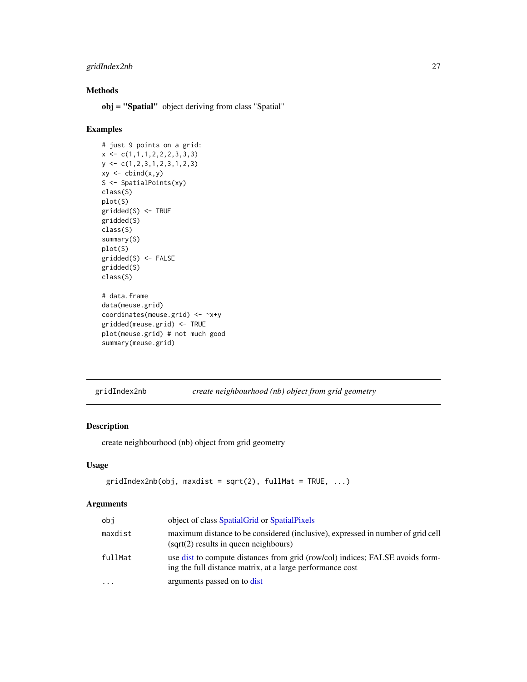# <span id="page-26-0"></span>gridIndex2nb 27

# Methods

obj = "Spatial" object deriving from class "Spatial"

# Examples

```
# just 9 points on a grid:
x \leftarrow c(1,1,1,2,2,2,3,3,3)y \leftarrow c(1, 2, 3, 1, 2, 3, 1, 2, 3)xy \leftarrow \text{cbind}(x, y)S <- SpatialPoints(xy)
class(S)
plot(S)
gridded(S) <- TRUE
gridded(S)
class(S)
summary(S)
plot(S)
gridded(S) <- FALSE
gridded(S)
class(S)
# data.frame
data(meuse.grid)
coordinates(meuse.grid) <- ~x+y
gridded(meuse.grid) <- TRUE
plot(meuse.grid) # not much good
summary(meuse.grid)
```
gridIndex2nb *create neighbourhood (nb) object from grid geometry*

# Description

create neighbourhood (nb) object from grid geometry

# Usage

```
gridIndex2nb(obj, maxdist = sqrt(2), fullMat = TRUE, ...)
```
#### Arguments

| obi       | object of class Spatial Grid or Spatial Pixels                                                                                             |
|-----------|--------------------------------------------------------------------------------------------------------------------------------------------|
| maxdist   | maximum distance to be considered (inclusive), expressed in number of grid cell<br>(sqrt(2) results in queen neighbours)                   |
| fullMat   | use dist to compute distances from grid (row/col) indices; FALSE avoids form-<br>ing the full distance matrix, at a large performance cost |
| $\ddotsc$ | arguments passed on to dist                                                                                                                |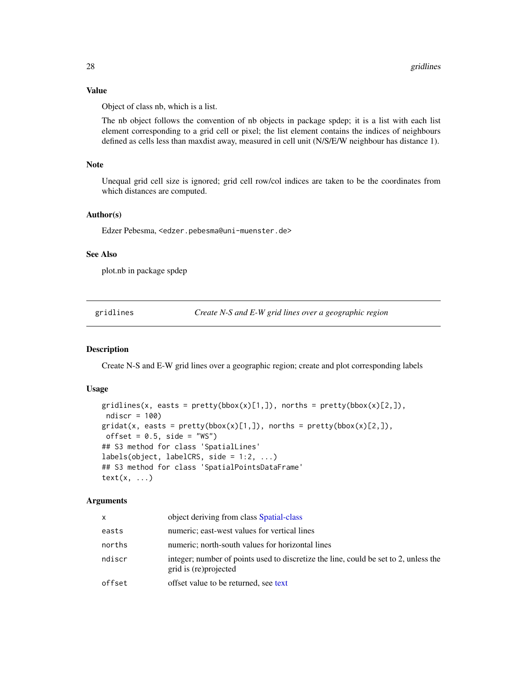# Value

Object of class nb, which is a list.

The nb object follows the convention of nb objects in package spdep; it is a list with each list element corresponding to a grid cell or pixel; the list element contains the indices of neighbours defined as cells less than maxdist away, measured in cell unit (N/S/E/W neighbour has distance 1).

#### **Note**

Unequal grid cell size is ignored; grid cell row/col indices are taken to be the coordinates from which distances are computed.

#### Author(s)

Edzer Pebesma, <edzer.pebesma@uni-muenster.de>

#### See Also

plot.nb in package spdep

gridlines *Create N-S and E-W grid lines over a geographic region*

#### <span id="page-27-1"></span>Description

Create N-S and E-W grid lines over a geographic region; create and plot corresponding labels

# Usage

```
gridlines(x, easts = pretty(bbox(x)[1,]), norths = pretty(bbox(x)[2,]),
ndiscr = 100)
gridat(x, easts = pretty(bbox(x)[1,]), norths = pretty(bbox(x)[2,]),offset = 0.5, side = "WS")
## S3 method for class 'SpatialLines'
labels(object, labelCRS, side = 1:2, ...)## S3 method for class 'SpatialPointsDataFrame'
text(x, ...)
```
#### Arguments

| x      | object deriving from class Spatial-class                                                                       |
|--------|----------------------------------------------------------------------------------------------------------------|
| easts  | numeric; east-west values for vertical lines                                                                   |
| norths | numeric; north-south values for horizontal lines                                                               |
| ndiscr | integer; number of points used to discretize the line, could be set to 2, unless the<br>grid is (re) projected |
| offset | offset value to be returned, see text                                                                          |

<span id="page-27-0"></span>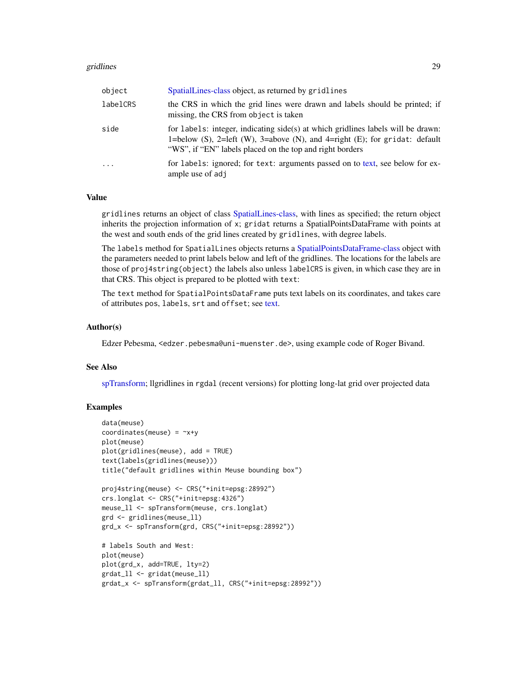#### gridlines 29

| object     | SpatialLines-class object, as returned by gridlines                                                                                                                                                                          |
|------------|------------------------------------------------------------------------------------------------------------------------------------------------------------------------------------------------------------------------------|
| labelCRS   | the CRS in which the grid lines were drawn and labels should be printed; if<br>missing, the CRS from object is taken                                                                                                         |
| side       | for labels: integer, indicating $side(s)$ at which gridlines labels will be drawn:<br>1=below (S), 2=left (W), 3=above (N), and 4=right (E); for gridat: default<br>"WS", if "EN" labels placed on the top and right borders |
| $\ddots$ . | for labels: ignored; for text: arguments passed on to text, see below for ex-<br>ample use of adj                                                                                                                            |

# Value

gridlines returns an object of class [SpatialLines-class,](#page-66-1) with lines as specified; the return object inherits the projection information of x; gridat returns a SpatialPointsDataFrame with points at the west and south ends of the grid lines created by gridlines, with degree labels.

The labels method for SpatialLines objects returns a [SpatialPointsDataFrame-class](#page-83-1) object with the parameters needed to print labels below and left of the gridlines. The locations for the labels are those of proj4string(object) the labels also unless labelCRS is given, in which case they are in that CRS. This object is prepared to be plotted with text:

The text method for SpatialPointsDataFrame puts text labels on its coordinates, and takes care of attributes pos, labels, srt and offset; see [text.](#page-27-1)

#### Author(s)

Edzer Pebesma, <edzer.pebesma@uni-muenster.de>, using example code of Roger Bivand.

#### See Also

[spTransform;](#page-101-1) llgridlines in rgdal (recent versions) for plotting long-lat grid over projected data

# Examples

```
data(meuse)
coordinates(meuse) = -x+yplot(meuse)
plot(gridlines(meuse), add = TRUE)
text(labels(gridlines(meuse)))
title("default gridlines within Meuse bounding box")
proj4string(meuse) <- CRS("+init=epsg:28992")
crs.longlat <- CRS("+init=epsg:4326")
meuse_ll <- spTransform(meuse, crs.longlat)
grd <- gridlines(meuse_ll)
grd_x <- spTransform(grd, CRS("+init=epsg:28992"))
# labels South and West:
plot(meuse)
plot(grd_x, add=TRUE, lty=2)
grdat_ll <- gridat(meuse_ll)
grdat_x <- spTransform(grdat_ll, CRS("+init=epsg:28992"))
```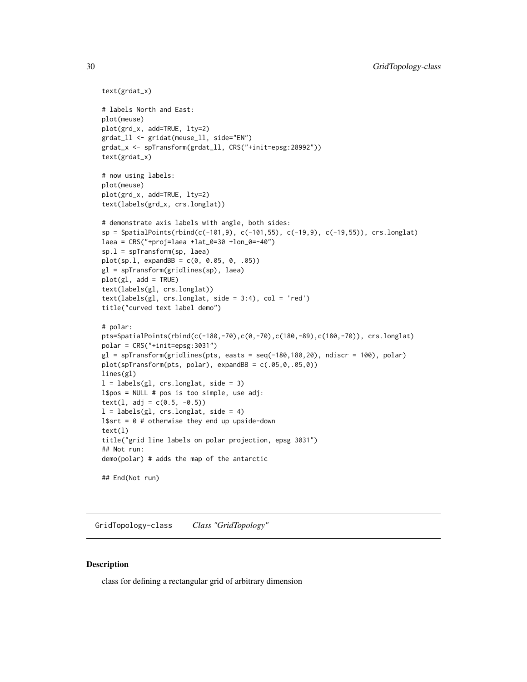```
text(grdat_x)
# labels North and East:
plot(meuse)
plot(grd_x, add=TRUE, lty=2)
grdat_ll <- gridat(meuse_ll, side="EN")
grdat_x <- spTransform(grdat_ll, CRS("+init=epsg:28992"))
text(grdat_x)
# now using labels:
plot(meuse)
plot(grd_x, add=TRUE, lty=2)
text(labels(grd_x, crs.longlat))
# demonstrate axis labels with angle, both sides:
sp = SpatialPoints(rbind(c(-101,9), c(-101,55), c(-19,9), c(-19,55)), crs.longlat)
laea = CRS("+proj=laea +lat_0=30 +lon_0=-40")
sp.l = spTransform(sp, laea)
plot(sp.l, expandBB = c(0, 0.05, 0, .05))
gl = spTransform(gridlines(sp), laea)
plot(g1, add = TRUE)text(labels(gl, crs.longlat))
text(labels(gl, crs.longlat, side = 3:4), col = 'red')
title("curved text label demo")
# polar:
pts=SpatialPoints(rbind(c(-180,-70),c(0,-70),c(180,-89),c(180,-70)), crs.longlat)
polar = CRS("+init=epsg:3031")
gl = spTransform(gridlines(pts, easts = seq(-180,180,20), ndiscr = 100), polar)
plot(spTransform(pts, polar), expandBB = c(.05,0,.05,0))
lines(gl)
l = labels(gl, crs.longlat, side = 3)l$pos = NULL # pos is too simple, use adj:
text(1, adj = c(0.5, -0.5))
l = labels(gl, crs.longlat, side = 4)l$srt = 0 # otherwise they end up upside-down
text(l)
title("grid line labels on polar projection, epsg 3031")
## Not run:
demo(polar) # adds the map of the antarctic
## End(Not run)
```
GridTopology-class *Class "GridTopology"*

# **Description**

class for defining a rectangular grid of arbitrary dimension

<span id="page-29-0"></span>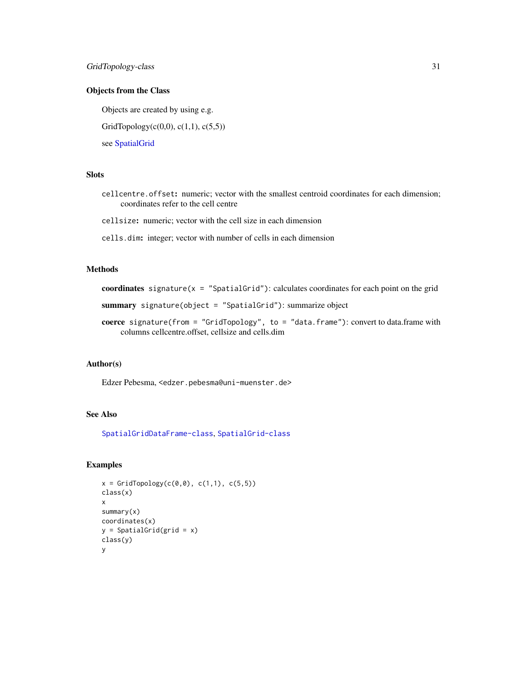# Objects from the Class

Objects are created by using e.g.

GridTopology( $c(0,0)$ ,  $c(1,1)$ ,  $c(5,5)$ )

see [SpatialGrid](#page-73-1)

# Slots

cellcentre.offset: numeric; vector with the smallest centroid coordinates for each dimension; coordinates refer to the cell centre

cellsize: numeric; vector with the cell size in each dimension

cells.dim: integer; vector with number of cells in each dimension

# Methods

coordinates signature( $x =$  "SpatialGrid"): calculates coordinates for each point on the grid

summary signature(object = "SpatialGrid"): summarize object

coerce signature(from = "GridTopology", to = "data.frame"): convert to data.frame with columns cellcentre.offset, cellsize and cells.dim

#### Author(s)

Edzer Pebesma, <edzer.pebesma@uni-muenster.de>

# See Also

[SpatialGridDataFrame-class](#page-62-1), [SpatialGrid-class](#page-61-1)

# Examples

```
x = \text{GridTopology}(c(0, 0), c(1, 1), c(5, 5))class(x)
x
summary(x)
coordinates(x)
y = SpatialGrid(grid = x)
class(y)
y
```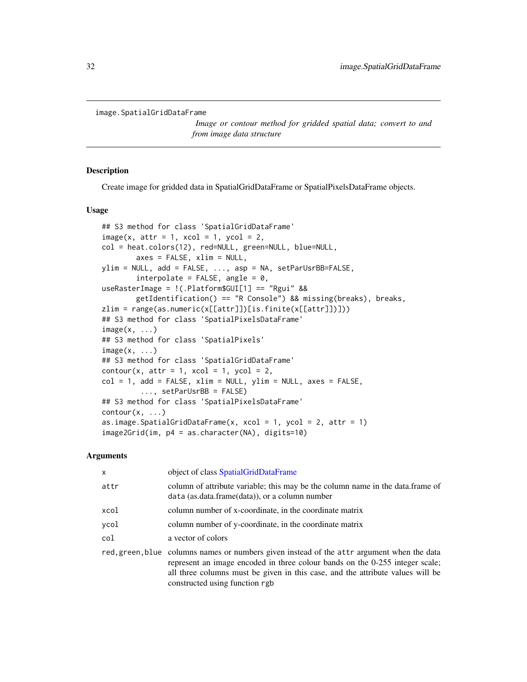```
image.SpatialGridDataFrame
```
*Image or contour method for gridded spatial data; convert to and from image data structure*

#### Description

Create image for gridded data in SpatialGridDataFrame or SpatialPixelsDataFrame objects.

#### Usage

```
## S3 method for class 'SpatialGridDataFrame'
image(x, attr = 1, xcol = 1, ycol = 2,col = heat.colors(12), red=NULL, green=NULL, blue=NULL,
        axes = FALSE, xlim = NULL,
ylim = NULL, add = FALSE, ..., asp = NA, setParUsrBB=FALSE,
        interpolate = FALSE, angle = 0,useRasterImage = !(.Platform$GUI[1] == "Rgui" &&
        getIdentification() == "R Console") && missing(breaks), breaks,
zlim = range(as.numeric(x[[attr]])[is.finite(x[[attr]])]))
## S3 method for class 'SpatialPixelsDataFrame'
image(x, \ldots)## S3 method for class 'SpatialPixels'
image(x, \ldots)## S3 method for class 'SpatialGridDataFrame'
contour(x, attr = 1, xcol = 1, ycol = 2,col = 1, add = FALSE, xlim = NULL, ylim = NULL, axes = FALSE,
         ..., setParUsrBB = FALSE)
## S3 method for class 'SpatialPixelsDataFrame'
contour(x, \ldots)as.image.SpatialGridDataFrame(x, xcol = 1, ycol = 2, attr = 1)
image2Grid(im, p4 = as.character(NA), digits=10)
```
#### Arguments

| $\mathsf{x}$ | object of class SpatialGridDataFrame                                                                                                                                                                                                                                                           |  |
|--------------|------------------------------------------------------------------------------------------------------------------------------------------------------------------------------------------------------------------------------------------------------------------------------------------------|--|
| attr         | column of attribute variable; this may be the column name in the data.frame of<br>data (as.data.frame(data)), or a column number                                                                                                                                                               |  |
| xcol         | column number of x-coordinate, in the coordinate matrix                                                                                                                                                                                                                                        |  |
| ycol         | column number of y-coordinate, in the coordinate matrix                                                                                                                                                                                                                                        |  |
| col          | a vector of colors                                                                                                                                                                                                                                                                             |  |
|              | red, green, blue columns names or numbers given instead of the attr argument when the data<br>represent an image encoded in three colour bands on the 0-255 integer scale;<br>all three columns must be given in this case, and the attribute values will be<br>constructed using function rgb |  |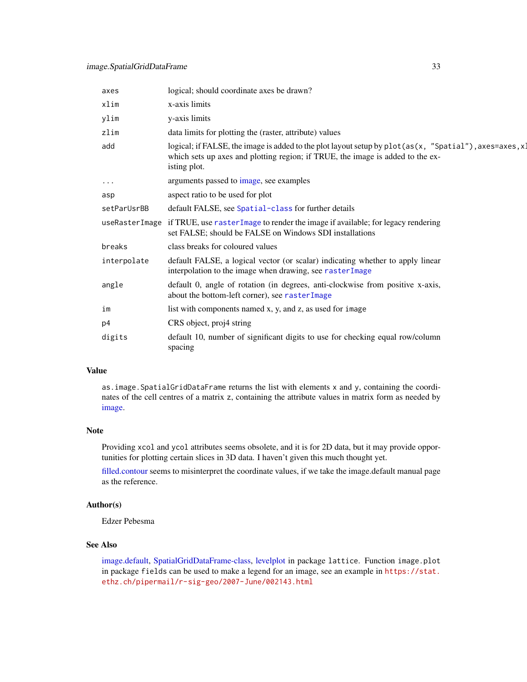| axes        | logical; should coordinate axes be drawn?                                                                                                                                                                   |
|-------------|-------------------------------------------------------------------------------------------------------------------------------------------------------------------------------------------------------------|
| xlim        | x-axis limits                                                                                                                                                                                               |
| ylim        | y-axis limits                                                                                                                                                                                               |
| zlim        | data limits for plotting the (raster, attribute) values                                                                                                                                                     |
| add         | logical; if FALSE, the image is added to the plot layout setup by $plot(as(x, "Spatial")$ , axes=axes, x1<br>which sets up axes and plotting region; if TRUE, the image is added to the ex-<br>isting plot. |
| $\cdots$    | arguments passed to image, see examples                                                                                                                                                                     |
| asp         | aspect ratio to be used for plot                                                                                                                                                                            |
| setParUsrBB | default FALSE, see Spatial-class for further details                                                                                                                                                        |
|             | useRasterImage if TRUE, use rasterImage to render the image if available; for legacy rendering<br>set FALSE; should be FALSE on Windows SDI installations                                                   |
| breaks      | class breaks for coloured values                                                                                                                                                                            |
| interpolate | default FALSE, a logical vector (or scalar) indicating whether to apply linear<br>interpolation to the image when drawing, see rasterImage                                                                  |
| angle       | default 0, angle of rotation (in degrees, anti-clockwise from positive x-axis,<br>about the bottom-left corner), see rasterImage                                                                            |
| im          | list with components named x, y, and z, as used for image                                                                                                                                                   |
| p4          | CRS object, proj4 string                                                                                                                                                                                    |
| digits      | default 10, number of significant digits to use for checking equal row/column<br>spacing                                                                                                                    |

# Value

as.image.SpatialGridDataFrame returns the list with elements x and y, containing the coordinates of the cell centres of a matrix z, containing the attribute values in matrix form as needed by [image.](#page-0-0)

#### Note

Providing xcol and ycol attributes seems obsolete, and it is for 2D data, but it may provide opportunities for plotting certain slices in 3D data. I haven't given this much thought yet.

[filled.contour](#page-0-0) seems to misinterpret the coordinate values, if we take the image.default manual page as the reference.

#### Author(s)

Edzer Pebesma

# See Also

[image.default,](#page-0-0) [SpatialGridDataFrame-class,](#page-62-1) [levelplot](#page-0-0) in package lattice. Function image.plot in package fields can be used to make a legend for an image, see an example in [https://stat.](https://stat.ethz.ch/pipermail/r-sig-geo/2007-June/002143.html) [ethz.ch/pipermail/r-sig-geo/2007-June/002143.html](https://stat.ethz.ch/pipermail/r-sig-geo/2007-June/002143.html)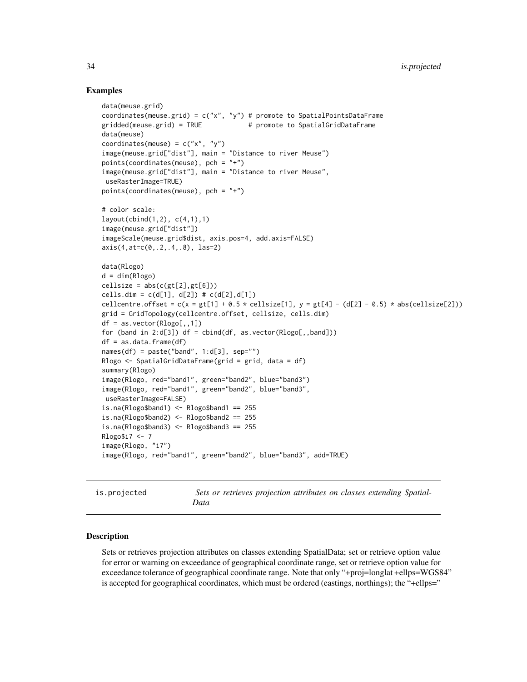#### Examples

```
data(meuse.grid)
coordinates(meuse.grid) = c("x", "y") # promote to SpatialPointsDataFrame
gridded(meuse.grid) = TRUE # promote to SpatialGridDataFrame
data(meuse)
coordinates(meuse) = c("x", "y")image(meuse.grid["dist"], main = "Distance to river Meuse")
points(coordinates(meuse), pch = "+")
image(meuse.grid["dist"], main = "Distance to river Meuse",
useRasterImage=TRUE)
points(coordinates(meuse), pch = "+")
# color scale:
layout(cbind(1,2), c(4,1),1)image(meuse.grid["dist"])
imageScale(meuse.grid$dist, axis.pos=4, add.axis=FALSE)
axis(4,at=c(0,.2,.4,.8), las=2)
data(Rlogo)
d = dim(Rlogo)cellsize = abs(c(gt[2], gt[6]))cells.dim = c(d[1], d[2]) # c(d[2], d[1])cellcentre.offset = c(x = gt[1] + 0.5 * cellsize[1], y = gt[4] - (d[2] - 0.5) * abs(cellsize[2]))grid = GridTopology(cellcentre.offset, cellsize, cells.dim)
df = as.vector(Rlogo[,,1])for (band in 2:d[3]) df = cbind(df, as.vector(Rlogo[,,band]))
df = as.data frame(df)names(df) = paste("band", 1:d[3], sep="")Rlogo \leq SpatialGridDataFrame(grid = grid, data = df)
summary(Rlogo)
image(Rlogo, red="band1", green="band2", blue="band3")
image(Rlogo, red="band1", green="band2", blue="band3",
useRasterImage=FALSE)
is.na(Rlogo$band1) <- Rlogo$band1 == 255
is.na(Rlogo$band2) <- Rlogo$band2 == 255
is.na(Rlogo$band3) <- Rlogo$band3 == 255
Rlogo$i7 <- 7
image(Rlogo, "i7")
image(Rlogo, red="band1", green="band2", blue="band3", add=TRUE)
```
is.projected *Sets or retrieves projection attributes on classes extending Spatial-Data*

#### <span id="page-33-1"></span>Description

Sets or retrieves projection attributes on classes extending SpatialData; set or retrieve option value for error or warning on exceedance of geographical coordinate range, set or retrieve option value for exceedance tolerance of geographical coordinate range. Note that only "+proj=longlat +ellps=WGS84" is accepted for geographical coordinates, which must be ordered (eastings, northings); the "+ellps="

<span id="page-33-0"></span>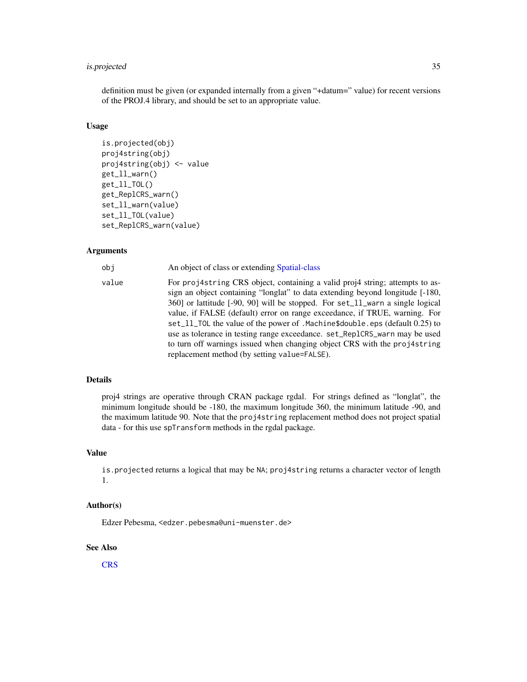# is.projected 35

definition must be given (or expanded internally from a given "+datum=" value) for recent versions of the PROJ.4 library, and should be set to an appropriate value.

#### Usage

```
is.projected(obj)
proj4string(obj)
proj4string(obj) <- value
get_ll_warn()
get_ll_TOL()
get_ReplCRS_warn()
set_ll_warn(value)
set_ll_TOL(value)
set_ReplCRS_warn(value)
```
# Arguments

| obj   | An object of class or extending Spatial-class                                                                                                                                                                                                                                                                                                                                                                                                                                                                                                                                                                         |
|-------|-----------------------------------------------------------------------------------------------------------------------------------------------------------------------------------------------------------------------------------------------------------------------------------------------------------------------------------------------------------------------------------------------------------------------------------------------------------------------------------------------------------------------------------------------------------------------------------------------------------------------|
| value | For projastring CRS object, containing a valid projastring; attempts to as-<br>sign an object containing "longlat" to data extending beyond longitude [-180,<br>360] or lattitude [-90, 90] will be stopped. For set_11_warn a single logical<br>value, if FALSE (default) error on range exceedance, if TRUE, warning. For<br>set_11_TOL the value of the power of .Machine\$double.eps (default 0.25) to<br>use as tolerance in testing range exceedance. set_Rep1CRS_warn may be used<br>to turn off warnings issued when changing object CRS with the proj4string<br>replacement method (by setting value=FALSE). |
|       |                                                                                                                                                                                                                                                                                                                                                                                                                                                                                                                                                                                                                       |

# Details

proj4 strings are operative through CRAN package rgdal. For strings defined as "longlat", the minimum longitude should be -180, the maximum longitude 360, the minimum latitude -90, and the maximum latitude 90. Note that the proj4string replacement method does not project spatial data - for this use spTransform methods in the rgdal package.

#### Value

is.projected returns a logical that may be NA; proj4string returns a character vector of length 1.

# Author(s)

Edzer Pebesma, <edzer.pebesma@uni-muenster.de>

#### See Also

[CRS](#page-17-2)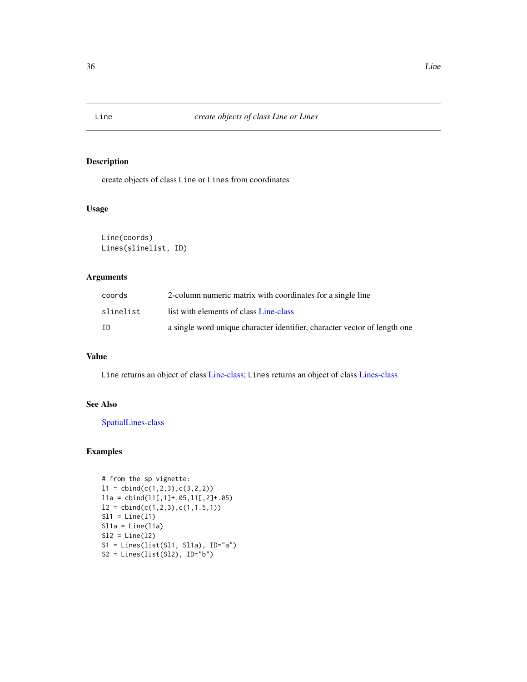<span id="page-35-1"></span><span id="page-35-0"></span>

# <span id="page-35-2"></span>Description

create objects of class Line or Lines from coordinates

# Usage

```
Line(coords)
Lines(slinelist, ID)
```
# Arguments

| coords    | 2-column numeric matrix with coordinates for a single line                |
|-----------|---------------------------------------------------------------------------|
| slinelist | list with elements of class Line-class                                    |
| ID        | a single word unique character identifier, character vector of length one |

# Value

Line returns an object of class [Line-class;](#page-36-1) Lines returns an object of class [Lines-class](#page-36-2)

# See Also

[SpatialLines-class](#page-66-1)

# Examples

```
# from the sp vignette:
11 = \text{cbind}(c(1,2,3),c(3,2,2))l1a = cbind(l1[,1]+.05,l1[,2]+.05)
12 = \text{cbind}(c(1, 2, 3), c(1, 1.5, 1))S11 = Line(11)S11a = Line(11a)S12 = Line(12)S1 = Lines(list(Sl1, Sl1a), ID="a")
S2 = Lines(list(S12), ID="b")
```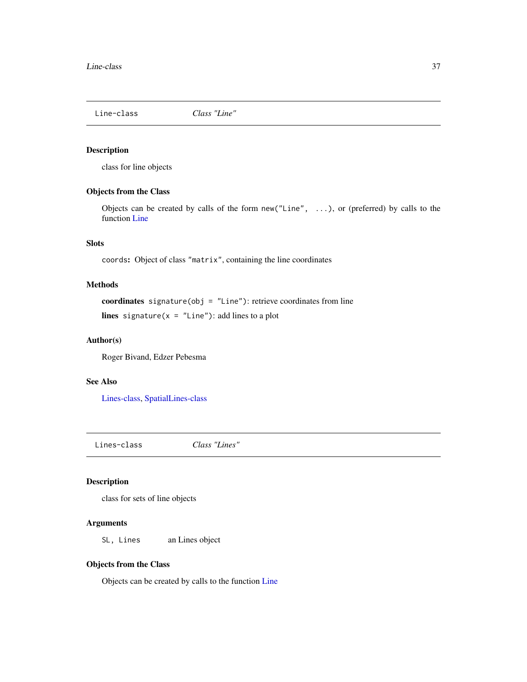<span id="page-36-1"></span>

class for line objects

# Objects from the Class

Objects can be created by calls of the form new("Line", ...), or (preferred) by calls to the function [Line](#page-35-0)

# **Slots**

coords: Object of class "matrix", containing the line coordinates

# Methods

coordinates signature(obj = "Line"): retrieve coordinates from line lines signature( $x =$  "Line"): add lines to a plot

# Author(s)

Roger Bivand, Edzer Pebesma

#### See Also

[Lines-class,](#page-36-0) [SpatialLines-class](#page-66-0)

<span id="page-36-0"></span>Lines-class *Class "Lines"*

#### Description

class for sets of line objects

#### Arguments

SL, Lines an Lines object

# Objects from the Class

Objects can be created by calls to the function [Line](#page-35-0)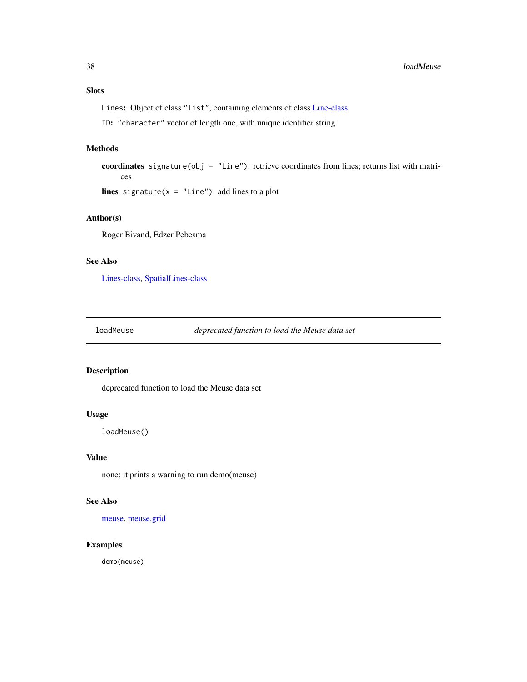# Slots

Lines: Object of class "list", containing elements of class [Line-class](#page-36-1)

ID: "character" vector of length one, with unique identifier string

## Methods

coordinates signature(obj = "Line"): retrieve coordinates from lines; returns list with matrices

lines signature( $x =$  "Line"): add lines to a plot

# Author(s)

Roger Bivand, Edzer Pebesma

# See Also

[Lines-class,](#page-36-0) [SpatialLines-class](#page-66-0)

loadMeuse *deprecated function to load the Meuse data set*

## Description

deprecated function to load the Meuse data set

# Usage

loadMeuse()

# Value

none; it prints a warning to run demo(meuse)

# See Also

[meuse,](#page-40-0) [meuse.grid](#page-41-0)

## Examples

demo(meuse)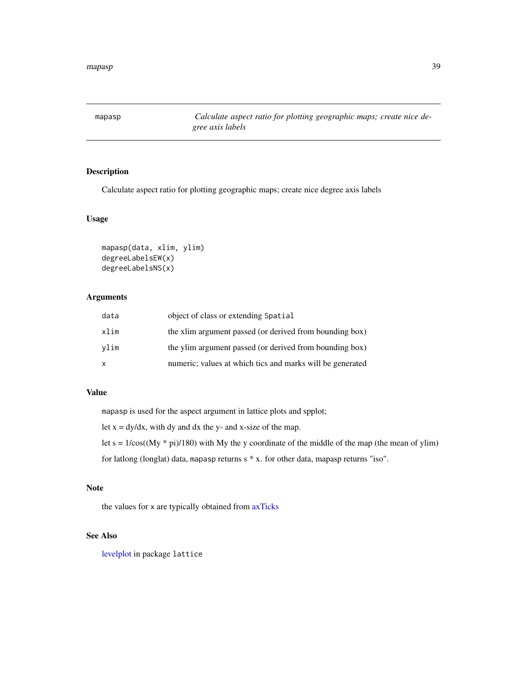mapasp *Calculate aspect ratio for plotting geographic maps; create nice degree axis labels*

# Description

Calculate aspect ratio for plotting geographic maps; create nice degree axis labels

# Usage

```
mapasp(data, xlim, ylim)
degreeLabelsEW(x)
degreeLabelsNS(x)
```
# Arguments

| data         | object of class or extending Spatial                      |
|--------------|-----------------------------------------------------------|
| xlim         | the xlim argument passed (or derived from bounding box)   |
| vlim         | the ylim argument passed (or derived from bounding box)   |
| $\mathsf{x}$ | numeric; values at which tics and marks will be generated |

# Value

mapasp is used for the aspect argument in lattice plots and spplot;

let  $x = dy/dx$ , with dy and dx the y- and x-size of the map.

let  $s = 1/\cos((My * pi)/180)$  with My the y coordinate of the middle of the map (the mean of ylim)

for latlong (longlat) data, mapasp returns s \* x. for other data, mapasp returns "iso".

# Note

the values for x are typically obtained from [axTicks](#page-0-0)

# See Also

[levelplot](#page-0-0) in package lattice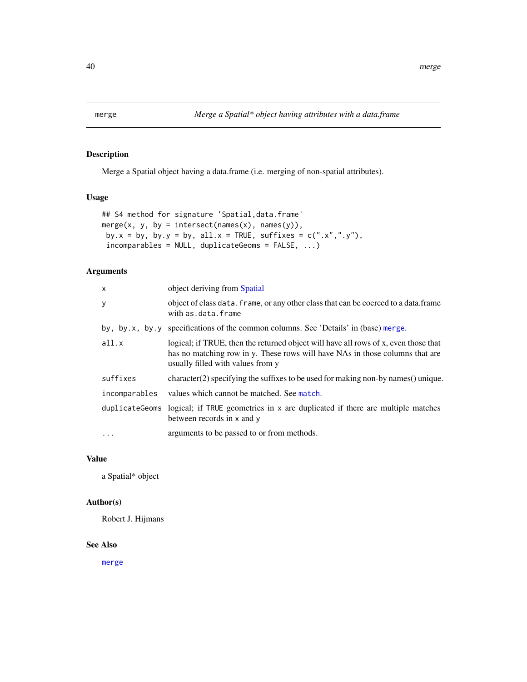<span id="page-39-0"></span>

Merge a Spatial object having a data.frame (i.e. merging of non-spatial attributes).

## Usage

```
## S4 method for signature 'Spatial,data.frame'
merge(x, y, by = intersect(names(x), names(y)),
by.x = by, by.y = by, all.x = TRUE, suffixes = c(".x",".y"),
incomparables = NULL, duplicateGeoms = FALSE, ...)
```
# Arguments

| X             | object deriving from Spatial                                                                                                                                                                             |
|---------------|----------------------------------------------------------------------------------------------------------------------------------------------------------------------------------------------------------|
| У             | object of class data. frame, or any other class that can be coerced to a data. frame<br>with as data frame                                                                                               |
|               | by, by.x, by.y specifications of the common columns. See 'Details' in (base) merge.                                                                                                                      |
| all.x         | logical; if TRUE, then the returned object will have all rows of x, even those that<br>has no matching row in y. These rows will have NAs in those columns that are<br>usually filled with values from y |
| suffixes      | $character(2)$ specifying the suffixes to be used for making non-by names $()$ unique.                                                                                                                   |
| incomparables | values which cannot be matched. See match.                                                                                                                                                               |
|               | duplicate Geoms logical; if TRUE geometries in x are duplicated if there are multiple matches<br>between records in x and y                                                                              |
| $\ddots$      | arguments to be passed to or from methods.                                                                                                                                                               |

## Value

a Spatial\* object

## Author(s)

Robert J. Hijmans

## See Also

[merge](#page-39-0)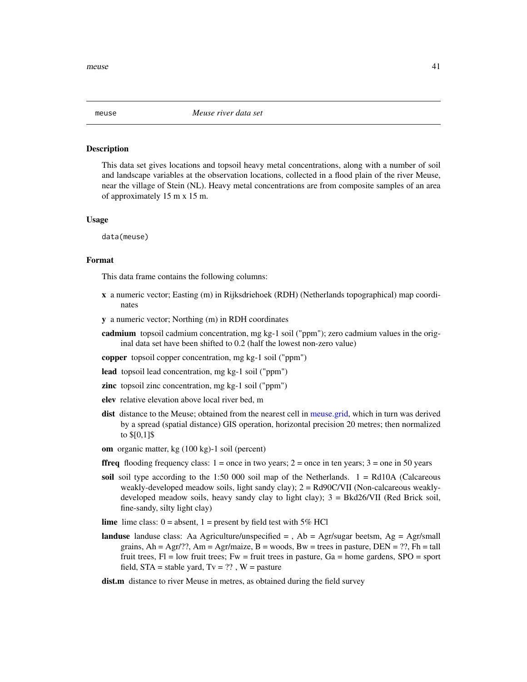<span id="page-40-0"></span>meuse *Meuse river data set*

#### **Description**

This data set gives locations and topsoil heavy metal concentrations, along with a number of soil and landscape variables at the observation locations, collected in a flood plain of the river Meuse, near the village of Stein (NL). Heavy metal concentrations are from composite samples of an area of approximately 15 m x 15 m.

#### Usage

data(meuse)

# Format

This data frame contains the following columns:

- x a numeric vector; Easting (m) in Rijksdriehoek (RDH) (Netherlands topographical) map coordinates
- y a numeric vector; Northing (m) in RDH coordinates
- cadmium topsoil cadmium concentration, mg kg-1 soil ("ppm"); zero cadmium values in the original data set have been shifted to 0.2 (half the lowest non-zero value)
- copper topsoil copper concentration, mg kg-1 soil ("ppm")
- lead topsoil lead concentration, mg kg-1 soil ("ppm")
- zinc topsoil zinc concentration, mg kg-1 soil ("ppm")
- elev relative elevation above local river bed, m
- dist distance to the Meuse; obtained from the nearest cell in [meuse.grid,](#page-41-0) which in turn was derived by a spread (spatial distance) GIS operation, horizontal precision 20 metres; then normalized to \$[0,1]\$
- om organic matter, kg (100 kg)-1 soil (percent)
- **ffreq** flooding frequency class:  $1 =$  once in two years;  $2 =$  once in ten years;  $3 =$  one in 50 years
- soil soil type according to the 1:50 000 soil map of the Netherlands.  $1 = \text{Rd10A}$  (Calcareous weakly-developed meadow soils, light sandy clay); 2 = Rd90C/VII (Non-calcareous weaklydeveloped meadow soils, heavy sandy clay to light clay); 3 = Bkd26/VII (Red Brick soil, fine-sandy, silty light clay)
- **lime** lime class:  $0 =$  absent,  $1 =$  present by field test with 5% HCl
- **landuse** landuse class: Aa Agriculture/unspecified  $=$  , Ab  $=$  Agr/sugar beetsm, Ag  $=$  Agr/small grains,  $Ah = Agr/??$ ,  $Am = Agr/maize$ ,  $B =$  woods,  $Bw =$  trees in pasture,  $DEN = ?$ ?,  $Fh =$  tall fruit trees,  $Fl = low$  fruit trees;  $Fw = fruit$  trees in pasture,  $Ga = home$  gardens,  $SPO = sport$ field,  $STA = stable$  yard,  $Tv = ?$ ?,  $W =$  pasture
- dist.m distance to river Meuse in metres, as obtained during the field survey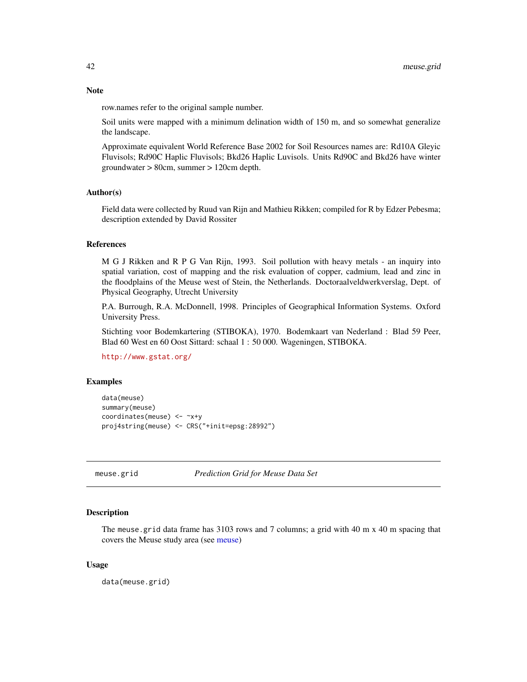row.names refer to the original sample number.

Soil units were mapped with a minimum delination width of 150 m, and so somewhat generalize the landscape.

Approximate equivalent World Reference Base 2002 for Soil Resources names are: Rd10A Gleyic Fluvisols; Rd90C Haplic Fluvisols; Bkd26 Haplic Luvisols. Units Rd90C and Bkd26 have winter groundwater > 80cm, summer > 120cm depth.

### Author(s)

Field data were collected by Ruud van Rijn and Mathieu Rikken; compiled for R by Edzer Pebesma; description extended by David Rossiter

#### References

M G J Rikken and R P G Van Rijn, 1993. Soil pollution with heavy metals - an inquiry into spatial variation, cost of mapping and the risk evaluation of copper, cadmium, lead and zinc in the floodplains of the Meuse west of Stein, the Netherlands. Doctoraalveldwerkverslag, Dept. of Physical Geography, Utrecht University

P.A. Burrough, R.A. McDonnell, 1998. Principles of Geographical Information Systems. Oxford University Press.

Stichting voor Bodemkartering (STIBOKA), 1970. Bodemkaart van Nederland : Blad 59 Peer, Blad 60 West en 60 Oost Sittard: schaal 1 : 50 000. Wageningen, STIBOKA.

<http://www.gstat.org/>

# Examples

```
data(meuse)
summary(meuse)
coordinates(meuse) <- ~x+y
proj4string(meuse) <- CRS("+init=epsg:28992")
```
<span id="page-41-0"></span>meuse.grid *Prediction Grid for Meuse Data Set*

# **Description**

The meuse grid data frame has 3103 rows and 7 columns; a grid with 40 m x 40 m spacing that covers the Meuse study area (see [meuse\)](#page-40-0)

### Usage

data(meuse.grid)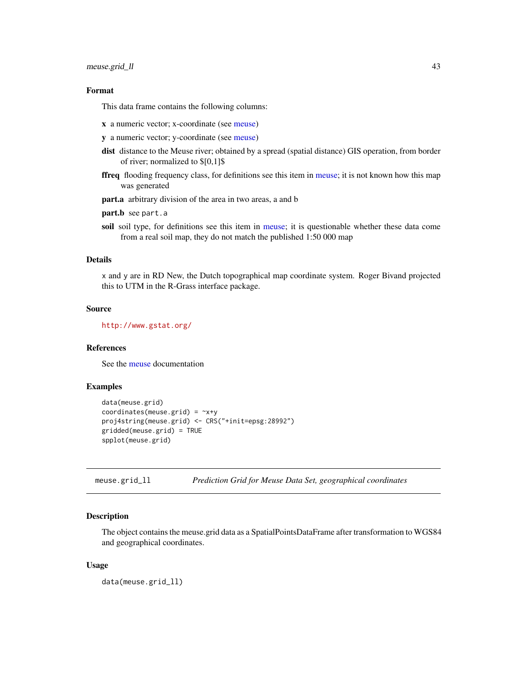# meuse.grid\_ll 43

# Format

This data frame contains the following columns:

- x a numeric vector; x-coordinate (see [meuse\)](#page-40-0)
- y a numeric vector; y-coordinate (see [meuse\)](#page-40-0)
- dist distance to the Meuse river; obtained by a spread (spatial distance) GIS operation, from border of river; normalized to \$[0,1]\$
- ffreq flooding frequency class, for definitions see this item in [meuse;](#page-40-0) it is not known how this map was generated
- part.a arbitrary division of the area in two areas, a and b
- part.b see part.a
- soil soil type, for definitions see this item in [meuse;](#page-40-0) it is questionable whether these data come from a real soil map, they do not match the published 1:50 000 map

# Details

x and y are in RD New, the Dutch topographical map coordinate system. Roger Bivand projected this to UTM in the R-Grass interface package.

#### Source

<http://www.gstat.org/>

#### References

See the [meuse](#page-40-0) documentation

## Examples

```
data(meuse.grid)
coordinates(meuse.grid) = -x+yproj4string(meuse.grid) <- CRS("+init=epsg:28992")
gridded(meuse.grid) = TRUE
spplot(meuse.grid)
```
meuse.grid\_ll *Prediction Grid for Meuse Data Set, geographical coordinates*

## Description

The object contains the meuse.grid data as a SpatialPointsDataFrame after transformation to WGS84 and geographical coordinates.

#### Usage

data(meuse.grid\_ll)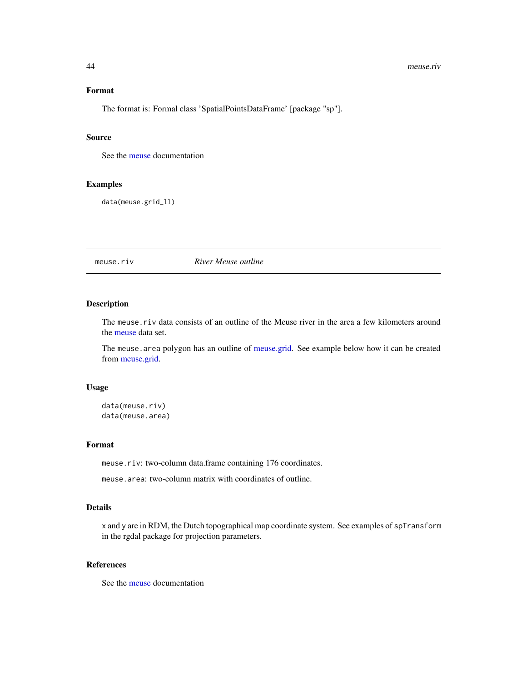#### 44 meuse.riv

## Format

The format is: Formal class 'SpatialPointsDataFrame' [package "sp"].

## Source

See the [meuse](#page-40-0) documentation

# Examples

data(meuse.grid\_ll)

meuse.riv *River Meuse outline*

## Description

The meuse.riv data consists of an outline of the Meuse river in the area a few kilometers around the [meuse](#page-40-0) data set.

The meuse.area polygon has an outline of [meuse.grid.](#page-41-0) See example below how it can be created from [meuse.grid.](#page-41-0)

#### Usage

data(meuse.riv) data(meuse.area)

## Format

meuse.riv: two-column data.frame containing 176 coordinates.

meuse.area: two-column matrix with coordinates of outline.

## Details

x and y are in RDM, the Dutch topographical map coordinate system. See examples of spTransform in the rgdal package for projection parameters.

# References

See the [meuse](#page-40-0) documentation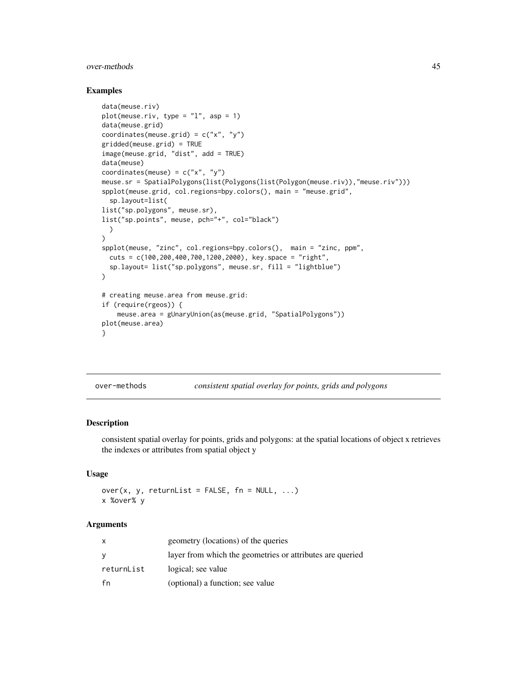#### over-methods 45

### Examples

```
data(meuse.riv)
plot(meuse.riv, type = "l", asp = 1)
data(meuse.grid)
coordinates(meuse.grid) = c("x", "y")gridded(meuse.grid) = TRUE
image(meuse.grid, "dist", add = TRUE)
data(meuse)
coordinates(meuse) = c("x", "y")meuse.sr = SpatialPolygons(list(Polygons(list(Polygon(meuse.riv)),"meuse.riv")))
spplot(meuse.grid, col.regions=bpy.colors(), main = "meuse.grid",
  sp.layout=list(
list("sp.polygons", meuse.sr),
list("sp.points", meuse, pch="+", col="black")
  )
)
spplot(meuse, "zinc", col.regions=bpy.colors(), main = "zinc, ppm",
 cuts = c(100,200,400,700,1200,2000), key.space = "right",
  sp.layout= list("sp.polygons", meuse.sr, fill = "lightblue")
)
# creating meuse.area from meuse.grid:
if (require(rgeos)) {
    meuse.area = gUnaryUnion(as(meuse.grid, "SpatialPolygons"))
plot(meuse.area)
}
```
over-methods *consistent spatial overlay for points, grids and polygons*

# <span id="page-44-0"></span>Description

consistent spatial overlay for points, grids and polygons: at the spatial locations of object x retrieves the indexes or attributes from spatial object y

## Usage

over(x, y, returnList = FALSE,  $fn = NULL, ...$ ) x %over% y

## Arguments

| X          | geometry (locations) of the queries                       |
|------------|-----------------------------------------------------------|
| y          | layer from which the geometries or attributes are queried |
| returnList | logical; see value                                        |
| fn         | (optional) a function; see value                          |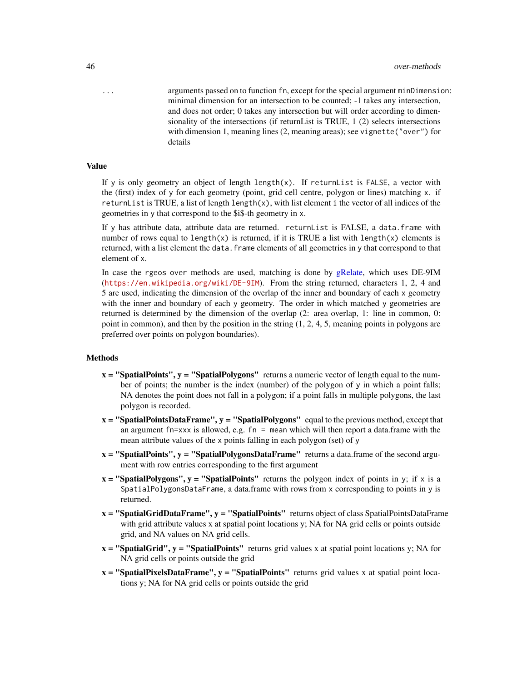... arguments passed on to function fn, except for the special argument minDimension: minimal dimension for an intersection to be counted; -1 takes any intersection, and does not order; 0 takes any intersection but will order according to dimensionality of the intersections (if returnList is TRUE, 1 (2) selects intersections with dimension 1, meaning lines (2, meaning areas); see vignette("over") for details

## Value

If y is only geometry an object of length length(x). If returnList is FALSE, a vector with the (first) index of y for each geometry (point, grid cell centre, polygon or lines) matching x. if returnList is TRUE, a list of length length $(x)$ , with list element i the vector of all indices of the geometries in y that correspond to the \$i\$-th geometry in x.

If y has attribute data, attribute data are returned. returnList is FALSE, a data.frame with number of rows equal to length(x) is returned, if it is TRUE a list with length(x) elements is returned, with a list element the data. frame elements of all geometries in  $\gamma$  that correspond to that element of x.

In case the rgeos over methods are used, matching is done by [gRelate,](#page-0-0) which uses DE-9IM (<https://en.wikipedia.org/wiki/DE-9IM>). From the string returned, characters 1, 2, 4 and 5 are used, indicating the dimension of the overlap of the inner and boundary of each x geometry with the inner and boundary of each y geometry. The order in which matched y geometries are returned is determined by the dimension of the overlap (2: area overlap, 1: line in common, 0: point in common), and then by the position in the string  $(1, 2, 4, 5)$ , meaning points in polygons are preferred over points on polygon boundaries).

#### Methods

- $x =$  "SpatialPoints",  $y =$  "SpatialPolygons" returns a numeric vector of length equal to the number of points; the number is the index (number) of the polygon of y in which a point falls; NA denotes the point does not fall in a polygon; if a point falls in multiple polygons, the last polygon is recorded.
- $x =$  "SpatialPointsDataFrame",  $y =$  "SpatialPolygons" equal to the previous method, except that an argument fn=xxx is allowed, e.g.  $fn =$  mean which will then report a data.frame with the mean attribute values of the x points falling in each polygon (set) of y
- $x =$  "SpatialPoints",  $y =$  "SpatialPolygonsDataFrame" returns a data.frame of the second argument with row entries corresponding to the first argument
- $x =$  "SpatialPolygons",  $y =$  "SpatialPoints" returns the polygon index of points in y; if x is a SpatialPolygonsDataFrame, a data.frame with rows from x corresponding to points in y is returned.
- $x =$  "SpatialGridDataFrame",  $y =$  "SpatialPoints" returns object of class SpatialPointsDataFrame with grid attribute values x at spatial point locations y; NA for NA grid cells or points outside grid, and NA values on NA grid cells.
- $x =$  "SpatialGrid",  $y =$  "SpatialPoints" returns grid values x at spatial point locations y; NA for NA grid cells or points outside the grid
- $x =$  "SpatialPixelsDataFrame",  $y =$  "SpatialPoints" returns grid values x at spatial point locations y; NA for NA grid cells or points outside the grid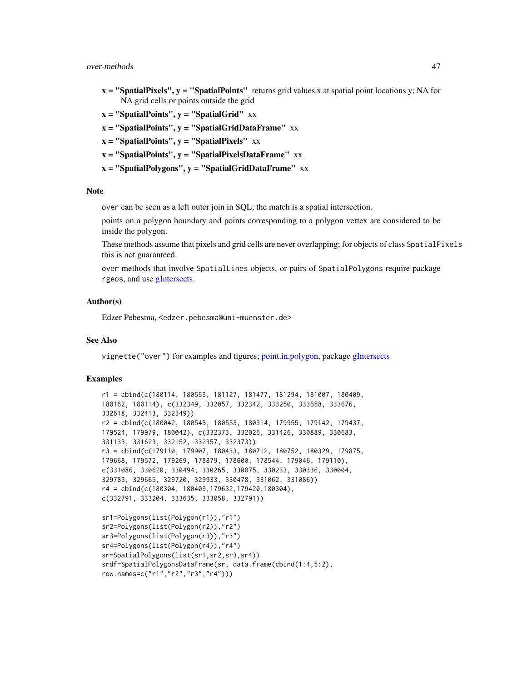#### over-methods 47

- $x =$  "SpatialPixels",  $y =$  "SpatialPoints" returns grid values x at spatial point locations y; NA for NA grid cells or points outside the grid
- $x =$  "SpatialPoints",  $y =$  "SpatialGrid" xx
- $x =$  "SpatialPoints",  $y =$  "SpatialGridDataFrame" xx
- $x =$  "SpatialPoints",  $y =$  "SpatialPixels"  $xx$
- $x =$  "SpatialPoints",  $y =$  "SpatialPixelsDataFrame" xx
- $x =$  "SpatialPolygons",  $y =$  "SpatialGridDataFrame" xx

### **Note**

over can be seen as a left outer join in SQL; the match is a spatial intersection.

points on a polygon boundary and points corresponding to a polygon vertex are considered to be inside the polygon.

These methods assume that pixels and grid cells are never overlapping; for objects of class SpatialPixels this is not guaranteed.

over methods that involve SpatialLines objects, or pairs of SpatialPolygons require package rgeos, and use [gIntersects.](#page-0-0)

#### Author(s)

Edzer Pebesma, <edzer.pebesma@uni-muenster.de>

# See Also

vignette("over") for examples and figures; [point.in.polygon,](#page-49-0) package [gIntersects](#page-0-0)

```
r1 = cbind(c(180114, 180553, 181127, 181477, 181294, 181007, 180409,
180162, 180114), c(332349, 332057, 332342, 333250, 333558, 333676,
332618, 332413, 332349))
r2 = cbind(c(180042, 180545, 180553, 180314, 179955, 179142, 179437,
179524, 179979, 180042), c(332373, 332026, 331426, 330889, 330683,
331133, 331623, 332152, 332357, 332373))
r3 = cbind(c(179110, 179907, 180433, 180712, 180752, 180329, 179875,
179668, 179572, 179269, 178879, 178600, 178544, 179046, 179110),
c(331086, 330620, 330494, 330265, 330075, 330233, 330336, 330004,
329783, 329665, 329720, 329933, 330478, 331062, 331086))
r4 = cbind(c(180304, 180403,179632,179420,180304),
c(332791, 333204, 333635, 333058, 332791))
```

```
sr1=Polygons(list(Polygon(r1)),"r1")
sr2=Polygons(list(Polygon(r2)),"r2")
sr3=Polygons(list(Polygon(r3)),"r3")
sr4=Polygons(list(Polygon(r4)),"r4")
sr=SpatialPolygons(list(sr1,sr2,sr3,sr4))
srdf=SpatialPolygonsDataFrame(sr, data.frame(cbind(1:4,5:2),
row.names=c("r1","r2","r3","r4")))
```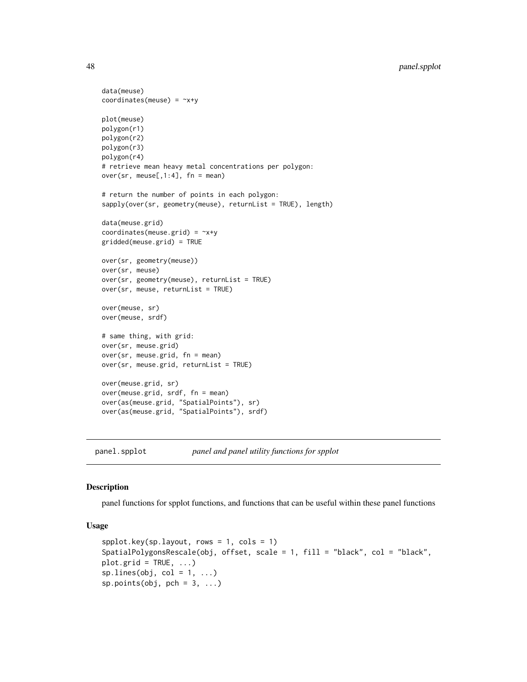```
data(meuse)
coordinates(meuse) = -x+yplot(meuse)
polygon(r1)
polygon(r2)
polygon(r3)
polygon(r4)
# retrieve mean heavy metal concentrations per polygon:
over(sr, meuse[,1:4], fn = mean]
# return the number of points in each polygon:
sapply(over(sr, geometry(meuse), returnList = TRUE), length)
data(meuse.grid)
coordinates(meuse.grid) = ~x+y
gridded(meuse.grid) = TRUE
over(sr, geometry(meuse))
over(sr, meuse)
over(sr, geometry(meuse), returnList = TRUE)
over(sr, meuse, returnList = TRUE)
over(meuse, sr)
over(meuse, srdf)
# same thing, with grid:
over(sr, meuse.grid)
over(sr, meuse.grid, fn = mean)
over(sr, meuse.grid, returnList = TRUE)
over(meuse.grid, sr)
over(meuse.grid, srdf, fn = mean)
over(as(meuse.grid, "SpatialPoints"), sr)
over(as(meuse.grid, "SpatialPoints"), srdf)
```
panel.spplot *panel and panel utility functions for spplot*

## Description

panel functions for spplot functions, and functions that can be useful within these panel functions

# Usage

```
spplot.key(sp.layout, rows = 1, cols = 1)SpatialPolygonsRescale(obj, offset, scale = 1, fill = "black", col = "black",
plot.grid = TRUE, ...sp.lines(obj, col = 1, ...)sp.points(obj, pch = 3, ...)
```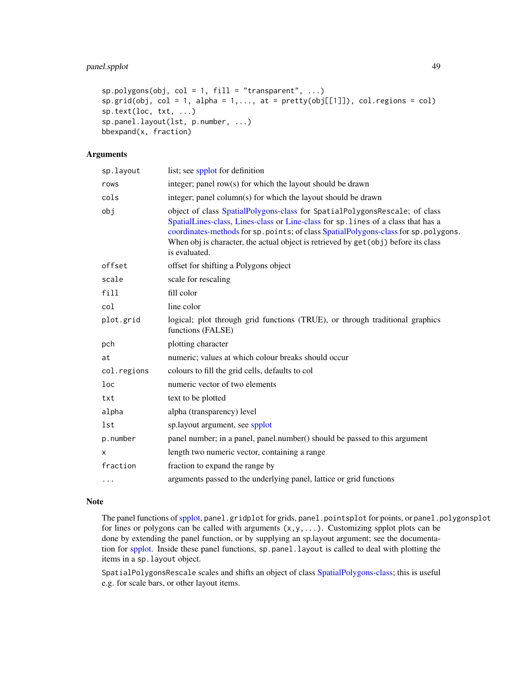```
sp.polygons(obj, col = 1, fill = "transport", ...)sp.grid(obj, col = 1, alpha = 1, ..., at = pretty(obj[[1]]), col-regions = col)sp.text(loc, txt, ...)
sp.panel.layout(lst, p.number, ...)
bbexpand(x, fraction)
```
## Arguments

| sp.layout   | list; see spplot for definition                                                                                                                                                                                                                                                                                                                                 |
|-------------|-----------------------------------------------------------------------------------------------------------------------------------------------------------------------------------------------------------------------------------------------------------------------------------------------------------------------------------------------------------------|
| rows        | integer; panel row(s) for which the layout should be drawn                                                                                                                                                                                                                                                                                                      |
| cols        | integer; panel column(s) for which the layout should be drawn                                                                                                                                                                                                                                                                                                   |
| obj         | object of class SpatialPolygons-class for SpatialPolygonsRescale; of class<br>SpatialLines-class, Lines-class or Line-class for sp. lines of a class that has a<br>coordinates-methods for sp. points; of class SpatialPolygons-class for sp. polygons.<br>When obj is character, the actual object is retrieved by get (obj) before its class<br>is evaluated. |
| offset      | offset for shifting a Polygons object                                                                                                                                                                                                                                                                                                                           |
| scale       | scale for rescaling                                                                                                                                                                                                                                                                                                                                             |
| fill        | fill color                                                                                                                                                                                                                                                                                                                                                      |
| col         | line color                                                                                                                                                                                                                                                                                                                                                      |
| plot.grid   | logical; plot through grid functions (TRUE), or through traditional graphics<br>functions (FALSE)                                                                                                                                                                                                                                                               |
| pch         | plotting character                                                                                                                                                                                                                                                                                                                                              |
| at          | numeric; values at which colour breaks should occur                                                                                                                                                                                                                                                                                                             |
| col.regions | colours to fill the grid cells, defaults to col                                                                                                                                                                                                                                                                                                                 |
| loc         | numeric vector of two elements                                                                                                                                                                                                                                                                                                                                  |
| txt         | text to be plotted                                                                                                                                                                                                                                                                                                                                              |
| alpha       | alpha (transparency) level                                                                                                                                                                                                                                                                                                                                      |
| lst         | sp.layout argument, see spplot                                                                                                                                                                                                                                                                                                                                  |
| p.number    | panel number; in a panel, panel.number() should be passed to this argument                                                                                                                                                                                                                                                                                      |
| X           | length two numeric vector, containing a range                                                                                                                                                                                                                                                                                                                   |
| fraction    | fraction to expand the range by                                                                                                                                                                                                                                                                                                                                 |
| $\cdots$    | arguments passed to the underlying panel, lattice or grid functions                                                                                                                                                                                                                                                                                             |
|             |                                                                                                                                                                                                                                                                                                                                                                 |

# Note

The panel functions of [spplot,](#page-93-0) panel.gridplot for grids, panel.pointsplot for points, or panel.polygonsplot for lines or polygons can be called with arguments  $(x, y, \ldots)$ . Customizing spplot plots can be done by extending the panel function, or by supplying an sp.layout argument; see the documentation for [spplot.](#page-93-0) Inside these panel functions, sp.panel.layout is called to deal with plotting the items in a sp.layout object.

SpatialPolygonsRescale scales and shifts an object of class [SpatialPolygons-class;](#page-86-0) this is useful e.g. for scale bars, or other layout items.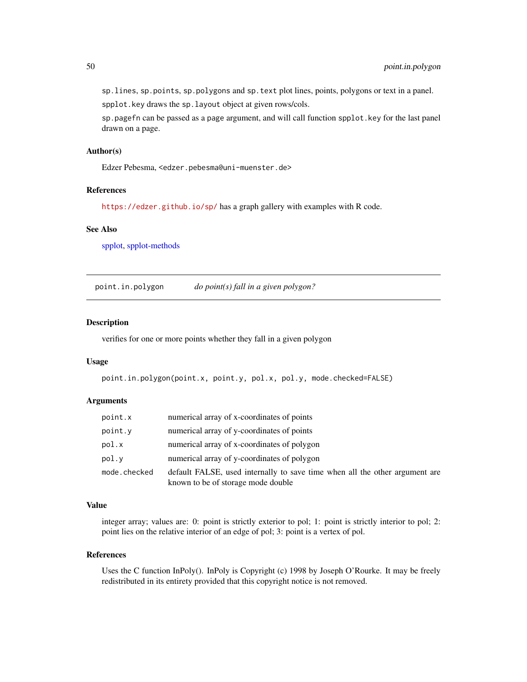sp.lines, sp.points, sp.polygons and sp.text plot lines, points, polygons or text in a panel. spplot.key draws the sp.layout object at given rows/cols.

sp.pagefn can be passed as a page argument, and will call function spplot.key for the last panel drawn on a page.

### Author(s)

Edzer Pebesma, <edzer.pebesma@uni-muenster.de>

# References

<https://edzer.github.io/sp/> has a graph gallery with examples with R code.

#### See Also

[spplot,](#page-93-0) [spplot-methods](#page-93-1)

<span id="page-49-0"></span>point.in.polygon *do point(s) fall in a given polygon?*

#### Description

verifies for one or more points whether they fall in a given polygon

#### Usage

```
point.in.polygon(point.x, point.y, pol.x, pol.y, mode.checked=FALSE)
```
## Arguments

| point.x      | numerical array of x-coordinates of points                                                                        |
|--------------|-------------------------------------------------------------------------------------------------------------------|
| point.y      | numerical array of y-coordinates of points                                                                        |
| pol.x        | numerical array of x-coordinates of polygon                                                                       |
| pol.v        | numerical array of y-coordinates of polygon                                                                       |
| mode.checked | default FALSE, used internally to save time when all the other argument are<br>known to be of storage mode double |

#### Value

integer array; values are: 0: point is strictly exterior to pol; 1: point is strictly interior to pol; 2: point lies on the relative interior of an edge of pol; 3: point is a vertex of pol.

#### References

Uses the C function InPoly(). InPoly is Copyright (c) 1998 by Joseph O'Rourke. It may be freely redistributed in its entirety provided that this copyright notice is not removed.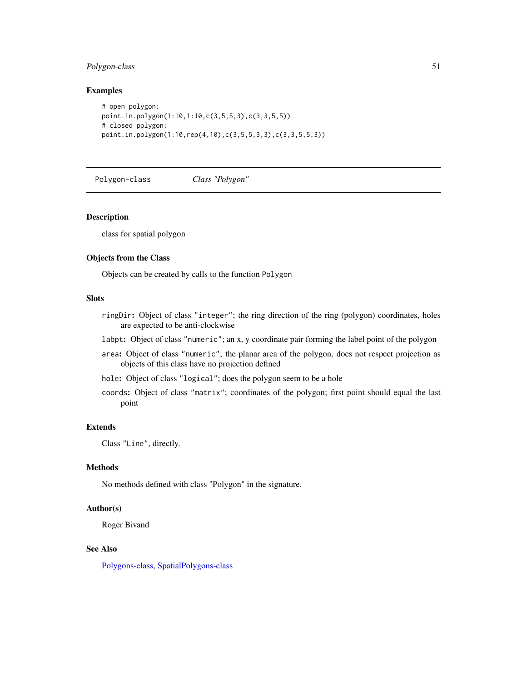# Polygon-class 51

### Examples

```
# open polygon:
point.in.polygon(1:10,1:10,c(3,5,5,3),c(3,3,5,5))
# closed polygon:
point.in.polygon(1:10,rep(4,10),c(3,5,5,3,3),c(3,3,5,5,3))
```
<span id="page-50-0"></span>Polygon-class *Class "Polygon"*

#### Description

class for spatial polygon

#### Objects from the Class

Objects can be created by calls to the function Polygon

## Slots

- ringDir: Object of class "integer"; the ring direction of the ring (polygon) coordinates, holes are expected to be anti-clockwise
- labpt: Object of class "numeric"; an x, y coordinate pair forming the label point of the polygon
- area: Object of class "numeric"; the planar area of the polygon, does not respect projection as objects of this class have no projection defined
- hole: Object of class "logical"; does the polygon seem to be a hole
- coords: Object of class "matrix"; coordinates of the polygon; first point should equal the last point

## Extends

Class "Line", directly.

#### Methods

No methods defined with class "Polygon" in the signature.

## Author(s)

Roger Bivand

# See Also

[Polygons-class,](#page-51-0) [SpatialPolygons-class](#page-86-0)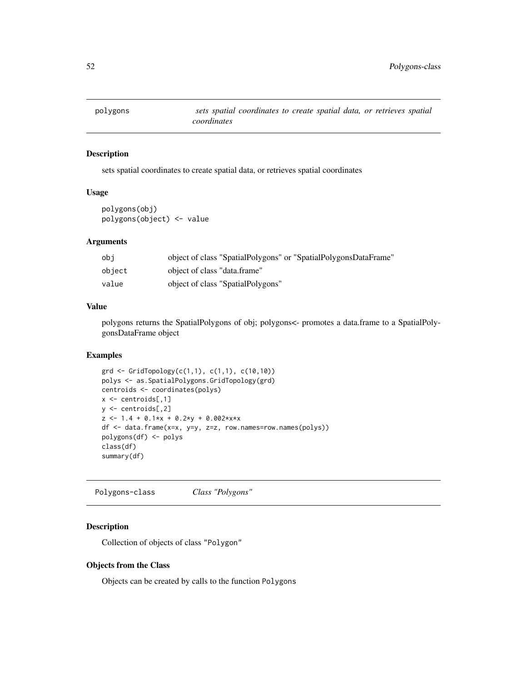sets spatial coordinates to create spatial data, or retrieves spatial coordinates

## Usage

polygons(obj) polygons(object) <- value

# Arguments

| obi    | object of class "SpatialPolygons" or "SpatialPolygonsDataFrame" |
|--------|-----------------------------------------------------------------|
| obiect | object of class "data.frame"                                    |
| value  | object of class "SpatialPolygons"                               |

#### Value

polygons returns the SpatialPolygons of obj; polygons<- promotes a data.frame to a SpatialPolygonsDataFrame object

## Examples

```
grd <- GridTopology(c(1,1), c(1,1), c(10,10))
polys <- as.SpatialPolygons.GridTopology(grd)
centroids <- coordinates(polys)
x \leq centroids[,1]
y <- centroids[,2]
z \le -1.4 + 0.1*x + 0.2*y + 0.002*x*xdf <- data.frame(x=x, y=y, z=z, row.names=row.names(polys))
polygons(df) <- polys
class(df)
summary(df)
```
<span id="page-51-0"></span>Polygons-class *Class "Polygons"*

# Description

Collection of objects of class "Polygon"

## Objects from the Class

Objects can be created by calls to the function Polygons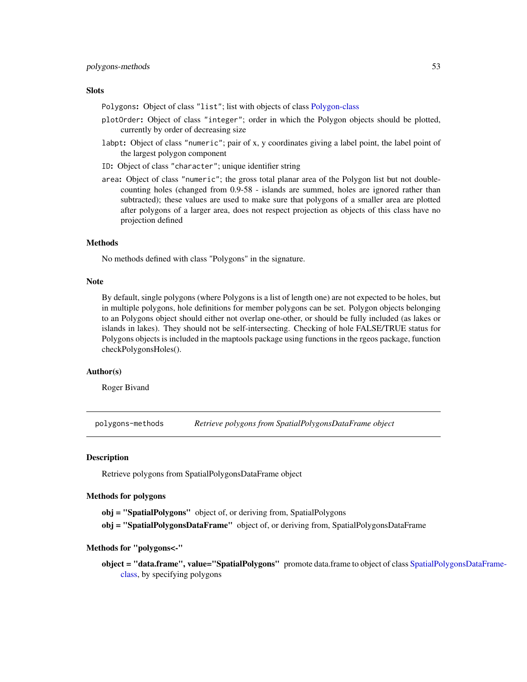## **Slots**

Polygons: Object of class "list"; list with objects of class [Polygon-class](#page-50-0)

- plotOrder: Object of class "integer"; order in which the Polygon objects should be plotted, currently by order of decreasing size
- labpt: Object of class "numeric"; pair of x, y coordinates giving a label point, the label point of the largest polygon component
- ID: Object of class "character"; unique identifier string
- area: Object of class "numeric"; the gross total planar area of the Polygon list but not doublecounting holes (changed from 0.9-58 - islands are summed, holes are ignored rather than subtracted); these values are used to make sure that polygons of a smaller area are plotted after polygons of a larger area, does not respect projection as objects of this class have no projection defined

#### Methods

No methods defined with class "Polygons" in the signature.

#### **Note**

By default, single polygons (where Polygons is a list of length one) are not expected to be holes, but in multiple polygons, hole definitions for member polygons can be set. Polygon objects belonging to an Polygons object should either not overlap one-other, or should be fully included (as lakes or islands in lakes). They should not be self-intersecting. Checking of hole FALSE/TRUE status for Polygons objects is included in the maptools package using functions in the rgeos package, function checkPolygonsHoles().

#### Author(s)

Roger Bivand

polygons-methods *Retrieve polygons from SpatialPolygonsDataFrame object*

## **Description**

Retrieve polygons from SpatialPolygonsDataFrame object

## Methods for polygons

obj = "SpatialPolygons" object of, or deriving from, SpatialPolygons

obj = "SpatialPolygonsDataFrame" object of, or deriving from, SpatialPolygonsDataFrame

#### Methods for "polygons<-"

object = "data.frame", value="[SpatialPo](#page-88-0)lygons" promote data.frame to object of class SpatialPolygonsDataFrame[class,](#page-88-0) by specifying polygons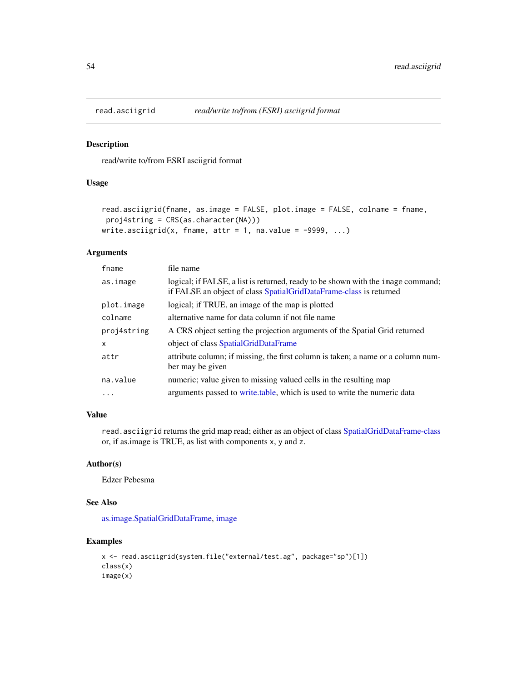read/write to/from ESRI asciigrid format

## Usage

```
read.asciigrid(fname, as.image = FALSE, plot.image = FALSE, colname = fname,
proj4string = CRS(as.character(NA)))
write.asciigrid(x, fname, attr = 1, na.value = -9999, ...)
```
# Arguments

| fname       | file name                                                                                                                                              |
|-------------|--------------------------------------------------------------------------------------------------------------------------------------------------------|
| as.image    | logical; if FALSE, a list is returned, ready to be shown with the image command;<br>if FALSE an object of class SpatialGridDataFrame-class is returned |
| plot.image  | logical; if TRUE, an image of the map is plotted                                                                                                       |
| colname     | alternative name for data column if not file name                                                                                                      |
| proj4string | A CRS object setting the projection arguments of the Spatial Grid returned                                                                             |
| X           | object of class SpatialGridDataFrame                                                                                                                   |
| attr        | attribute column; if missing, the first column is taken; a name or a column num-<br>ber may be given                                                   |
| na.value    | numeric; value given to missing valued cells in the resulting map                                                                                      |
| .           | arguments passed to write table, which is used to write the numeric data                                                                               |

# Value

read.asciigrid returns the grid map read; either as an object of class [SpatialGridDataFrame-class](#page-62-0) or, if as.image is TRUE, as list with components x, y and z.

# Author(s)

Edzer Pebesma

### See Also

[as.image.SpatialGridDataFrame,](#page-31-0) [image](#page-0-0)

```
x <- read.asciigrid(system.file("external/test.ag", package="sp")[1])
class(x)
image(x)
```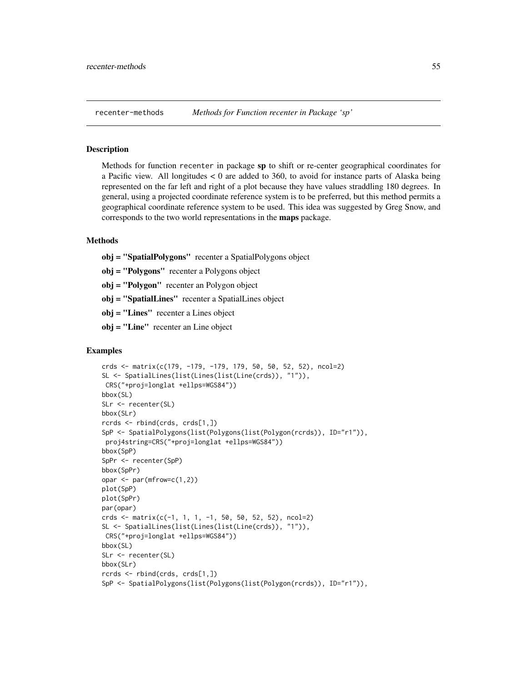Methods for function recenter in package sp to shift or re-center geographical coordinates for a Pacific view. All longitudes  $< 0$  are added to 360, to avoid for instance parts of Alaska being represented on the far left and right of a plot because they have values straddling 180 degrees. In general, using a projected coordinate reference system is to be preferred, but this method permits a geographical coordinate reference system to be used. This idea was suggested by Greg Snow, and corresponds to the two world representations in the maps package.

### Methods

obj = "SpatialPolygons" recenter a SpatialPolygons object

obj = "Polygons" recenter a Polygons object

obj = "Polygon" recenter an Polygon object

obj = "SpatialLines" recenter a SpatialLines object

obj = "Lines" recenter a Lines object

obj = "Line" recenter an Line object

```
crds <- matrix(c(179, -179, -179, 179, 50, 50, 52, 52), ncol=2)
SL <- SpatialLines(list(Lines(list(Line(crds)), "1")),
CRS("+proj=longlat +ellps=WGS84"))
bbox(SL)
SLr <- recenter(SL)
bbox(SLr)
rcrds <- rbind(crds, crds[1,])
SpP <- SpatialPolygons(list(Polygons(list(Polygon(rcrds)), ID="r1")),
proj4string=CRS("+proj=longlat +ellps=WGS84"))
bbox(SpP)
SpPr <- recenter(SpP)
bbox(SpPr)
opar <- par(mfrow=c(1,2))
plot(SpP)
plot(SpPr)
par(opar)
crds <- matrix(c(-1, 1, 1, -1, 50, 50, 52, 52), ncol=2)
SL <- SpatialLines(list(Lines(list(Line(crds)), "1")),
CRS("+proj=longlat +ellps=WGS84"))
bbox(SL)
SLr <- recenter(SL)
bbox(SLr)
rcrds <- rbind(crds, crds[1,])
SpP <- SpatialPolygons(list(Polygons(list(Polygon(rcrds)), ID="r1")),
```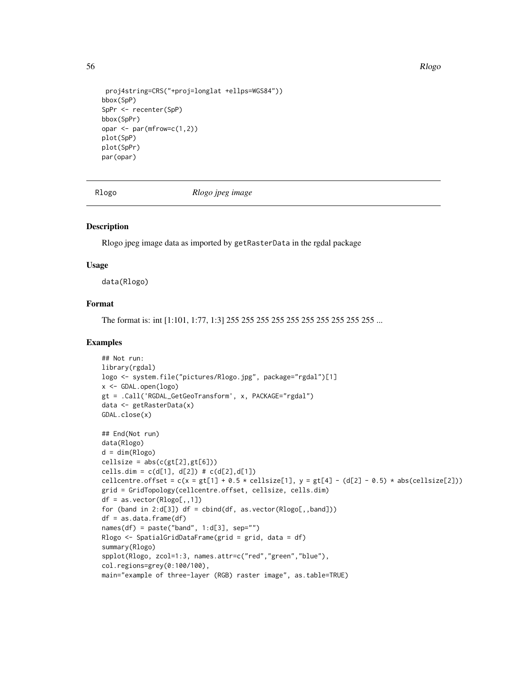56 Rlogo Roman and the contract of the contract of the contract of the contract of the contract of the contract of the contract of the contract of the contract of the contract of the contract of the contract of the contrac

```
proj4string=CRS("+proj=longlat +ellps=WGS84"))
bbox(SpP)
SpPr <- recenter(SpP)
bbox(SpPr)
opar <- par(mfrow=c(1,2))
plot(SpP)
plot(SpPr)
par(opar)
```
Rlogo *Rlogo jpeg image*

# Description

Rlogo jpeg image data as imported by getRasterData in the rgdal package

### Usage

data(Rlogo)

## Format

The format is: int [1:101, 1:77, 1:3] 255 255 255 255 255 255 255 255 255 255 ...

```
## Not run:
library(rgdal)
logo <- system.file("pictures/Rlogo.jpg", package="rgdal")[1]
x <- GDAL.open(logo)
gt = .Call('RGDAL_GetGeoTransform', x, PACKAGE="rgdal")
data <- getRasterData(x)
GDAL.close(x)
## End(Not run)
data(Rlogo)
d = dim(Rlogo)cellsize = abs(c(gt[2], gt[6]))cells.dim = c(d[1], d[2]) # c(d[2], d[1])cellcentre.offset = c(x = gt[1] + 0.5 * cellsize[1], y = gt[4] - (d[2] - 0.5) * abs(cellsize[2]))
grid = GridTopology(cellcentre.offset, cellsize, cells.dim)
df = as.vector(Rlogo[,, 1])for (band in 2:d[3]) df = cbind(df, as.vector(Rlogo[,,band]))
df = as.data-frame(df)names(df) = paste('band", 1:d[3], sep="")Rlogo <- SpatialGridDataFrame(grid = grid, data = df)
summary(Rlogo)
spplot(Rlogo, zcol=1:3, names.attr=c("red","green","blue"),
col.regions=grey(0:100/100),
main="example of three-layer (RGB) raster image", as.table=TRUE)
```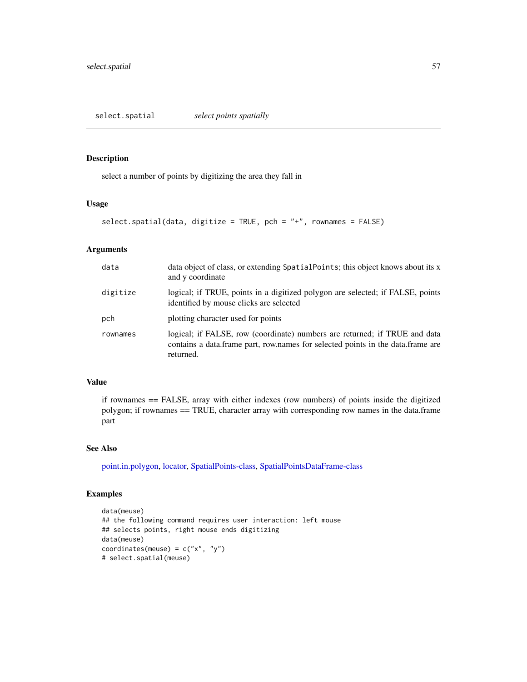select.spatial *select points spatially*

## Description

select a number of points by digitizing the area they fall in

# Usage

```
select.spatial(data, digitize = TRUE, pch = "+", rownames = FALSE)
```
# Arguments

| data     | data object of class, or extending SpatialPoints; this object knows about its x<br>and y coordinate                                                                          |
|----------|------------------------------------------------------------------------------------------------------------------------------------------------------------------------------|
| digitize | logical; if TRUE, points in a digitized polygon are selected; if FALSE, points<br>identified by mouse clicks are selected                                                    |
| pch      | plotting character used for points                                                                                                                                           |
| rownames | logical; if FALSE, row (coordinate) numbers are returned; if TRUE and data<br>contains a data. frame part, row names for selected points in the data. frame are<br>returned. |

## Value

if rownames == FALSE, array with either indexes (row numbers) of points inside the digitized polygon; if rownames == TRUE, character array with corresponding row names in the data.frame part

### See Also

[point.in.polygon,](#page-49-0) [locator,](#page-0-0) [SpatialPoints-class,](#page-81-0) [SpatialPointsDataFrame-class](#page-83-0)

```
data(meuse)
## the following command requires user interaction: left mouse
## selects points, right mouse ends digitizing
data(meuse)
coordinates(meuse) = c("x", "y")# select.spatial(meuse)
```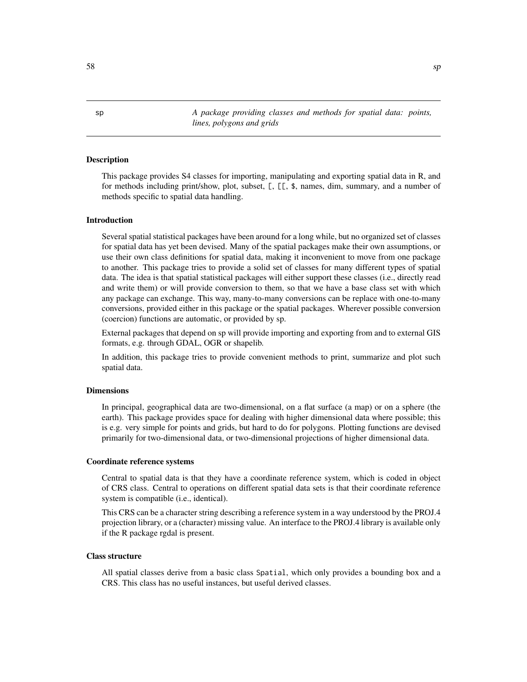sp *A package providing classes and methods for spatial data: points, lines, polygons and grids*

## Description

This package provides S4 classes for importing, manipulating and exporting spatial data in R, and for methods including print/show, plot, subset, [, [[, \$, names, dim, summary, and a number of methods specific to spatial data handling.

#### Introduction

Several spatial statistical packages have been around for a long while, but no organized set of classes for spatial data has yet been devised. Many of the spatial packages make their own assumptions, or use their own class definitions for spatial data, making it inconvenient to move from one package to another. This package tries to provide a solid set of classes for many different types of spatial data. The idea is that spatial statistical packages will either support these classes (i.e., directly read and write them) or will provide conversion to them, so that we have a base class set with which any package can exchange. This way, many-to-many conversions can be replace with one-to-many conversions, provided either in this package or the spatial packages. Wherever possible conversion (coercion) functions are automatic, or provided by sp.

External packages that depend on sp will provide importing and exporting from and to external GIS formats, e.g. through GDAL, OGR or shapelib.

In addition, this package tries to provide convenient methods to print, summarize and plot such spatial data.

#### Dimensions

In principal, geographical data are two-dimensional, on a flat surface (a map) or on a sphere (the earth). This package provides space for dealing with higher dimensional data where possible; this is e.g. very simple for points and grids, but hard to do for polygons. Plotting functions are devised primarily for two-dimensional data, or two-dimensional projections of higher dimensional data.

#### Coordinate reference systems

Central to spatial data is that they have a coordinate reference system, which is coded in object of CRS class. Central to operations on different spatial data sets is that their coordinate reference system is compatible (i.e., identical).

This CRS can be a character string describing a reference system in a way understood by the PROJ.4 projection library, or a (character) missing value. An interface to the PROJ.4 library is available only if the R package rgdal is present.

#### Class structure

All spatial classes derive from a basic class Spatial, which only provides a bounding box and a CRS. This class has no useful instances, but useful derived classes.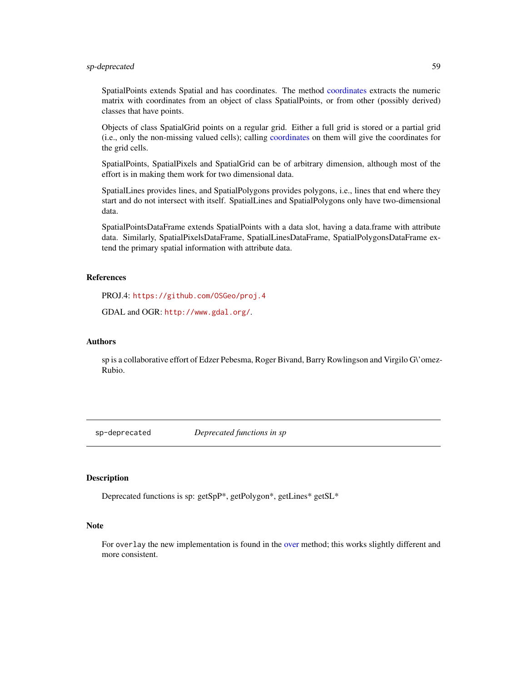## sp-deprecated 59

SpatialPoints extends Spatial and has coordinates. The method [coordinates](#page-15-0) extracts the numeric matrix with coordinates from an object of class SpatialPoints, or from other (possibly derived) classes that have points.

Objects of class SpatialGrid points on a regular grid. Either a full grid is stored or a partial grid (i.e., only the non-missing valued cells); calling [coordinates](#page-15-0) on them will give the coordinates for the grid cells.

SpatialPoints, SpatialPixels and SpatialGrid can be of arbitrary dimension, although most of the effort is in making them work for two dimensional data.

SpatialLines provides lines, and SpatialPolygons provides polygons, i.e., lines that end where they start and do not intersect with itself. SpatialLines and SpatialPolygons only have two-dimensional data.

SpatialPointsDataFrame extends SpatialPoints with a data slot, having a data.frame with attribute data. Similarly, SpatialPixelsDataFrame, SpatialLinesDataFrame, SpatialPolygonsDataFrame extend the primary spatial information with attribute data.

## References

PROJ.4: <https://github.com/OSGeo/proj.4>

GDAL and OGR: <http://www.gdal.org/>.

# Authors

sp is a collaborative effort of Edzer Pebesma, Roger Bivand, Barry Rowlingson and Virgilo G\'omez-Rubio.

sp-deprecated *Deprecated functions in sp*

# **Description**

Deprecated functions is sp: getSpP\*, getPolygon\*, getLines\* getSL\*

### **Note**

For overlay the new implementation is found in the [over](#page-44-0) method; this works slightly different and more consistent.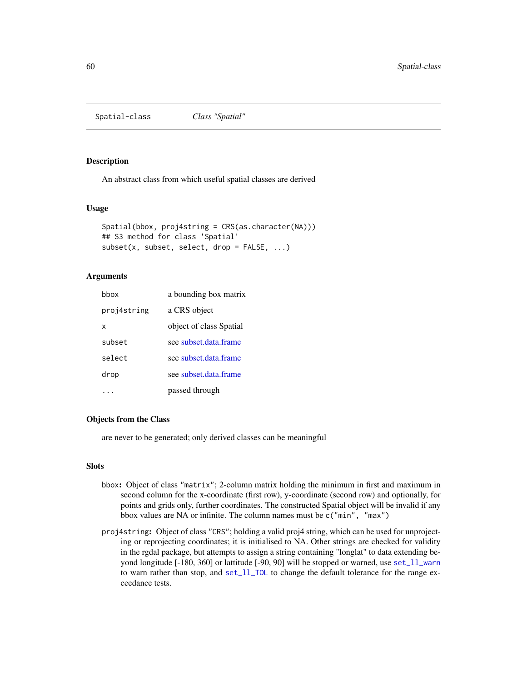<span id="page-59-1"></span>Spatial-class *Class "Spatial"*

#### <span id="page-59-0"></span>Description

An abstract class from which useful spatial classes are derived

# Usage

```
Spatial(bbox, proj4string = CRS(as.character(NA)))
## S3 method for class 'Spatial'
subset(x, subset, select, drop = FALSE, ...)
```
## Arguments

| hbox        | a bounding box matrix   |
|-------------|-------------------------|
| proj4string | a CRS object            |
| х           | object of class Spatial |
| subset      | see subset data frame   |
| select      | see subset data frame   |
| drop        | see subset.data.frame   |
|             | passed through          |

### Objects from the Class

are never to be generated; only derived classes can be meaningful

#### **Slots**

- bbox: Object of class "matrix"; 2-column matrix holding the minimum in first and maximum in second column for the x-coordinate (first row), y-coordinate (second row) and optionally, for points and grids only, further coordinates. The constructed Spatial object will be invalid if any bbox values are NA or infinite. The column names must be c("min", "max")
- proj4string: Object of class "CRS"; holding a valid proj4 string, which can be used for unprojecting or reprojecting coordinates; it is initialised to NA. Other strings are checked for validity in the rgdal package, but attempts to assign a string containing "longlat" to data extending beyond longitude [-180, 360] or lattitude [-90, 90] will be stopped or warned, use set\_11\_warn to warn rather than stop, and [set\\_ll\\_TOL](#page-33-0) to change the default tolerance for the range exceedance tests.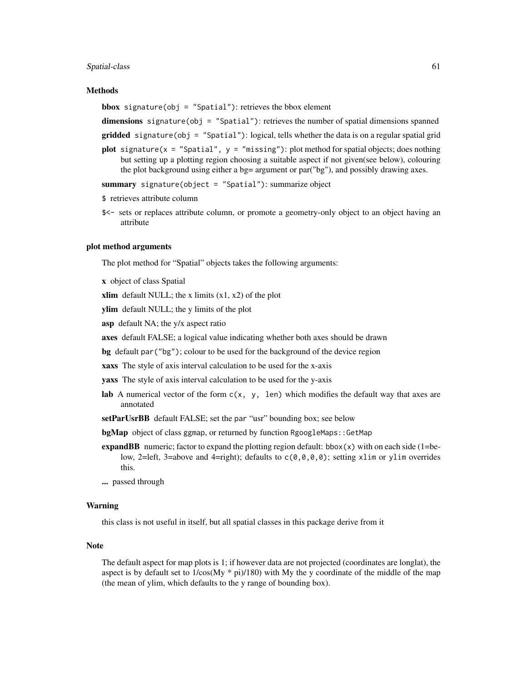#### Spatial-class 61

#### Methods

**bbox** signature(obj = "Spatial"): retrieves the bbox element

dimensions signature(obj = "Spatial"): retrieves the number of spatial dimensions spanned

gridded signature(obj = "Spatial"): logical, tells whether the data is on a regular spatial grid

**plot** signature(x = "Spatial",  $y =$  "missing"): plot method for spatial objects; does nothing but setting up a plotting region choosing a suitable aspect if not given(see below), colouring the plot background using either a bg= argument or par("bg"), and possibly drawing axes.

summary signature(object = "Spatial"): summarize object

```
$ retrieves attribute column
```
\$<- sets or replaces attribute column, or promote a geometry-only object to an object having an attribute

#### plot method arguments

The plot method for "Spatial" objects takes the following arguments:

x object of class Spatial

xlim default NULL; the x limits  $(x1, x2)$  of the plot

ylim default NULL; the y limits of the plot

asp default NA; the y/x aspect ratio

axes default FALSE; a logical value indicating whether both axes should be drawn

bg default par("bg"); colour to be used for the background of the device region

xaxs The style of axis interval calculation to be used for the x-axis

yaxs The style of axis interval calculation to be used for the y-axis

- lab A numerical vector of the form  $c(x, y, len)$  which modifies the default way that axes are annotated
- setParUsrBB default FALSE; set the par "usr" bounding box; see below

bgMap object of class ggmap, or returned by function RgoogleMaps:: GetMap

**expandBB** numeric; factor to expand the plotting region default:  $bbx(x)$  with on each side (1=below, 2=left, 3=above and 4=right); defaults to  $c(0,0,0,0)$ ; setting xlim or ylim overrides this.

... passed through

#### Warning

this class is not useful in itself, but all spatial classes in this package derive from it

#### Note

The default aspect for map plots is 1; if however data are not projected (coordinates are longlat), the aspect is by default set to  $1/\cos My * pi)/180$ ) with My the y coordinate of the middle of the map (the mean of ylim, which defaults to the y range of bounding box).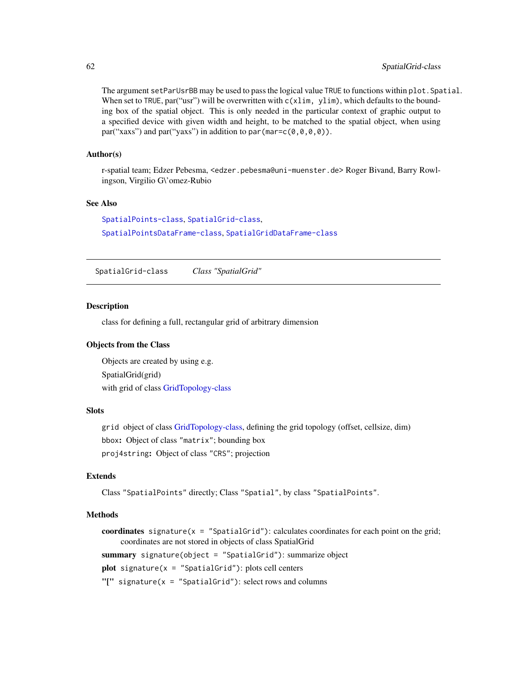The argument setParUsrBB may be used to pass the logical value TRUE to functions within plot.Spatial. When set to TRUE, par("usr") will be overwritten with  $c(xlim, ylim)$ , which defaults to the bounding box of the spatial object. This is only needed in the particular context of graphic output to a specified device with given width and height, to be matched to the spatial object, when using par("xaxs") and par("yaxs") in addition to par (mar= $c(\theta, \theta, \theta, \theta)$ ).

#### Author(s)

r-spatial team; Edzer Pebesma, <edzer.pebesma@uni-muenster.de> Roger Bivand, Barry Rowlingson, Virgilio G\'omez-Rubio

# See Also

[SpatialPoints-class](#page-81-0), [SpatialGrid-class](#page-61-0), [SpatialPointsDataFrame-class](#page-83-0), [SpatialGridDataFrame-class](#page-62-0)

<span id="page-61-0"></span>SpatialGrid-class *Class "SpatialGrid"*

### **Description**

class for defining a full, rectangular grid of arbitrary dimension

### Objects from the Class

Objects are created by using e.g. SpatialGrid(grid) with grid of class [GridTopology-class](#page-29-0)

## **Slots**

grid object of class [GridTopology-class,](#page-29-0) defining the grid topology (offset, cellsize, dim) bbox: Object of class "matrix"; bounding box proj4string: Object of class "CRS"; projection

# Extends

Class "SpatialPoints" directly; Class "Spatial", by class "SpatialPoints".

### Methods

coordinates signature( $x =$  "SpatialGrid"): calculates coordinates for each point on the grid; coordinates are not stored in objects of class SpatialGrid summary signature(object = "SpatialGrid"): summarize object  $plot$  signature( $x =$  "SpatialGrid"): plots cell centers "[" signature( $x =$  "SpatialGrid"): select rows and columns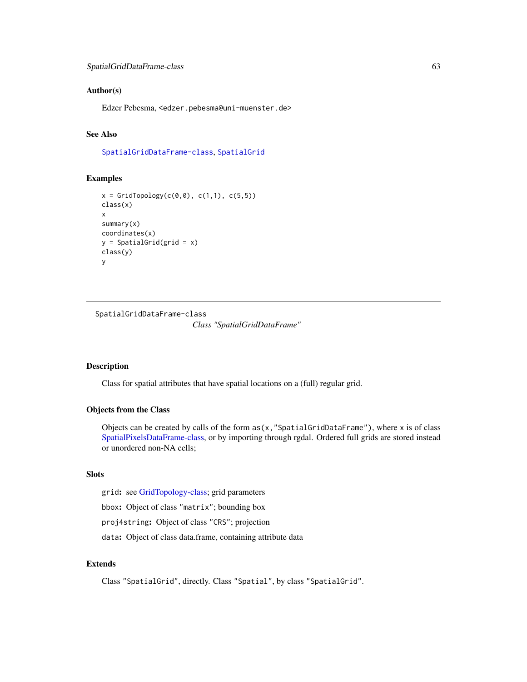## Author(s)

Edzer Pebesma, <edzer.pebesma@uni-muenster.de>

# See Also

[SpatialGridDataFrame-class](#page-62-0), [SpatialGrid](#page-73-0)

## Examples

```
x = \text{GridTopology}(c(0, 0), c(1, 1), c(5, 5))class(x)
x
summary(x)
coordinates(x)
y = SpatialGrid(grid = x)
class(y)
y
```
<span id="page-62-0"></span>SpatialGridDataFrame-class *Class "SpatialGridDataFrame"*

#### Description

Class for spatial attributes that have spatial locations on a (full) regular grid.

## Objects from the Class

Objects can be created by calls of the form  $as(x, "SpatialGridDataFrame"),$  where x is of class [SpatialPixelsDataFrame-class,](#page-78-0) or by importing through rgdal. Ordered full grids are stored instead or unordered non-NA cells;

## Slots

grid: see [GridTopology-class;](#page-29-0) grid parameters

bbox: Object of class "matrix"; bounding box

proj4string: Object of class "CRS"; projection

data: Object of class data.frame, containing attribute data

# Extends

Class "SpatialGrid", directly. Class "Spatial", by class "SpatialGrid".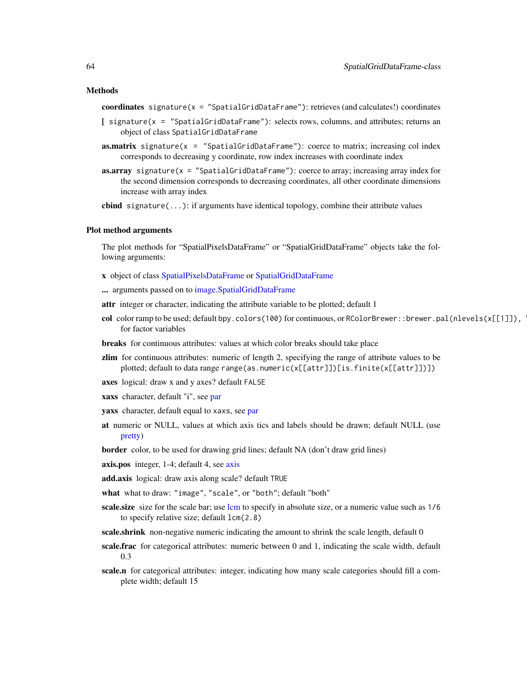coordinates signature( $x =$  "SpatialGridDataFrame"): retrieves (and calculates!) coordinates

- [ signature(x = "SpatialGridDataFrame"): selects rows, columns, and attributes; returns an object of class SpatialGridDataFrame
- **as.matrix** signature( $x =$  "SpatialGridDataFrame"): coerce to matrix; increasing col index corresponds to decreasing y coordinate, row index increases with coordinate index
- **as.array** signature( $x =$  "SpatialGridDataFrame"): coerce to array; increasing array index for the second dimension corresponds to decreasing coordinates, all other coordinate dimensions increase with array index

**cbind** signature( $\ldots$ ): if arguments have identical topology, combine their attribute values

## Plot method arguments

The plot methods for "SpatialPixelsDataFrame" or "SpatialGridDataFrame" objects take the following arguments:

- x object of class [SpatialPixelsDataFrame](#page-77-1) or [SpatialGridDataFrame](#page-77-0)
- ... arguments passed on to [image.SpatialGridDataFrame](#page-31-1)
- attr integer or character, indicating the attribute variable to be plotted; default 1
- col color ramp to be used; default bpy.colors(100) for continuous, or RColorBrewer::brewer.pal(nlevels(x[[1]]), for factor variables
- breaks for continuous attributes: values at which color breaks should take place
- zlim for continuous attributes: numeric of length 2, specifying the range of attribute values to be plotted; default to data range range(as.numeric(x[[attr]])[is.finite(x[[attr]])])
- axes logical: draw x and y axes? default FALSE
- xaxs character, default "i", see [par](#page-0-0)
- yaxs character, default equal to xaxs, see [par](#page-0-0)
- at numeric or NULL, values at which axis tics and labels should be drawn; default NULL (use [pretty\)](#page-0-0)
- border color, to be used for drawing grid lines; default NA (don't draw grid lines)
- [axis](#page-0-0).pos integer, 1-4; default 4, see axis
- add.axis logical: draw axis along scale? default TRUE
- what what to draw: "image", "scale", or "both"; default "both"
- scale.size size for the scale bar; use [lcm](#page-0-0) to specify in absolute size, or a numeric value such as  $1/6$ to specify relative size; default lcm(2.8)
- scale.shrink non-negative numeric indicating the amount to shrink the scale length, default 0
- scale.frac for categorical attributes: numeric between 0 and 1, indicating the scale width, default 0.3
- scale.n for categorical attributes: integer, indicating how many scale categories should fill a complete width; default 15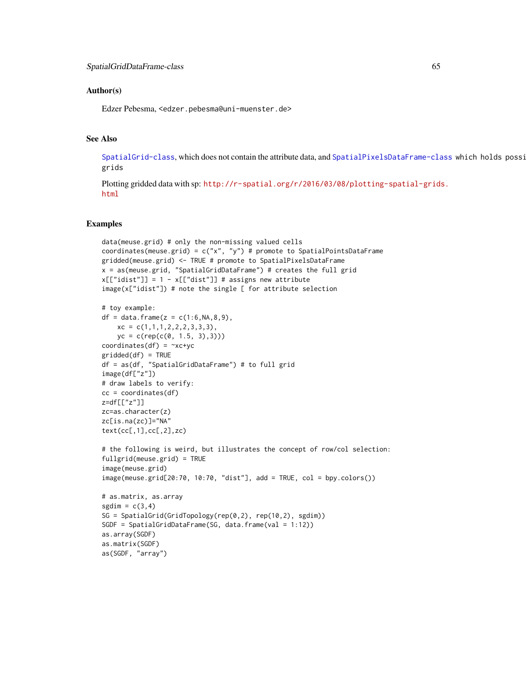## Author(s)

Edzer Pebesma, <edzer.pebesma@uni-muenster.de>

### See Also

[SpatialGrid-class](#page-61-0), which does not contain the attribute data, and [SpatialPixelsDataFrame-class](#page-78-0) which holds possi grids

Plotting gridded data with sp: [http://r-spatial.org/r/2016/03/08/plotting-spatial-grids](http://r-spatial.org/r/2016/03/08/plotting-spatial-grids.html). [html](http://r-spatial.org/r/2016/03/08/plotting-spatial-grids.html)

```
data(meuse.grid) # only the non-missing valued cells
coordinates(meuse.grid) = c("x", "y") # promote to SpatialPointsDataFrame
gridded(meuse.grid) <- TRUE # promote to SpatialPixelsDataFrame
x = as(meuse.grid, "SpatialGridDataFrame") # creates the full grid
x[["idist"] = 1 - x[["dist"]] # assigns new attributeimage(x["idist"]) # note the single [ for attribute selection
# toy example:
df = data. frame(z = c(1:6, NA, 8, 9),
    xc = c(1,1,1,2,2,2,3,3,3),yc = c(rep(c(0, 1.5, 3),3)))coordinates(df) = -xc+ycgridded(df) = TRUE
df = as(df, "SpatialGridDataFrame") # to full grid
image(df["z"])
# draw labels to verify:
cc = coordinates(df)
z=df[["z"]]
zc=as.character(z)
zc[is.na(zc)]="NA"
text(cc[,1],cc[,2],zc)
# the following is weird, but illustrates the concept of row/col selection:
fullgrid(meuse.grid) = TRUE
image(meuse.grid)
image(meuse.grid[20:70, 10:70, "dist"], add = TRUE, col = bpy.colors())
# as.matrix, as.array
sgdim = c(3, 4)SG = SpatialGrid(GridTopology(rep(0,2), rep(10,2), sgdim))
SGDF = SpatialGridDataFrame(SG, data.frame(val = 1:12))
as.array(SGDF)
as.matrix(SGDF)
as(SGDF, "array")
```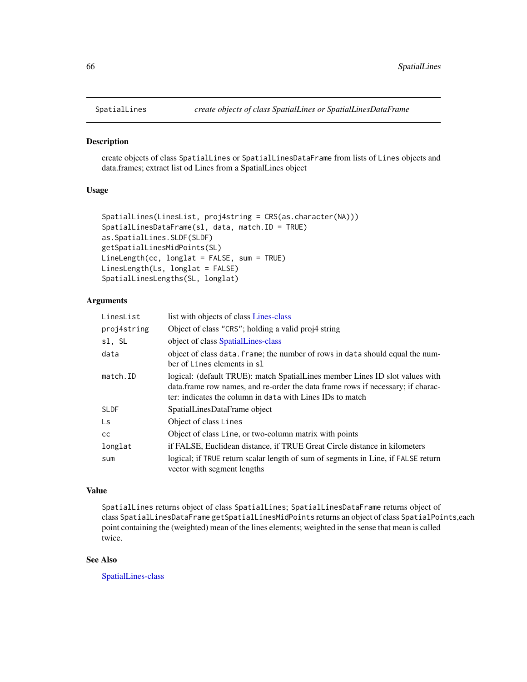<span id="page-65-1"></span><span id="page-65-0"></span>

create objects of class SpatialLines or SpatialLinesDataFrame from lists of Lines objects and data.frames; extract list od Lines from a SpatialLines object

### Usage

```
SpatialLines(LinesList, proj4string = CRS(as.character(NA)))
SpatialLinesDataFrame(sl, data, match.ID = TRUE)
as.SpatialLines.SLDF(SLDF)
getSpatialLinesMidPoints(SL)
LineLength(cc, longlat = FALSE, sum = TRUE)
LinesLength(Ls, longlat = FALSE)
SpatialLinesLengths(SL, longlat)
```
## Arguments

| LinesList   | list with objects of class Lines-class                                                                                                                                                                                        |
|-------------|-------------------------------------------------------------------------------------------------------------------------------------------------------------------------------------------------------------------------------|
| proj4string | Object of class "CRS"; holding a valid proj4 string                                                                                                                                                                           |
| sl, SL      | object of class SpatialLines-class                                                                                                                                                                                            |
| data        | object of class data. frame; the number of rows in data should equal the num-<br>ber of Lines elements in sl                                                                                                                  |
| match.ID    | logical: (default TRUE): match SpatialLines member Lines ID slot values with<br>data. frame row names, and re-order the data frame rows if necessary; if charac-<br>ter: indicates the column in data with Lines IDs to match |
| SLDF        | SpatialLinesDataFrame object                                                                                                                                                                                                  |
| Ls          | Object of class Lines                                                                                                                                                                                                         |
| cс          | Object of class Line, or two-column matrix with points                                                                                                                                                                        |
| longlat     | if FALSE, Euclidean distance, if TRUE Great Circle distance in kilometers                                                                                                                                                     |
| sum         | logical; if TRUE return scalar length of sum of segments in Line, if FALSE return<br>vector with segment lengths                                                                                                              |

### Value

SpatialLines returns object of class SpatialLines; SpatialLinesDataFrame returns object of class SpatialLinesDataFrame getSpatialLinesMidPoints returns an object of class SpatialPoints,each point containing the (weighted) mean of the lines elements; weighted in the sense that mean is called twice.

## See Also

[SpatialLines-class](#page-66-0)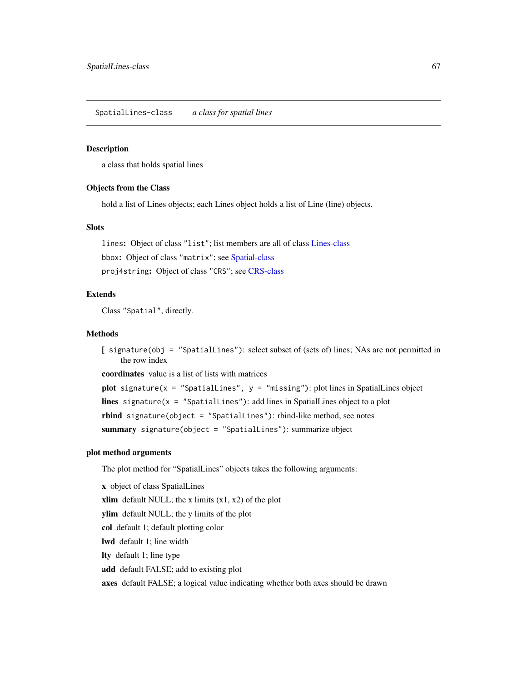<span id="page-66-0"></span>a class that holds spatial lines

## Objects from the Class

hold a list of Lines objects; each Lines object holds a list of Line (line) objects.

# Slots

lines: Object of class "list"; list members are all of class [Lines-class](#page-36-0) bbox: Object of class "matrix"; see [Spatial-class](#page-59-1) proj4string: Object of class "CRS"; see [CRS-class](#page-17-0)

# Extends

Class "Spatial", directly.

#### Methods

[ signature(obj = "SpatialLines"): select subset of (sets of) lines; NAs are not permitted in the row index

coordinates value is a list of lists with matrices

```
plot signature(x = "SpatialLines", y = "missing"): plot lines in SpatialLines object
lines signature(x = "SpatialLines"): add lines in SpatialLines object to a plot
rbind signature(object = "SpatialLines"): rbind-like method, see notes
summary signature(object = "SpatialLines"): summarize object
```
## plot method arguments

The plot method for "SpatialLines" objects takes the following arguments:

x object of class SpatialLines xlim default NULL; the x limits  $(x1, x2)$  of the plot ylim default NULL; the y limits of the plot col default 1; default plotting color lwd default 1; line width lty default 1; line type add default FALSE; add to existing plot axes default FALSE; a logical value indicating whether both axes should be drawn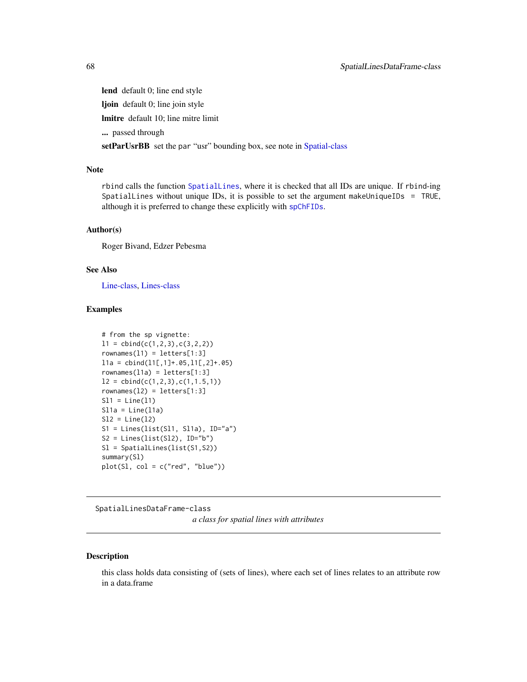lend default 0; line end style

ljoin default 0; line join style

lmitre default 10; line mitre limit

... passed through

setParUsrBB set the par "usr" bounding box, see note in [Spatial-class](#page-59-1)

## Note

rbind calls the function [SpatialLines](#page-65-0), where it is checked that all IDs are unique. If rbind-ing SpatialLines without unique IDs, it is possible to set the argument makeUniqueIDs = TRUE, although it is preferred to change these explicitly with [spChFIDs](#page-90-0).

### Author(s)

Roger Bivand, Edzer Pebesma

# See Also

[Line-class,](#page-36-1) [Lines-class](#page-36-0)

### Examples

```
# from the sp vignette:
11 = \text{cbind}(c(1, 2, 3), c(3, 2, 2))rownames(11) = letters[1:3]11a = \text{cbind}(11[, 1]+0.65, 11[, 2]+0.65)rownames(l1a) = letters[1:3]
l2 = \text{cbind}(c(1, 2, 3), c(1, 1.5, 1))rownames(12) = letters[1:3]S11 = Line(11)S11a = Line(11a)S12 = Line(12)S1 = Lines(list(S11, S11a), ID="a")S2 = Lines(list(S12), ID="b")Sl = SpatialLines(list(S1,S2))
summary(Sl)
plot(S1, col = c("red", "blue"))
```
SpatialLinesDataFrame-class

*a class for spatial lines with attributes*

### Description

this class holds data consisting of (sets of lines), where each set of lines relates to an attribute row in a data.frame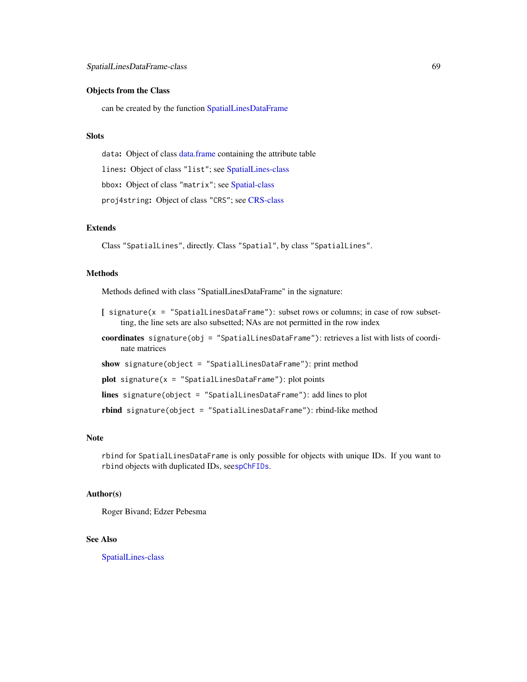## Objects from the Class

can be created by the function [SpatialLinesDataFrame](#page-65-1)

### Slots

data: Object of class [data.frame](#page-0-0) containing the attribute table lines: Object of class "list"; see [SpatialLines-class](#page-66-0) bbox: Object of class "matrix"; see [Spatial-class](#page-59-1) proj4string: Object of class "CRS"; see [CRS-class](#page-17-0)

## Extends

Class "SpatialLines", directly. Class "Spatial", by class "SpatialLines".

#### Methods

Methods defined with class "SpatialLinesDataFrame" in the signature:

- [ signature(x = "SpatialLinesDataFrame"): subset rows or columns; in case of row subsetting, the line sets are also subsetted; NAs are not permitted in the row index
- coordinates signature(obj = "SpatialLinesDataFrame"): retrieves a list with lists of coordinate matrices
- show signature(object = "SpatialLinesDataFrame"): print method

 $plot$  signature(x = "SpatialLinesDataFrame"): plot points

lines signature(object = "SpatialLinesDataFrame"): add lines to plot

rbind signature(object = "SpatialLinesDataFrame"): rbind-like method

#### Note

rbind for SpatialLinesDataFrame is only possible for objects with unique IDs. If you want to rbind objects with duplicated IDs, see[spChFIDs](#page-90-0).

## Author(s)

Roger Bivand; Edzer Pebesma

# See Also

[SpatialLines-class](#page-66-0)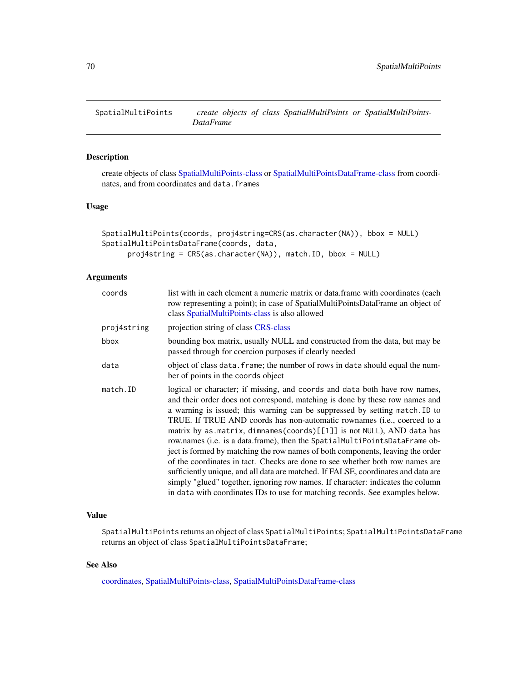create objects of class [SpatialMultiPoints-class](#page-70-0) or [SpatialMultiPointsDataFrame-class](#page-72-0) from coordinates, and from coordinates and data.frames

### Usage

```
SpatialMultiPoints(coords, proj4string=CRS(as.character(NA)), bbox = NULL)
SpatialMultiPointsDataFrame(coords, data,
     proj4string = CRS(as.character(NA)), match.ID, bbox = NULL)
```
## Arguments

| coords      | list with in each element a numeric matrix or data. frame with coordinates (each<br>row representing a point); in case of SpatialMultiPointsDataFrame an object of<br>class SpatialMultiPoints-class is also allowed                                                                                                                                                                                                                                                                                                                                                                                                                                                                                                                                                                                                                                                                                    |
|-------------|---------------------------------------------------------------------------------------------------------------------------------------------------------------------------------------------------------------------------------------------------------------------------------------------------------------------------------------------------------------------------------------------------------------------------------------------------------------------------------------------------------------------------------------------------------------------------------------------------------------------------------------------------------------------------------------------------------------------------------------------------------------------------------------------------------------------------------------------------------------------------------------------------------|
| proj4string | projection string of class CRS-class                                                                                                                                                                                                                                                                                                                                                                                                                                                                                                                                                                                                                                                                                                                                                                                                                                                                    |
| bbox        | bounding box matrix, usually NULL and constructed from the data, but may be<br>passed through for coercion purposes if clearly needed                                                                                                                                                                                                                                                                                                                                                                                                                                                                                                                                                                                                                                                                                                                                                                   |
| data        | object of class data. frame; the number of rows in data should equal the num-<br>ber of points in the coords object                                                                                                                                                                                                                                                                                                                                                                                                                                                                                                                                                                                                                                                                                                                                                                                     |
| match.ID    | logical or character; if missing, and coords and data both have row names,<br>and their order does not correspond, matching is done by these row names and<br>a warning is issued; this warning can be suppressed by setting match. ID to<br>TRUE. If TRUE AND coords has non-automatic rownames (i.e., coerced to a<br>matrix by as.matrix, dimnames(coords)[[1]] is not NULL), AND data has<br>row.names (i.e. is a data.frame), then the SpatialMultiPointsDataFrame ob-<br>ject is formed by matching the row names of both components, leaving the order<br>of the coordinates in tact. Checks are done to see whether both row names are<br>sufficiently unique, and all data are matched. If FALSE, coordinates and data are<br>simply "glued" together, ignoring row names. If character: indicates the column<br>in data with coordinates IDs to use for matching records. See examples below. |

# Value

SpatialMultiPoints returns an object of class SpatialMultiPoints; SpatialMultiPointsDataFrame returns an object of class SpatialMultiPointsDataFrame;

# See Also

[coordinates,](#page-15-0) [SpatialMultiPoints-class,](#page-70-0) [SpatialMultiPointsDataFrame-class](#page-72-0)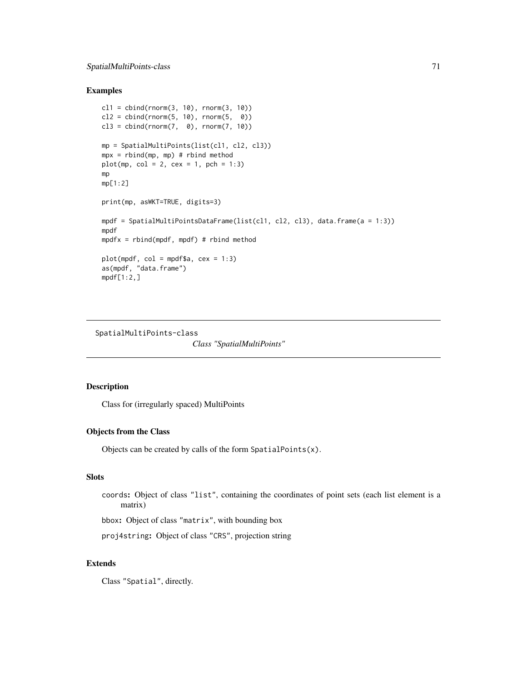# SpatialMultiPoints-class 71

## Examples

```
cl1 = cbind(rnorm(3, 10), rnorm(3, 10))
cl2 = cbind(rnorm(5, 10), rnorm(5, 0))cl3 = chind(rnorm(7, 0), rnorm(7, 10))mp = SpatialMultiPoints(list(cl1, cl2, cl3))
mpx = rbind(mp, mp) # rbind method
plot(mp, col = 2, cex = 1, pch = 1:3)mp
mp[1:2]
print(mp, asWKT=TRUE, digits=3)
mpdf = SpatialMultiPointsDataFrame(list(cl1, cl2, cl3), data.frame(a = 1:3))
mpdf
mpdfx = rbind(mpdf, mpdf) # rbind method
plot(mpdf, col = mpdf$a, cex = 1:3)as(mpdf, "data.frame")
mpdf[1:2,]
```
<span id="page-70-0"></span>SpatialMultiPoints-class

*Class "SpatialMultiPoints"*

## Description

Class for (irregularly spaced) MultiPoints

# Objects from the Class

Objects can be created by calls of the form SpatialPoints(x).

## Slots

```
coords: Object of class "list", containing the coordinates of point sets (each list element is a
     matrix)
```
bbox: Object of class "matrix", with bounding box

proj4string: Object of class "CRS", projection string

# Extends

Class "Spatial", directly.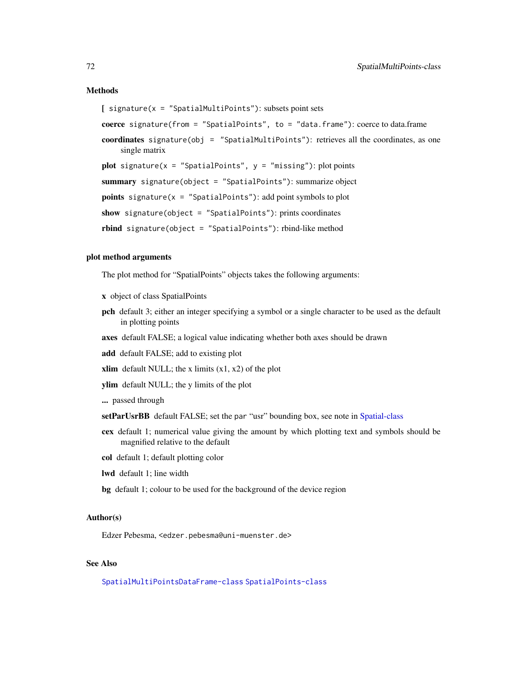#### Methods

[ signature(x = "SpatialMultiPoints"): subsets point sets

coerce signature(from = "SpatialPoints", to = "data.frame"): coerce to data.frame

coordinates signature(obj = "SpatialMultiPoints"): retrieves all the coordinates, as one single matrix

plot signature( $x =$  "SpatialPoints",  $y =$  "missing"): plot points

summary signature(object = "SpatialPoints"): summarize object

**points** signature( $x =$  "SpatialPoints"): add point symbols to plot

show signature(object = "SpatialPoints"): prints coordinates

rbind signature(object = "SpatialPoints"): rbind-like method

### plot method arguments

The plot method for "SpatialPoints" objects takes the following arguments:

x object of class SpatialPoints

- pch default 3; either an integer specifying a symbol or a single character to be used as the default in plotting points
- axes default FALSE; a logical value indicating whether both axes should be drawn
- add default FALSE; add to existing plot
- xlim default NULL; the x limits  $(x1, x2)$  of the plot
- ylim default NULL; the y limits of the plot
- ... passed through
- setParUsrBB default FALSE; set the par "usr" bounding box, see note in [Spatial-class](#page-59-1)
- cex default 1; numerical value giving the amount by which plotting text and symbols should be magnified relative to the default
- col default 1; default plotting color
- lwd default 1; line width
- bg default 1; colour to be used for the background of the device region

#### Author(s)

Edzer Pebesma, <edzer.pebesma@uni-muenster.de>

# See Also

[SpatialMultiPointsDataFrame-class](#page-72-0) [SpatialPoints-class](#page-81-0)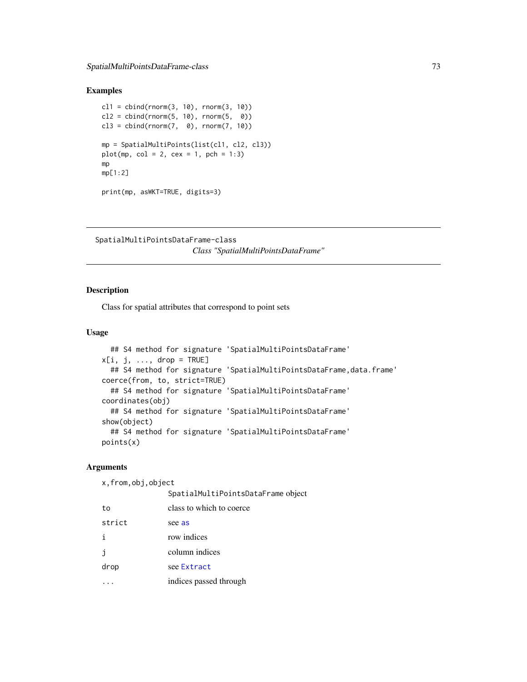# <span id="page-72-0"></span>Examples

```
c11 = \text{cbind}(rnorm(3, 10), rnorm(3, 10))cl2 = chind(rnorm(5, 10), rnorm(5, 0))cl3 = chind(rnorm(7, 0), rnorm(7, 10))mp = SpatialMultiPoints(list(cl1, cl2, cl3))
plot(mp, col = 2, cex = 1, pch = 1:3)mp
mp[1:2]
print(mp, asWKT=TRUE, digits=3)
```
SpatialMultiPointsDataFrame-class *Class "SpatialMultiPointsDataFrame"*

#### Description

Class for spatial attributes that correspond to point sets

# Usage

```
## S4 method for signature 'SpatialMultiPointsDataFrame'
x[i, j, ..., drop = TRUE]## S4 method for signature 'SpatialMultiPointsDataFrame, data.frame'
coerce(from, to, strict=TRUE)
  ## S4 method for signature 'SpatialMultiPointsDataFrame'
coordinates(obj)
  ## S4 method for signature 'SpatialMultiPointsDataFrame'
show(object)
  ## S4 method for signature 'SpatialMultiPointsDataFrame'
points(x)
```
#### Arguments

x,from,obj,object

|        | SpatialMultiPointsDataFrame object |
|--------|------------------------------------|
| to     | class to which to coerce           |
| strict | see as                             |
| i      | row indices                        |
| j      | column indices                     |
| drop   | see Extract                        |
|        | indices passed through             |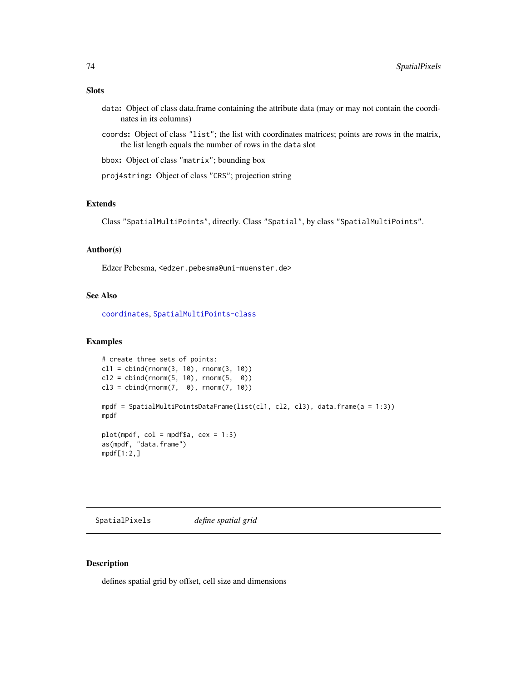# <span id="page-73-1"></span>Slots

- data: Object of class data.frame containing the attribute data (may or may not contain the coordinates in its columns)
- coords: Object of class "list"; the list with coordinates matrices; points are rows in the matrix, the list length equals the number of rows in the data slot
- bbox: Object of class "matrix"; bounding box
- proj4string: Object of class "CRS"; projection string

# Extends

Class "SpatialMultiPoints", directly. Class "Spatial", by class "SpatialMultiPoints".

# Author(s)

Edzer Pebesma, <edzer.pebesma@uni-muenster.de>

#### See Also

[coordinates](#page-15-0), [SpatialMultiPoints-class](#page-70-0)

# Examples

```
# create three sets of points:
c11 = \text{cbind}(rnorm(3, 10), rnorm(3, 10))cl2 = cbind(rnorm(5, 10), rnorm(5, 0))cl3 = cbind(rnorm(7, 0), rnorm(7, 10))mpdf = SpatialMultiPointsDataFrame(list(cl1, cl2, cl3), data.frame(a = 1:3))
mpdf
plot(mpdf, col = mpdf$a, cex = 1:3)
as(mpdf, "data.frame")
mpdf[1:2,]
```
SpatialPixels *define spatial grid*

# <span id="page-73-0"></span>Description

defines spatial grid by offset, cell size and dimensions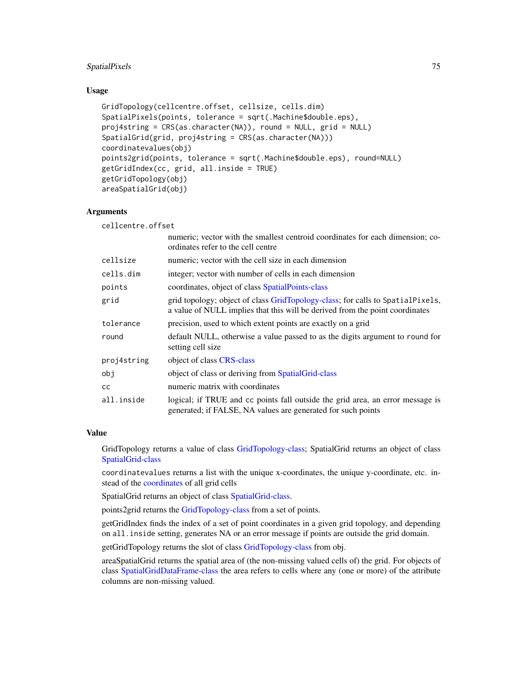# SpatialPixels 75

#### Usage

```
GridTopology(cellcentre.offset, cellsize, cells.dim)
SpatialPixels(points, tolerance = sqrt(.Machine$double.eps),
proj4string = CRS(as.character(NA)), round = NULL, grid = NULL)
SpatialGrid(grid, proj4string = CRS(as.character(NA)))
coordinatevalues(obj)
points2grid(points, tolerance = sqrt(.Machine$double.eps), round=NULL)
getGridIndex(cc, grid, all.inside = TRUE)
getGridTopology(obj)
areaSpatialGrid(obj)
```
#### Arguments

cellcentre.offset

|             | numeric; vector with the smallest centroid coordinates for each dimension; co-<br>ordinates refer to the cell centre                                           |
|-------------|----------------------------------------------------------------------------------------------------------------------------------------------------------------|
| cellsize    | numeric; vector with the cell size in each dimension                                                                                                           |
| cells.dim   | integer; vector with number of cells in each dimension                                                                                                         |
| points      | coordinates, object of class SpatialPoints-class                                                                                                               |
| grid        | grid topology; object of class GridTopology-class; for calls to SpatialPixels,<br>a value of NULL implies that this will be derived from the point coordinates |
| tolerance   | precision, used to which extent points are exactly on a grid                                                                                                   |
| round       | default NULL, otherwise a value passed to as the digits argument to round for<br>setting cell size                                                             |
| proj4string | object of class CRS-class                                                                                                                                      |
| obj         | object of class or deriving from Spatial Grid-class                                                                                                            |
| cс          | numeric matrix with coordinates                                                                                                                                |
| all.inside  | logical; if TRUE and cc points fall outside the grid area, an error message is<br>generated; if FALSE, NA values are generated for such points                 |

# Value

GridTopology returns a value of class [GridTopology-class;](#page-29-0) SpatialGrid returns an object of class [SpatialGrid-class](#page-61-0)

coordinatevalues returns a list with the unique x-coordinates, the unique y-coordinate, etc. instead of the [coordinates](#page-15-0) of all grid cells

SpatialGrid returns an object of class [SpatialGrid-class.](#page-61-0)

points2grid returns the [GridTopology-class](#page-29-0) from a set of points.

getGridIndex finds the index of a set of point coordinates in a given grid topology, and depending on all.inside setting, generates NA or an error message if points are outside the grid domain.

getGridTopology returns the slot of class [GridTopology-class](#page-29-0) from obj.

areaSpatialGrid returns the spatial area of (the non-missing valued cells of) the grid. For objects of class [SpatialGridDataFrame-class](#page-62-0) the area refers to cells where any (one or more) of the attribute columns are non-missing valued.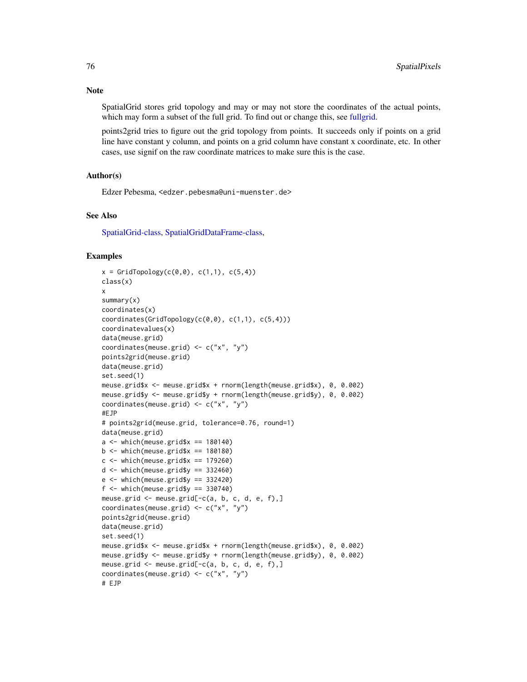**Note** 

SpatialGrid stores grid topology and may or may not store the coordinates of the actual points, which may form a subset of the full grid. To find out or change this, see [fullgrid.](#page-25-0)

points2grid tries to figure out the grid topology from points. It succeeds only if points on a grid line have constant y column, and points on a grid column have constant x coordinate, etc. In other cases, use signif on the raw coordinate matrices to make sure this is the case.

#### Author(s)

Edzer Pebesma, <edzer.pebesma@uni-muenster.de>

#### See Also

[SpatialGrid-class,](#page-61-0) [SpatialGridDataFrame-class,](#page-62-0)

```
x = \text{GridTopology}(c(0, 0), c(1, 1), c(5, 4))class(x)
x
summary(x)
coordinates(x)
coordinates(GridTopology(c(0,0), c(1,1), c(5,4)))
coordinatevalues(x)
data(meuse.grid)
coordinates(meuse.grid) <- c("x", "y")
points2grid(meuse.grid)
data(meuse.grid)
set.seed(1)
meuse.grid$x <- meuse.grid$x + rnorm(length(meuse.grid$x), 0, 0.002)
meuse.grid$y <- meuse.grid$y + rnorm(length(meuse.grid$y), 0, 0.002)
coordinates(meuse.grid) <- c("x", "y")
#EJP
# points2grid(meuse.grid, tolerance=0.76, round=1)
data(meuse.grid)
a \leq which(meuse.grid$x == 180140)
b \le which(meuse.grid$x == 180180)
c \leq which(meuse.grid$x == 179260)
d \leq - which(meuse.grid$y == 332460)
e \leftarrow \text{which}(\text{mense.grid$y == } 332420)f \leftarrow \text{which}(\text{mouse.grid$y == } 330740)meuse.grid <- meuse.grid[-c(a, b, c, d, e, f),]
coordinates(meuse.grid) <- c("x", "y")
points2grid(meuse.grid)
data(meuse.grid)
set.seed(1)
meuse.grid$x <- meuse.grid$x + rnorm(length(meuse.grid$x), 0, 0.002)
meuse.grid$y <- meuse.grid$y + rnorm(length(meuse.grid$y), 0, 0.002)
meuse.grid \leq meuse.grid[-c(a, b, c, d, e, f),]
coordinates(meuse.grid) <- c("x", "y")
# EJP
```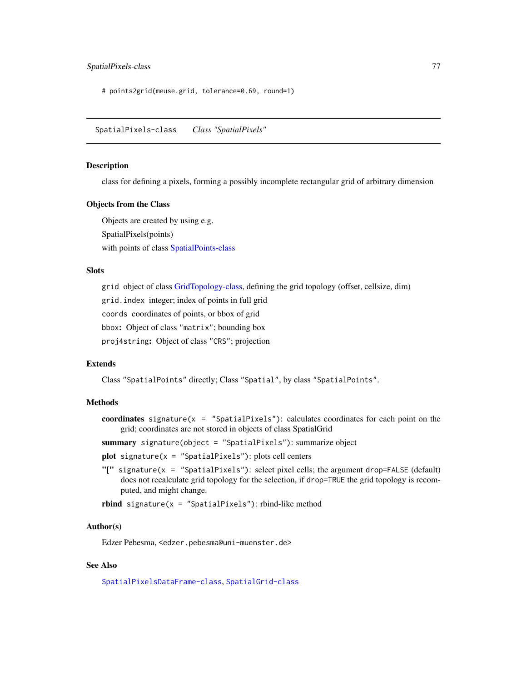# <span id="page-76-1"></span>SpatialPixels-class 77

# points2grid(meuse.grid, tolerance=0.69, round=1)

<span id="page-76-0"></span>SpatialPixels-class *Class "SpatialPixels"*

#### Description

class for defining a pixels, forming a possibly incomplete rectangular grid of arbitrary dimension

#### Objects from the Class

Objects are created by using e.g. SpatialPixels(points) with points of class [SpatialPoints-class](#page-81-0)

#### **Slots**

grid object of class [GridTopology-class,](#page-29-0) defining the grid topology (offset, cellsize, dim) grid.index integer; index of points in full grid coords coordinates of points, or bbox of grid bbox: Object of class "matrix"; bounding box proj4string: Object of class "CRS"; projection

# Extends

Class "SpatialPoints" directly; Class "Spatial", by class "SpatialPoints".

# Methods

coordinates signature( $x =$  "SpatialPixels"): calculates coordinates for each point on the grid; coordinates are not stored in objects of class SpatialGrid

summary signature(object = "SpatialPixels"): summarize object

 $plot$  signature( $x =$  "SpatialPixels"): plots cell centers

"[" signature(x = "SpatialPixels"): select pixel cells; the argument drop=FALSE (default) does not recalculate grid topology for the selection, if drop=TRUE the grid topology is recomputed, and might change.

rbind signature( $x =$  "SpatialPixels"): rbind-like method

#### Author(s)

Edzer Pebesma, <edzer.pebesma@uni-muenster.de>

# See Also

[SpatialPixelsDataFrame-class](#page-78-0), [SpatialGrid-class](#page-61-0)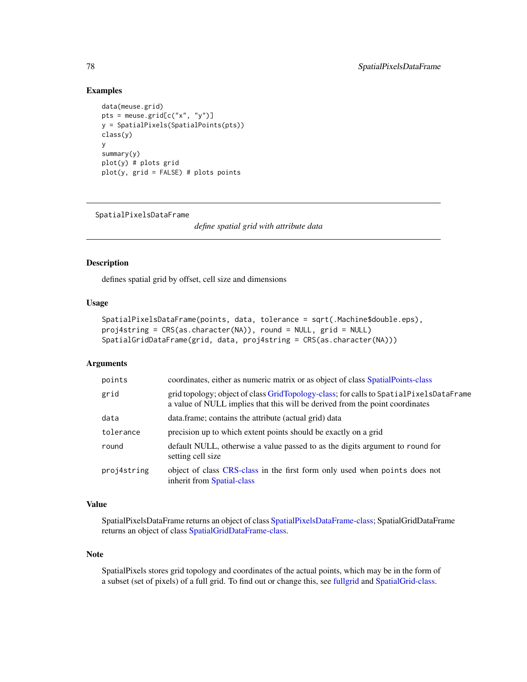# Examples

```
data(meuse.grid)
pts = meuse.grid[c("x", "y")]
y = SpatialPixels(SpatialPoints(pts))
class(y)
y
summary(y)
plot(y) # plots grid
plot(y, grid = FALSE) # plots points
```
<span id="page-77-0"></span>SpatialPixelsDataFrame

*define spatial grid with attribute data*

# <span id="page-77-1"></span>Description

defines spatial grid by offset, cell size and dimensions

# Usage

```
SpatialPixelsDataFrame(points, data, tolerance = sqrt(.Machine$double.eps),
proj4string = CRS(as.character(NA)), round = NULL, grid = NULL)
SpatialGridDataFrame(grid, data, proj4string = CRS(as.character(NA)))
```
# Arguments

| points      | coordinates, either as numeric matrix or as object of class SpatialPoints-class                                                                                        |
|-------------|------------------------------------------------------------------------------------------------------------------------------------------------------------------------|
| grid        | grid topology; object of class GridTopology-class; for calls to SpatialPixelsDataFrame<br>a value of NULL implies that this will be derived from the point coordinates |
| data        | data.frame; contains the attribute (actual grid) data                                                                                                                  |
| tolerance   | precision up to which extent points should be exactly on a grid                                                                                                        |
| round       | default NULL, otherwise a value passed to as the digits argument to round for<br>setting cell size                                                                     |
| proj4string | object of class CRS-class in the first form only used when points does not<br>inherit from Spatial-class                                                               |

#### Value

SpatialPixelsDataFrame returns an object of class [SpatialPixelsDataFrame-class;](#page-78-0) SpatialGridDataFrame returns an object of class [SpatialGridDataFrame-class.](#page-62-0)

#### Note

SpatialPixels stores grid topology and coordinates of the actual points, which may be in the form of a subset (set of pixels) of a full grid. To find out or change this, see [fullgrid](#page-25-0) and [SpatialGrid-class.](#page-61-0)

<span id="page-77-2"></span>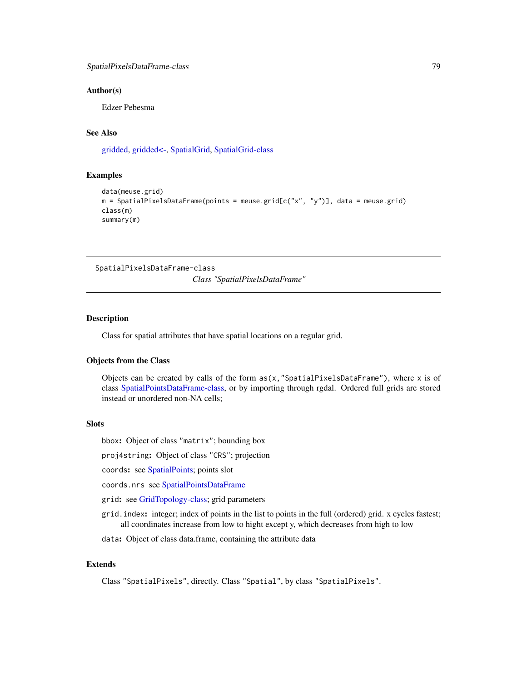#### <span id="page-78-1"></span>Author(s)

Edzer Pebesma

# See Also

[gridded,](#page-25-0) [gridded<-,](#page-25-0) [SpatialGrid,](#page-73-0) [SpatialGrid-class](#page-61-0)

#### Examples

```
data(meuse.grid)
m = SpatialPixelsDataFrame(points = mouse.grid[C("x", "y")), data = meuse.grid)
class(m)
summary(m)
```
<span id="page-78-0"></span>SpatialPixelsDataFrame-class

*Class "SpatialPixelsDataFrame"*

#### Description

Class for spatial attributes that have spatial locations on a regular grid.

#### Objects from the Class

Objects can be created by calls of the form  $as(x, "SpatialPixelsDataFrame"),$  where x is of class [SpatialPointsDataFrame-class,](#page-83-0) or by importing through rgdal. Ordered full grids are stored instead or unordered non-NA cells;

#### Slots

bbox: Object of class "matrix"; bounding box

proj4string: Object of class "CRS"; projection

coords: see [SpatialPoints;](#page-80-0) points slot

coords.nrs see [SpatialPointsDataFrame](#page-80-1)

grid: see [GridTopology-class;](#page-29-0) grid parameters

grid.index: integer; index of points in the list to points in the full (ordered) grid. x cycles fastest; all coordinates increase from low to hight except y, which decreases from high to low

data: Object of class data.frame, containing the attribute data

# Extends

Class "SpatialPixels", directly. Class "Spatial", by class "SpatialPixels".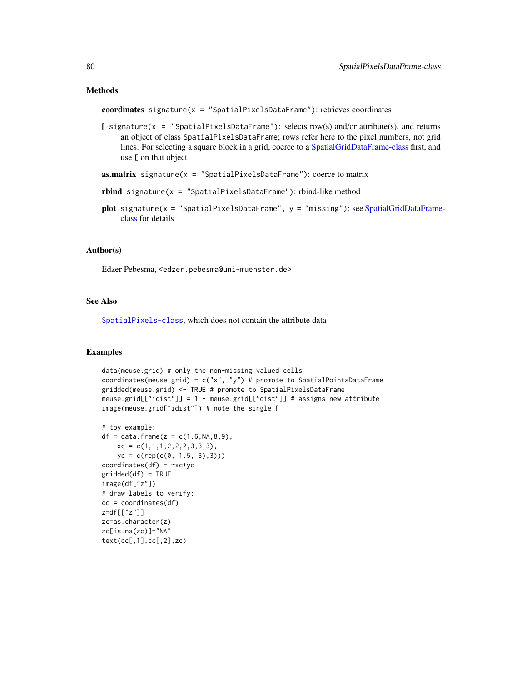#### Methods

```
coordinates signature(x = "SpatialPixelsDataFrame"): retrieves coordinates
```
[ signature(x = "SpatialPixelsDataFrame"): selects row(s) and/or attribute(s), and returns an object of class SpatialPixelsDataFrame; rows refer here to the pixel numbers, not grid lines. For selecting a square block in a grid, coerce to a [SpatialGridDataFrame-class](#page-62-0) first, and use [ on that object

```
as.matrix signature(x = "SpatialPixelsDataFrame"): coerce to matrix
```
- rbind signature(x = "SpatialPixelsDataFrame"): rbind-like method
- plot signature( $x =$  "SpatialPixelsDataFrame",  $y =$  "missing"): see [SpatialGridDataFrame](#page-62-0)[class](#page-62-0) for details

# Author(s)

Edzer Pebesma, <edzer.pebesma@uni-muenster.de>

#### See Also

[SpatialPixels-class](#page-76-0), which does not contain the attribute data

```
data(meuse.grid) # only the non-missing valued cells
coordinates(meuse.grid) = c("x", "y") # promote to SpatialPointsDataFrame
gridded(meuse.grid) <- TRUE # promote to SpatialPixelsDataFrame
meuse.grid[["idist"]] = 1 - meuse.grid[["dist"]] # assigns new attribute
image(meuse.grid["idist"]) # note the single [
```

```
# toy example:
df = data frame(z = c(1:6, NA, 8, 9),xc = c(1,1,1,2,2,2,3,3,3),yc = c(rep(c(0, 1.5, 3),3)))coordinates(df) = -xc+ycgridded(df) = TRUE
image(df["z"])
# draw labels to verify:
cc = coordinates(df)z=df[["z"]]
zc=as.character(z)
zc[is.na(zc)]="NA"
text(cc[,1],cc[,2],zc)
```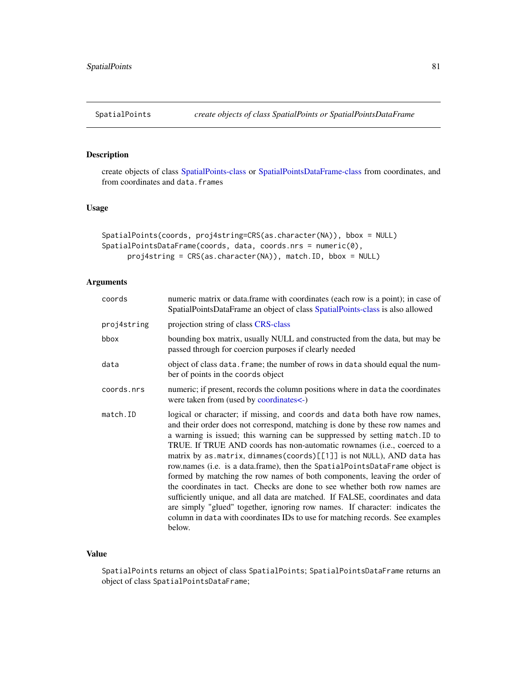<span id="page-80-2"></span><span id="page-80-0"></span>

# <span id="page-80-1"></span>Description

create objects of class [SpatialPoints-class](#page-81-0) or [SpatialPointsDataFrame-class](#page-83-0) from coordinates, and from coordinates and data.frames

# Usage

```
SpatialPoints(coords, proj4string=CRS(as.character(NA)), bbox = NULL)
SpatialPointsDataFrame(coords, data, coords.nrs = numeric(0),
     proj4string = CRS(as.character(NA)), match.ID, bbox = NULL)
```
# Arguments

| coords      | numeric matrix or data.frame with coordinates (each row is a point); in case of<br>SpatialPointsDataFrame an object of class SpatialPoints-class is also allowed                                                                                                                                                                                                                                                                                                                                                                                                                                                                                                                                                                                                                                                                                                                                      |
|-------------|-------------------------------------------------------------------------------------------------------------------------------------------------------------------------------------------------------------------------------------------------------------------------------------------------------------------------------------------------------------------------------------------------------------------------------------------------------------------------------------------------------------------------------------------------------------------------------------------------------------------------------------------------------------------------------------------------------------------------------------------------------------------------------------------------------------------------------------------------------------------------------------------------------|
| proj4string | projection string of class CRS-class                                                                                                                                                                                                                                                                                                                                                                                                                                                                                                                                                                                                                                                                                                                                                                                                                                                                  |
| bbox        | bounding box matrix, usually NULL and constructed from the data, but may be<br>passed through for coercion purposes if clearly needed                                                                                                                                                                                                                                                                                                                                                                                                                                                                                                                                                                                                                                                                                                                                                                 |
| data        | object of class data. frame; the number of rows in data should equal the num-<br>ber of points in the coords object                                                                                                                                                                                                                                                                                                                                                                                                                                                                                                                                                                                                                                                                                                                                                                                   |
| coords.nrs  | numeric; if present, records the column positions where in data the coordinates<br>were taken from (used by coordinates<-)                                                                                                                                                                                                                                                                                                                                                                                                                                                                                                                                                                                                                                                                                                                                                                            |
| match.ID    | logical or character; if missing, and coords and data both have row names,<br>and their order does not correspond, matching is done by these row names and<br>a warning is issued; this warning can be suppressed by setting match. ID to<br>TRUE. If TRUE AND coords has non-automatic rownames (i.e., coerced to a<br>matrix by as matrix, dimnames (coords) [[1]] is not NULL), AND data has<br>row.names (i.e. is a data.frame), then the SpatialPointsDataFrame object is<br>formed by matching the row names of both components, leaving the order of<br>the coordinates in tact. Checks are done to see whether both row names are<br>sufficiently unique, and all data are matched. If FALSE, coordinates and data<br>are simply "glued" together, ignoring row names. If character: indicates the<br>column in data with coordinates IDs to use for matching records. See examples<br>below. |

# Value

SpatialPoints returns an object of class SpatialPoints; SpatialPointsDataFrame returns an object of class SpatialPointsDataFrame;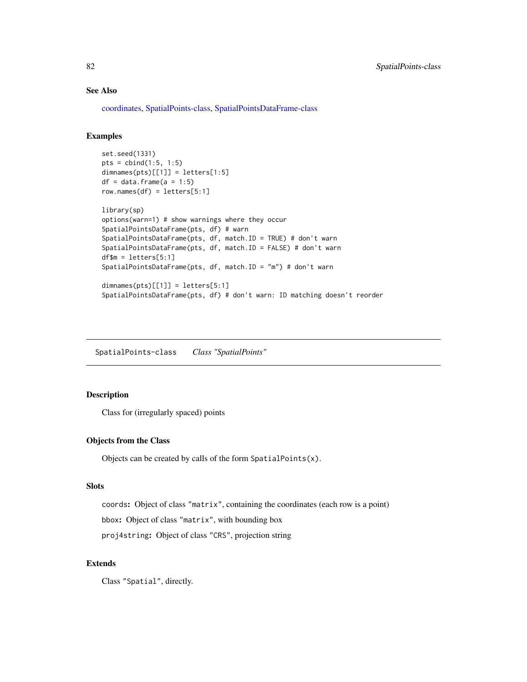# See Also

[coordinates,](#page-15-0) [SpatialPoints-class,](#page-81-0) [SpatialPointsDataFrame-class](#page-83-0)

# Examples

```
set.seed(1331)
pts = child(1:5, 1:5)dimensiones(pts)[[1]] = letters[1:5]df = data.frame(a = 1:5)row.names(df) = letters[5:1]library(sp)
options(warn=1) # show warnings where they occur
SpatialPointsDataFrame(pts, df) # warn
SpatialPointsDataFrame(pts, df, match.ID = TRUE) # don't warn
SpatialPointsDataFrame(pts, df, match.ID = FALSE) # don't warn
df$m = letters[5:1]
SpatialPointsDataFrame(pts, df, match.ID = "m") # don't warn
dimensiones(pts)[[1]] = letters[5:1]SpatialPointsDataFrame(pts, df) # don't warn: ID matching doesn't reorder
```
<span id="page-81-0"></span>SpatialPoints-class *Class "SpatialPoints"*

# Description

Class for (irregularly spaced) points

# Objects from the Class

Objects can be created by calls of the form SpatialPoints(x).

#### Slots

coords: Object of class "matrix", containing the coordinates (each row is a point)

bbox: Object of class "matrix", with bounding box

proj4string: Object of class "CRS", projection string

#### Extends

Class "Spatial", directly.

<span id="page-81-1"></span>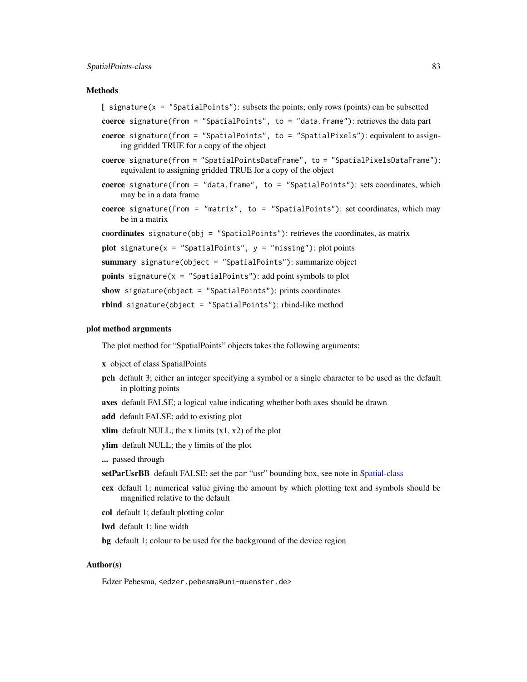#### Methods

- coerce signature(from = "SpatialPoints", to = "data.frame"): retrieves the data part
- coerce signature(from = "SpatialPoints", to = "SpatialPixels"): equivalent to assigning gridded TRUE for a copy of the object
- coerce signature(from = "SpatialPointsDataFrame", to = "SpatialPixelsDataFrame"): equivalent to assigning gridded TRUE for a copy of the object
- coerce signature(from = "data.frame", to = "SpatialPoints"): sets coordinates, which may be in a data frame
- coerce signature(from = "matrix", to = "SpatialPoints"): set coordinates, which may be in a matrix

coordinates signature(obj = "SpatialPoints"): retrieves the coordinates, as matrix

```
plot signature(x = "SpatialPoints", y = "missing"): plot points
```

```
summary signature(object = "SpatialPoints"): summarize object
```

```
points signature(x = "SpatialPoints"): add point symbols to plot
```

```
show signature(object = "SpatialPoints"): prints coordinates
```
rbind signature(object = "SpatialPoints"): rbind-like method

#### plot method arguments

The plot method for "SpatialPoints" objects takes the following arguments:

- x object of class SpatialPoints
- pch default 3; either an integer specifying a symbol or a single character to be used as the default in plotting points
- axes default FALSE; a logical value indicating whether both axes should be drawn
- add default FALSE; add to existing plot
- xlim default NULL; the x limits  $(x1, x2)$  of the plot
- ylim default NULL; the y limits of the plot
- ... passed through
- setParUsrBB default FALSE; set the par "usr" bounding box, see note in [Spatial-class](#page-59-0)
- cex default 1; numerical value giving the amount by which plotting text and symbols should be magnified relative to the default
- col default 1; default plotting color
- lwd default 1; line width
- bg default 1; colour to be used for the background of the device region

#### Author(s)

Edzer Pebesma, <edzer.pebesma@uni-muenster.de>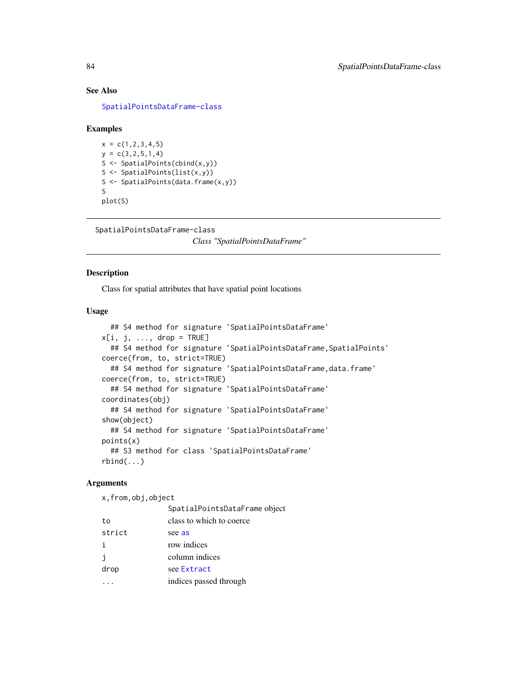# See Also

[SpatialPointsDataFrame-class](#page-83-0)

#### Examples

 $x = c(1, 2, 3, 4, 5)$  $y = c(3, 2, 5, 1, 4)$ S <- SpatialPoints(cbind(x,y)) S <- SpatialPoints(list(x,y)) S <- SpatialPoints(data.frame(x,y)) S plot(S)

<span id="page-83-0"></span>SpatialPointsDataFrame-class

*Class "SpatialPointsDataFrame"*

#### Description

Class for spatial attributes that have spatial point locations

# Usage

```
## S4 method for signature 'SpatialPointsDataFrame'
x[i, j, \ldots, drop = TRUE]## S4 method for signature 'SpatialPointsDataFrame, SpatialPoints'
coerce(from, to, strict=TRUE)
  ## S4 method for signature 'SpatialPointsDataFrame,data.frame'
coerce(from, to, strict=TRUE)
  ## S4 method for signature 'SpatialPointsDataFrame'
coordinates(obj)
  ## S4 method for signature 'SpatialPointsDataFrame'
show(object)
  ## S4 method for signature 'SpatialPointsDataFrame'
points(x)
  ## S3 method for class 'SpatialPointsDataFrame'
rbind(...)
```
# Arguments

x,from,obj,object

|        | SpatialPointsDataFrame object |
|--------|-------------------------------|
| to     | class to which to coerce      |
| strict | see as                        |
| j.     | row indices                   |
| İ      | column indices                |
| drop   | see Extract                   |
|        | indices passed through.       |

<span id="page-83-1"></span>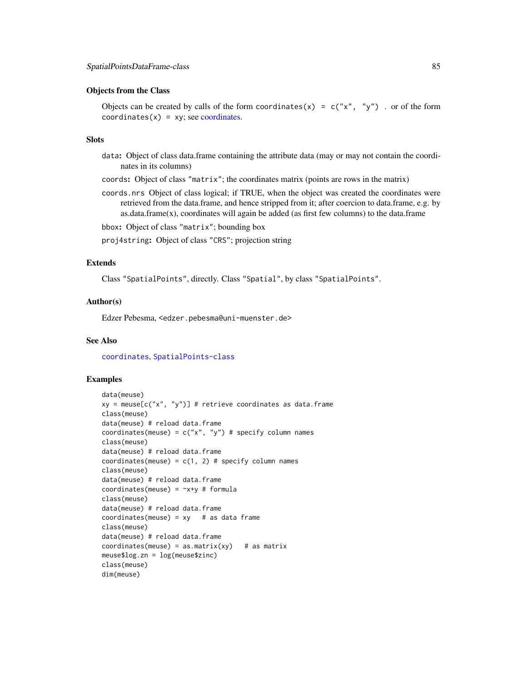#### Objects from the Class

Objects can be created by calls of the form coordinates(x) =  $c("x", "y")$  . or of the form  $coordinates(x) = xy$ ; see [coordinates.](#page-15-0)

#### **Slots**

- data: Object of class data.frame containing the attribute data (may or may not contain the coordinates in its columns)
- coords: Object of class "matrix"; the coordinates matrix (points are rows in the matrix)
- coords.nrs Object of class logical; if TRUE, when the object was created the coordinates were retrieved from the data.frame, and hence stripped from it; after coercion to data.frame, e.g. by as.data.frame(x), coordinates will again be added (as first few columns) to the data.frame

bbox: Object of class "matrix"; bounding box

proj4string: Object of class "CRS"; projection string

# Extends

Class "SpatialPoints", directly. Class "Spatial", by class "SpatialPoints".

#### Author(s)

Edzer Pebesma, <edzer.pebesma@uni-muenster.de>

# See Also

[coordinates](#page-15-0), [SpatialPoints-class](#page-81-0)

```
data(meuse)
xy = \text{meuse}[c("x", "y")] # retrieve coordinates as data.frame
class(meuse)
data(meuse) # reload data.frame
coordinates(meuse) = c("x", "y") # specify column names
class(meuse)
data(meuse) # reload data.frame
coordinates(meuse) = c(1, 2) # specify column names
class(meuse)
data(meuse) # reload data.frame
coordinates(meuse) = -x+y # formula
class(meuse)
data(meuse) # reload data.frame
coordinates(meuse) = xy # as data frame
class(meuse)
data(meuse) # reload data.frame
coordinates(mouse) = as_matrix(xy) # as matrix
meuse$log.zn = log(meuse$zinc)
class(meuse)
dim(meuse)
```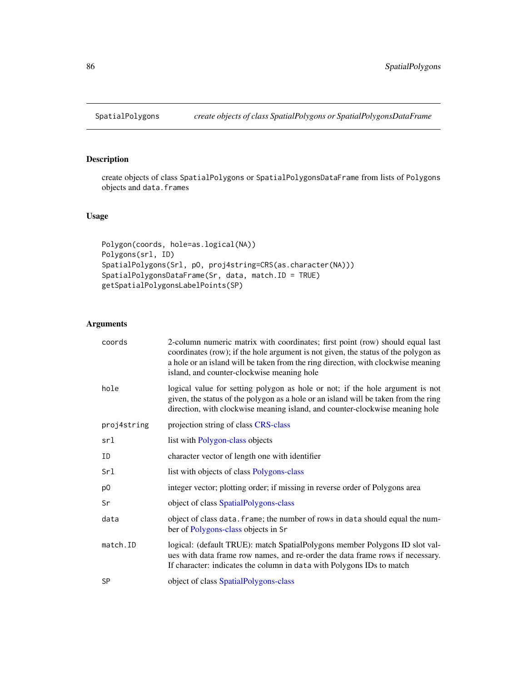<span id="page-85-2"></span><span id="page-85-0"></span>

# <span id="page-85-1"></span>Description

create objects of class SpatialPolygons or SpatialPolygonsDataFrame from lists of Polygons objects and data.frames

# Usage

```
Polygon(coords, hole=as.logical(NA))
Polygons(srl, ID)
SpatialPolygons(Srl, pO, proj4string=CRS(as.character(NA)))
SpatialPolygonsDataFrame(Sr, data, match.ID = TRUE)
getSpatialPolygonsLabelPoints(SP)
```
# Arguments

| coords      | 2-column numeric matrix with coordinates; first point (row) should equal last<br>coordinates (row); if the hole argument is not given, the status of the polygon as<br>a hole or an island will be taken from the ring direction, with clockwise meaning<br>island, and counter-clockwise meaning hole |
|-------------|--------------------------------------------------------------------------------------------------------------------------------------------------------------------------------------------------------------------------------------------------------------------------------------------------------|
| hole        | logical value for setting polygon as hole or not; if the hole argument is not<br>given, the status of the polygon as a hole or an island will be taken from the ring<br>direction, with clockwise meaning island, and counter-clockwise meaning hole                                                   |
| proj4string | projection string of class CRS-class                                                                                                                                                                                                                                                                   |
| srl         | list with Polygon-class objects                                                                                                                                                                                                                                                                        |
| ID          | character vector of length one with identifier                                                                                                                                                                                                                                                         |
| Srl         | list with objects of class Polygons-class                                                                                                                                                                                                                                                              |
| p0          | integer vector; plotting order; if missing in reverse order of Polygons area                                                                                                                                                                                                                           |
| Sr          | object of class SpatialPolygons-class                                                                                                                                                                                                                                                                  |
| data        | object of class data. frame; the number of rows in data should equal the num-<br>ber of Polygons-class objects in Sr                                                                                                                                                                                   |
| match.ID    | logical: (default TRUE): match SpatialPolygons member Polygons ID slot val-<br>ues with data frame row names, and re-order the data frame rows if necessary.<br>If character: indicates the column in data with Polygons IDs to match                                                                  |
| <b>SP</b>   | object of class SpatialPolygons-class                                                                                                                                                                                                                                                                  |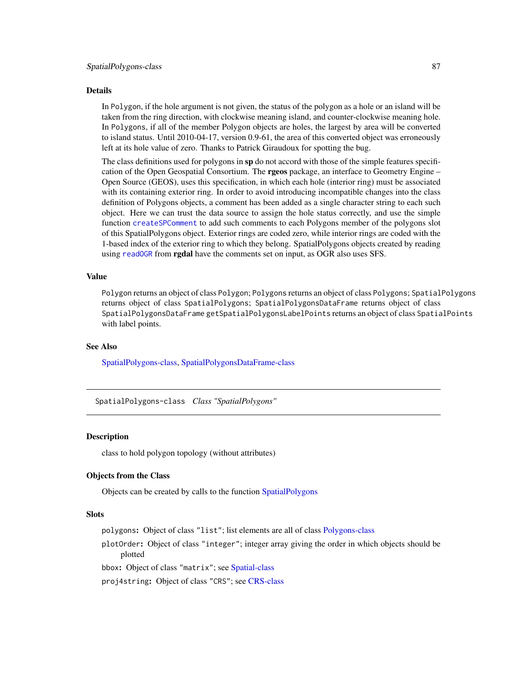#### <span id="page-86-1"></span>Details

In Polygon, if the hole argument is not given, the status of the polygon as a hole or an island will be taken from the ring direction, with clockwise meaning island, and counter-clockwise meaning hole. In Polygons, if all of the member Polygon objects are holes, the largest by area will be converted to island status. Until 2010-04-17, version 0.9-61, the area of this converted object was erroneously left at its hole value of zero. Thanks to Patrick Giraudoux for spotting the bug.

The class definitions used for polygons in sp do not accord with those of the simple features specification of the Open Geospatial Consortium. The **rgeos** package, an interface to Geometry Engine – Open Source (GEOS), uses this specification, in which each hole (interior ring) must be associated with its containing exterior ring. In order to avoid introducing incompatible changes into the class definition of Polygons objects, a comment has been added as a single character string to each such object. Here we can trust the data source to assign the hole status correctly, and use the simple function [createSPComment](#page-0-0) to add such comments to each Polygons member of the polygons slot of this SpatialPolygons object. Exterior rings are coded zero, while interior rings are coded with the 1-based index of the exterior ring to which they belong. SpatialPolygons objects created by reading using [readOGR](#page-0-0) from **rgdal** have the comments set on input, as OGR also uses SFS.

#### Value

Polygon returns an object of class Polygon; Polygons returns an object of class Polygons; SpatialPolygons returns object of class SpatialPolygons; SpatialPolygonsDataFrame returns object of class SpatialPolygonsDataFrame getSpatialPolygonsLabelPoints returns an object of class SpatialPoints with label points.

#### See Also

[SpatialPolygons-class,](#page-86-0) [SpatialPolygonsDataFrame-class](#page-88-0)

<span id="page-86-0"></span>SpatialPolygons-class *Class "SpatialPolygons"*

#### Description

class to hold polygon topology (without attributes)

#### Objects from the Class

Objects can be created by calls to the function [SpatialPolygons](#page-85-0)

#### **Slots**

polygons: Object of class "list"; list elements are all of class [Polygons-class](#page-51-0)

plotOrder: Object of class "integer"; integer array giving the order in which objects should be plotted

bbox: Object of class "matrix"; see [Spatial-class](#page-59-0)

proj4string: Object of class "CRS"; see [CRS-class](#page-17-0)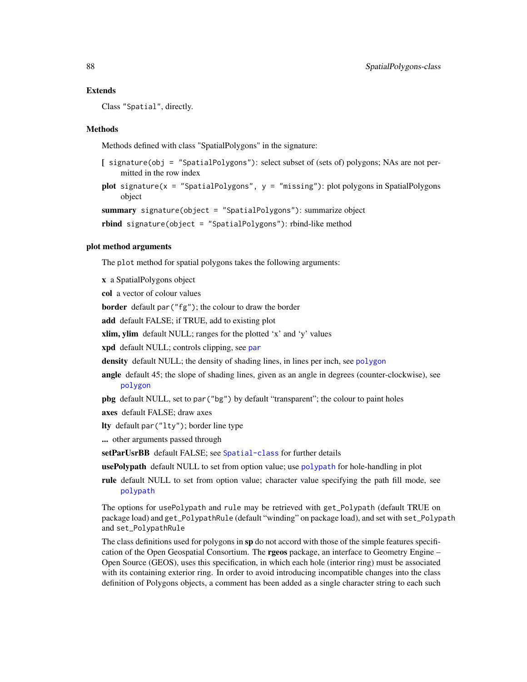#### Extends

Class "Spatial", directly.

#### Methods

Methods defined with class "SpatialPolygons" in the signature:

- $\int$  signature(obj = "SpatialPolygons"): select subset of (sets of) polygons; NAs are not permitted in the row index
- plot signature(x = "SpatialPolygons",  $y =$  "missing"): plot polygons in SpatialPolygons object

```
summary signature(object = "SpatialPolygons"): summarize object
```
rbind signature(object = "SpatialPolygons"): rbind-like method

# plot method arguments

The plot method for spatial polygons takes the following arguments:

x a SpatialPolygons object

col a vector of colour values

border default par("fg"); the colour to draw the border

add default FALSE; if TRUE, add to existing plot

xlim, ylim default NULL; ranges for the plotted 'x' and 'y' values

xpd default NULL; controls clipping, see [par](#page-0-0)

- density default NULL; the density of shading lines, in lines per inch, see [polygon](#page-0-0)
- angle default 45; the slope of shading lines, given as an angle in degrees (counter-clockwise), see [polygon](#page-0-0)
- pbg default NULL, set to par("bg") by default "transparent"; the colour to paint holes
- axes default FALSE; draw axes
- lty default par("lty"); border line type

... other arguments passed through

setParUsrBB default FALSE; see [Spatial-class](#page-59-0) for further details

usePolypath default NULL to set from option value; use [polypath](#page-0-0) for hole-handling in plot

rule default NULL to set from option value; character value specifying the path fill mode, see [polypath](#page-0-0)

The options for usePolypath and rule may be retrieved with get\_Polypath (default TRUE on package load) and get\_PolypathRule (default "winding" on package load), and set with set\_Polypath and set\_PolypathRule

The class definitions used for polygons in sp do not accord with those of the simple features specification of the Open Geospatial Consortium. The **rgeos** package, an interface to Geometry Engine – Open Source (GEOS), uses this specification, in which each hole (interior ring) must be associated with its containing exterior ring. In order to avoid introducing incompatible changes into the class definition of Polygons objects, a comment has been added as a single character string to each such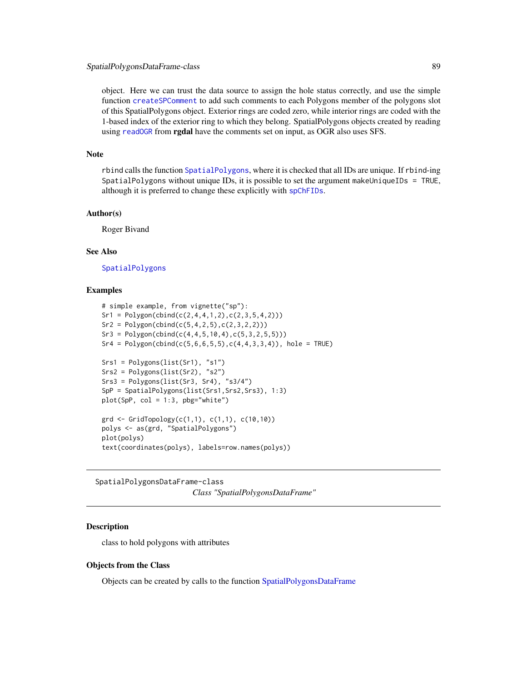<span id="page-88-1"></span>object. Here we can trust the data source to assign the hole status correctly, and use the simple function [createSPComment](#page-0-0) to add such comments to each Polygons member of the polygons slot of this SpatialPolygons object. Exterior rings are coded zero, while interior rings are coded with the 1-based index of the exterior ring to which they belong. SpatialPolygons objects created by reading using [readOGR](#page-0-0) from **rgdal** have the comments set on input, as OGR also uses SFS.

#### Note

rbind calls the function [SpatialPolygons](#page-85-0), where it is checked that all IDs are unique. If rbind-ing SpatialPolygons without unique IDs, it is possible to set the argument makeUniqueIDs = TRUE, although it is preferred to change these explicitly with [spChFIDs](#page-90-0).

#### Author(s)

Roger Bivand

# See Also

[SpatialPolygons](#page-85-0)

#### Examples

```
# simple example, from vignette("sp"):
Sr1 = Polygon(cbind(c(2, 4, 4, 1, 2), c(2, 3, 5, 4, 2)))Sr2 = Polygon(cbind(c(5,4,2,5),c(2,3,2,2)))Sr3 = Polygon(cbind(c(4, 4, 5, 10, 4), c(5, 3, 2, 5, 5)))Sr4 = Polygon(cbind(c(5, 6, 6, 5, 5), c(4, 4, 3, 3, 4)), hole = TRUE)
Srs1 = Polygons(list(Sr1), "s1")
Srs2 = Polygons(list(Sr2), "s2")
Srs3 = Polygons(list(Sr3, Sr4), "s3/4")
SpP = SpatialPolygons(list(Srs1,Srs2,Srs3), 1:3)
plot(SpP, col = 1:3, pbg="white")grd <- GridTopology(c(1,1), c(1,1), c(10,10))
polys <- as(grd, "SpatialPolygons")
plot(polys)
text(coordinates(polys), labels=row.names(polys))
```
<span id="page-88-0"></span>SpatialPolygonsDataFrame-class *Class "SpatialPolygonsDataFrame"*

# Description

class to hold polygons with attributes

#### Objects from the Class

Objects can be created by calls to the function [SpatialPolygonsDataFrame](#page-85-1)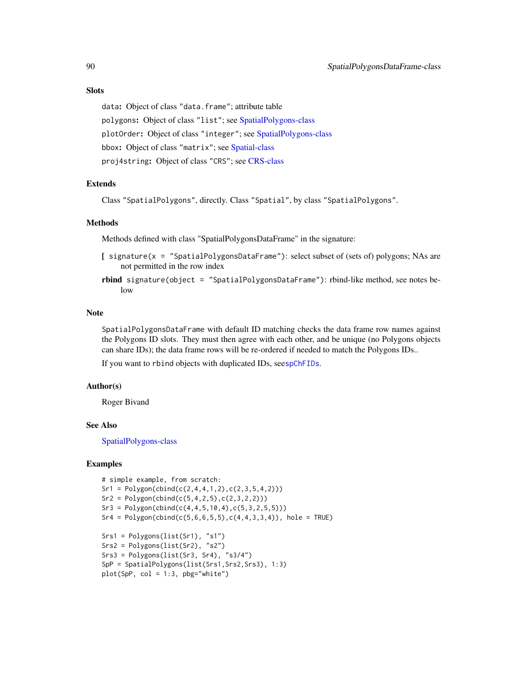data: Object of class "data.frame"; attribute table polygons: Object of class "list"; see [SpatialPolygons-class](#page-86-0) plotOrder: Object of class "integer"; see [SpatialPolygons-class](#page-86-0) bbox: Object of class "matrix"; see [Spatial-class](#page-59-0) proj4string: Object of class "CRS"; see [CRS-class](#page-17-0)

#### Extends

Class "SpatialPolygons", directly. Class "Spatial", by class "SpatialPolygons".

#### Methods

Methods defined with class "SpatialPolygonsDataFrame" in the signature:

- [ signature(x = "SpatialPolygonsDataFrame"): select subset of (sets of) polygons; NAs are not permitted in the row index
- rbind signature(object = "SpatialPolygonsDataFrame"): rbind-like method, see notes below

#### Note

SpatialPolygonsDataFrame with default ID matching checks the data frame row names against the Polygons ID slots. They must then agree with each other, and be unique (no Polygons objects can share IDs); the data frame rows will be re-ordered if needed to match the Polygons IDs..

If you want to rbind objects with duplicated IDs, see[spChFIDs](#page-90-0).

#### Author(s)

Roger Bivand

# See Also

[SpatialPolygons-class](#page-86-0)

```
# simple example, from scratch:
Sr1 = Polygon(cbind(c(2, 4, 4, 1, 2), c(2, 3, 5, 4, 2)))Sr2 = Polygon(cbind(c(5, 4, 2, 5), c(2, 3, 2, 2)))Sr3 = Polygon(cbind(c(4, 4, 5, 10, 4), c(5, 3, 2, 5, 5)))Sr4 = Polygon(cbind(c(5, 6, 6, 5, 5), c(4, 4, 3, 3, 4)), hole = TRUE)
Srs1 = Polygons(list(Sr1), "s1")
Srs2 = Polygons(list(Sr2), "s2")
Srs3 = Polygons(list(Sr3, Sr4), "s3/4")
SpP = SpatialPolygons(list(Srs1, Srs2, Srs3), 1:3)
plot(SpP, col = 1:3, pbg="white")
```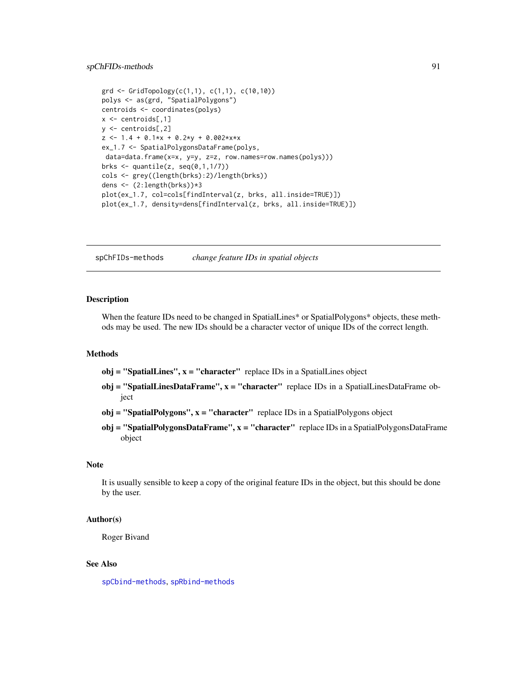```
\text{grd} \leq \text{GridTopology}(c(1,1), c(1,1), c(10,10))polys <- as(grd, "SpatialPolygons")
centroids <- coordinates(polys)
x <- centroids[,1]
y <- centroids[,2]
z \le -1.4 + 0.1*x + 0.2*y + 0.002*x*xex_1.7 <- SpatialPolygonsDataFrame(polys,
data=data.frame(x=x, y=y, z=z, row.names=row.names(polys)))
brks \leq quantile(z, seq(0,1,1/7))
cols <- grey((length(brks):2)/length(brks))
dens <- (2:length(brks))*3
plot(ex_1.7, col=cols[findInterval(z, brks, all.inside=TRUE)])
plot(ex_1.7, density=dens[findInterval(z, brks, all.inside=TRUE)])
```
spChFIDs-methods *change feature IDs in spatial objects*

#### <span id="page-90-0"></span>**Description**

When the feature IDs need to be changed in SpatialLines\* or SpatialPolygons\* objects, these methods may be used. The new IDs should be a character vector of unique IDs of the correct length.

#### Methods

 $obj = "SpatialLines", x = "character" replace IDs in a SpatialLines object$ 

- obj = "SpatialLinesDataFrame",  $x =$  "character" replace IDs in a SpatialLinesDataFrame object
- $obj = "SpatialPolygons", x = "character"$  replace IDs in a SpatialPolygons object
- obj = "SpatialPolygonsDataFrame", x = "character" replace IDs in a SpatialPolygonsDataFrame object

#### Note

It is usually sensible to keep a copy of the original feature IDs in the object, but this should be done by the user.

#### Author(s)

Roger Bivand

# See Also

[spCbind-methods](#page-0-0), [spRbind-methods](#page-0-0)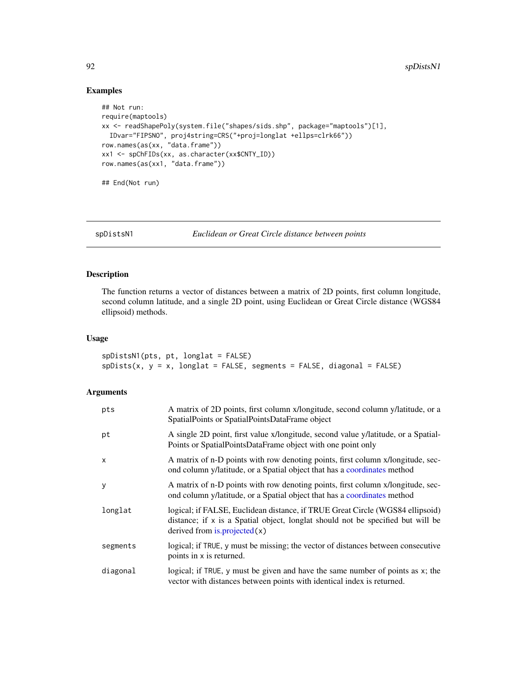# Examples

```
## Not run:
require(maptools)
xx <- readShapePoly(system.file("shapes/sids.shp", package="maptools")[1],
  IDvar="FIPSNO", proj4string=CRS("+proj=longlat +ellps=clrk66"))
row.names(as(xx, "data.frame"))
xx1 <- spChFIDs(xx, as.character(xx$CNTY_ID))
row.names(as(xx1, "data.frame"))
## End(Not run)
```
spDistsN1 *Euclidean or Great Circle distance between points*

# Description

The function returns a vector of distances between a matrix of 2D points, first column longitude, second column latitude, and a single 2D point, using Euclidean or Great Circle distance (WGS84 ellipsoid) methods.

#### Usage

```
spDistsN1(pts, pt, longlat = FALSE)
splists(x, y = x, longlat = FALSE, segments = FALSE, diagonal = FALSE)
```
#### Arguments

| pts          | A matrix of 2D points, first column x/longitude, second column y/latitude, or a<br>SpatialPoints or SpatialPointsDataFrame object                                                                  |
|--------------|----------------------------------------------------------------------------------------------------------------------------------------------------------------------------------------------------|
| pt           | A single 2D point, first value x/longitude, second value y/latitude, or a Spatial-<br>Points or SpatialPointsDataFrame object with one point only                                                  |
| $\mathsf{x}$ | A matrix of n-D points with row denoting points, first column x/longitude, sec-<br>ond column y/latitude, or a Spatial object that has a coordinates method                                        |
| y            | A matrix of n-D points with row denoting points, first column x/longitude, sec-<br>ond column y/latitude, or a Spatial object that has a coordinates method                                        |
| longlat      | logical; if FALSE, Euclidean distance, if TRUE Great Circle (WGS84 ellipsoid)<br>distance; if x is a Spatial object, longlat should not be specified but will be<br>derived from $is-projected(x)$ |
| segments     | logical; if TRUE, y must be missing; the vector of distances between consecutive<br>points in x is returned.                                                                                       |
| diagonal     | logical; if TRUE, y must be given and have the same number of points as x; the<br>vector with distances between points with identical index is returned.                                           |

<span id="page-91-0"></span>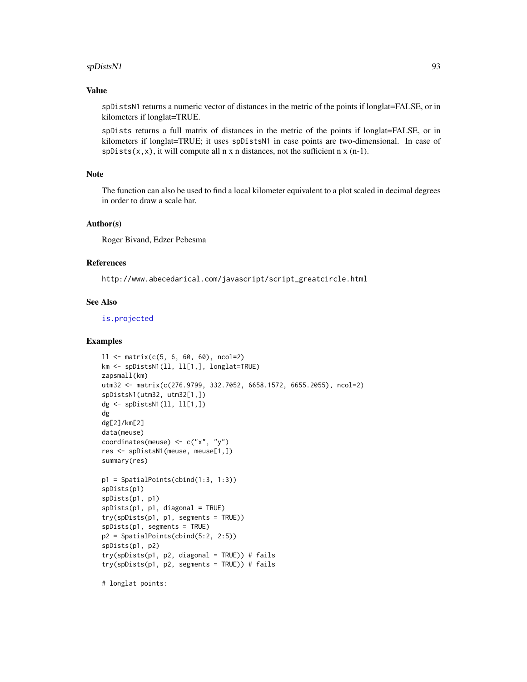#### spDistsN1 93

# Value

spDistsN1 returns a numeric vector of distances in the metric of the points if longlat=FALSE, or in kilometers if longlat=TRUE.

spDists returns a full matrix of distances in the metric of the points if longlat=FALSE, or in kilometers if longlat=TRUE; it uses spDistsN1 in case points are two-dimensional. In case of  $splists(x, x)$ , it will compute all n x n distances, not the sufficient n x (n-1).

#### Note

The function can also be used to find a local kilometer equivalent to a plot scaled in decimal degrees in order to draw a scale bar.

# Author(s)

Roger Bivand, Edzer Pebesma

# References

http://www.abecedarical.com/javascript/script\_greatcircle.html

#### See Also

[is.projected](#page-33-0)

```
11 \leftarrow \text{matrix}(c(5, 6, 60, 60), \text{ncol}=2)km <- spDistsN1(ll, ll[1,], longlat=TRUE)
zapsmall(km)
utm32 <- matrix(c(276.9799, 332.7052, 6658.1572, 6655.2055), ncol=2)
spDistsN1(utm32, utm32[1,])
dg <- spDistsN1(ll, ll[1,])
dg
dg[2]/km[2]
data(meuse)
coordinates(meuse) <- c("x", "y")
res <- spDistsN1(meuse, meuse[1,])
summary(res)
p1 = SpatialPoints(cbind(1:3, 1:3))spDists(p1)
spDists(p1, p1)
spDists(p1, p1, diagonal = TRUE)
try(spDists(p1, p1, segments = TRUE))
spDists(p1, segments = TRUE)
p2 = SpatialPoints(cbind(5:2, 2:5))
spDists(p1, p2)
try(spDists(p1, p2, diagonal = TRUE)) # fails
try(spDists(p1, p2, segments = TRUE)) # fails
# longlat points:
```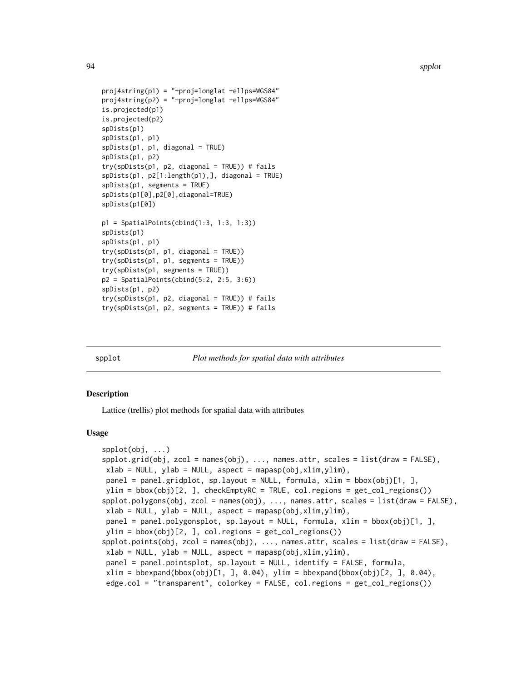```
proj4string(p1) = "+proj=longlat +ellps=WGS84"
proj4string(p2) = "+proj=longlat +ellps=WGS84"
is.projected(p1)
is.projected(p2)
spDists(p1)
spDists(p1, p1)
splists(p1, p1, diagonal = TRUE)spDists(p1, p2)
try(spDists(p1, p2, diagonal = TRUE)) # fails
splists(p1, p2[1:length(p1),], diagonal = TRUE)spDists(p1, segments = TRUE)
spDists(p1[0],p2[0],diagonal=TRUE)
spDists(p1[0])
p1 = SpatialPoints(cbind(1:3, 1:3, 1:3))
spDists(p1)
spDists(p1, p1)
try(spDists(p1, p1, diagonal = TRUE))
try(spDists(p1, p1, segments = TRUE))
try(spDists(p1, segments = TRUE))
p2 = SpatialPoints(cbind(5:2, 2:5, 3:6))
spDists(p1, p2)
try(spDists(p1, p2, diagonal = TRUE)) # fails
```
try(spDists(p1, p2, segments = TRUE)) # fails

<span id="page-93-0"></span>

spplot *Plot methods for spatial data with attributes*

#### <span id="page-93-1"></span>Description

Lattice (trellis) plot methods for spatial data with attributes

#### Usage

```
spplot(obj, ...)
spplot.grid(obj, zcol = names(obj), ..., names.attr, scales = list(draw = FALSE),
xlab = NULL, ylab = NULL, aspect = mapasp(obj,xlim, ylim),
panel = panel.gridplot, sp.layout = NULL, formula, xlim = bbox(obj)[1, ],
ylim = bbox(obj)[2, ], checkEmptyRC = TRUE, col.regions = get_col_regions())
spplot.polygons(obj, zcol = names(obj), ..., names.attr, scales = list(draw = FALSE),
xlab = NULL, ylab = NULL, aspect = mapasp(obj,xlim,ylim),
panel = panel.polygonsplot, sp.layout = NULL, formula, xlim = bbox(obj)[1, ],
ylim = bbox(obj)[2,], col. regions = get,col\_regions())spplot.points(obj, zcol = names(obj), ..., names.attr, scales = list(draw = FALSE),
xlab = NULL, ylab = NULL, aspect = mapasp(obj,xlim, ylim),
panel = panel.pointsplot, sp.layout = NULL, identify = FALSE, formula,
xlim = bbegin(bbox(obj)[1,], 0.04), ylim = bbexpand(bbox(obj)[2,], 0.04),edge.col = "transparent", colorkey = FALSE, col.regions = get_col_regions())
```
<span id="page-93-2"></span>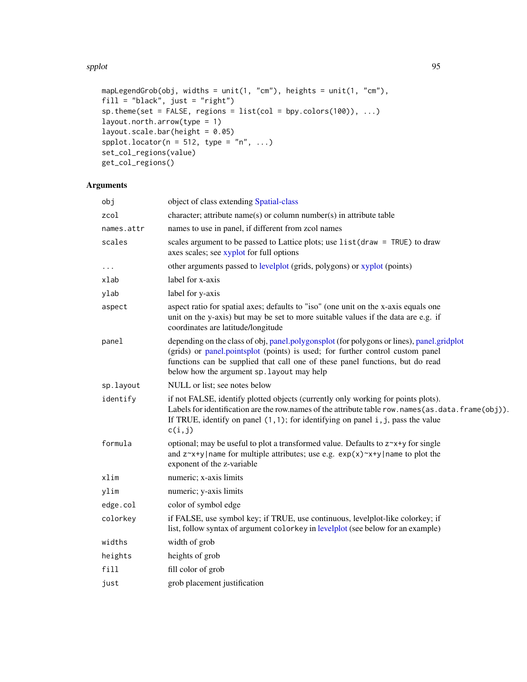spplot that the set of the set of the set of the set of the set of the set of the set of the set of the set of the set of the set of the set of the set of the set of the set of the set of the set of the set of the set of t

```
mapLegendGrob(obj, widths = unit(1, "cm"), heights = unit(1, "cm"),
fill = "black", just = "right")
sp.theme(set = FALSE, regions = list(col = hyp.colors(100)), ...)
layout.north.arrow(type = 1)
layout.scale.bar(height = 0.05)
spplot.locator(n = 512, type = "n", ...)
set_col_regions(value)
get_col_regions()
```
# Arguments

| obj        | object of class extending Spatial-class                                                                                                                                                                                                                                                                    |
|------------|------------------------------------------------------------------------------------------------------------------------------------------------------------------------------------------------------------------------------------------------------------------------------------------------------------|
| zcol       | character; attribute name(s) or column number(s) in attribute table                                                                                                                                                                                                                                        |
| names.attr | names to use in panel, if different from zcol names                                                                                                                                                                                                                                                        |
| scales     | scales argument to be passed to Lattice plots; use list (draw = TRUE) to draw<br>axes scales; see xyplot for full options                                                                                                                                                                                  |
| .          | other arguments passed to levelplot (grids, polygons) or xyplot (points)                                                                                                                                                                                                                                   |
| xlab       | label for x-axis                                                                                                                                                                                                                                                                                           |
| ylab       | label for y-axis                                                                                                                                                                                                                                                                                           |
| aspect     | aspect ratio for spatial axes; defaults to "iso" (one unit on the x-axis equals one<br>unit on the y-axis) but may be set to more suitable values if the data are e.g. if<br>coordinates are latitude/longitude                                                                                            |
| panel      | depending on the class of obj, panel.polygonsplot (for polygons or lines), panel.gridplot<br>(grids) or panel.pointsplot (points) is used; for further control custom panel<br>functions can be supplied that call one of these panel functions, but do read<br>below how the argument sp. layout may help |
| sp.layout  | NULL or list; see notes below                                                                                                                                                                                                                                                                              |
| identify   | if not FALSE, identify plotted objects (currently only working for points plots).<br>Labels for identification are the row.names of the attribute table row.names(as.data.frame(obj)).<br>If TRUE, identify on panel $(1,1)$ ; for identifying on panel i, j, pass the value<br>c(i,j)                     |
| formula    | optional; may be useful to plot a transformed value. Defaults to $z^x + y$ for single<br>and $z^x + y$ name for multiple attributes; use e.g. $exp(x)^x + y$ name to plot the<br>exponent of the z-variable                                                                                                |
| xlim       | numeric; x-axis limits                                                                                                                                                                                                                                                                                     |
| ylim       | numeric; y-axis limits                                                                                                                                                                                                                                                                                     |
| edge.col   | color of symbol edge                                                                                                                                                                                                                                                                                       |
| colorkey   | if FALSE, use symbol key; if TRUE, use continuous, levelplot-like colorkey; if<br>list, follow syntax of argument colorkey in levelplot (see below for an example)                                                                                                                                         |
| widths     | width of grob                                                                                                                                                                                                                                                                                              |
| heights    | heights of grob                                                                                                                                                                                                                                                                                            |
| fill       | fill color of grob                                                                                                                                                                                                                                                                                         |
| just       | grob placement justification                                                                                                                                                                                                                                                                               |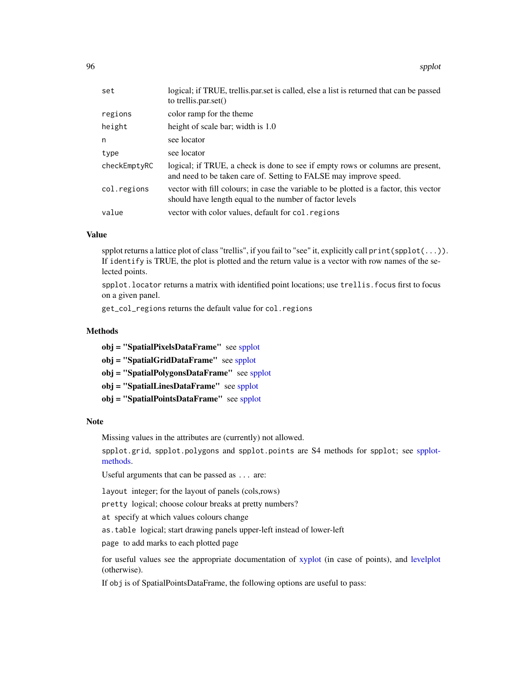96 spplot

| set          | logical; if TRUE, trellis.par.set is called, else a list is returned that can be passed<br>to trellis.par.set()                                     |
|--------------|-----------------------------------------------------------------------------------------------------------------------------------------------------|
| regions      | color ramp for the theme                                                                                                                            |
| height       | height of scale bar; width is 1.0                                                                                                                   |
| n            | see locator                                                                                                                                         |
| type         | see locator                                                                                                                                         |
| checkEmptyRC | logical; if TRUE, a check is done to see if empty rows or columns are present,<br>and need to be taken care of. Setting to FALSE may improve speed. |
| col.regions  | vector with fill colours; in case the variable to be plotted is a factor, this vector<br>should have length equal to the number of factor levels    |
| value        | vector with color values, default for col. regions                                                                                                  |

#### Value

spplot returns a lattice plot of class "trellis", if you fail to "see" it, explicitly call print(spplot(...)). If identify is TRUE, the plot is plotted and the return value is a vector with row names of the selected points.

spplot.locator returns a matrix with identified point locations; use trellis.focus first to focus on a given panel.

get\_col\_regions returns the default value for col.regions

# Methods

obj = "SpatialPixelsDataFrame" see [spplot](#page-93-0)

obj = "SpatialGridDataFrame" see [spplot](#page-93-0)

obj = "SpatialPolygonsDataFrame" see [spplot](#page-93-0)

obj = "SpatialLinesDataFrame" see [spplot](#page-93-0)

obj = "SpatialPointsDataFrame" see [spplot](#page-93-0)

# Note

Missing values in the attributes are (currently) not allowed.

spplot.grid, spplot.polygons and spplot.points are S4 methods for spplot; see [spplot](#page-93-1)[methods.](#page-93-1)

Useful arguments that can be passed as ... are:

layout integer; for the layout of panels (cols,rows)

pretty logical; choose colour breaks at pretty numbers?

at specify at which values colours change

as.table logical; start drawing panels upper-left instead of lower-left

page to add marks to each plotted page

for useful values see the appropriate documentation of [xyplot](#page-0-0) (in case of points), and [levelplot](#page-0-0) (otherwise).

If obj is of SpatialPointsDataFrame, the following options are useful to pass: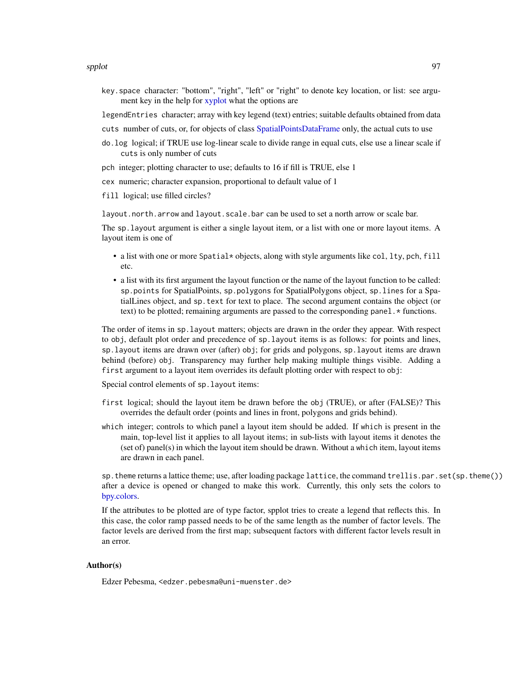key.space character: "bottom", "right", "left" or "right" to denote key location, or list: see argument key in the help for [xyplot](#page-0-0) what the options are

legendEntries character; array with key legend (text) entries; suitable defaults obtained from data

cuts number of cuts, or, for objects of class [SpatialPointsDataFrame](#page-80-1) only, the actual cuts to use

- do.log logical; if TRUE use log-linear scale to divide range in equal cuts, else use a linear scale if cuts is only number of cuts
- pch integer; plotting character to use; defaults to 16 if fill is TRUE, else 1
- cex numeric; character expansion, proportional to default value of 1

fill logical; use filled circles?

layout.north.arrow and layout.scale.bar can be used to set a north arrow or scale bar.

The sp.layout argument is either a single layout item, or a list with one or more layout items. A layout item is one of

- a list with one or more Spatial\* objects, along with style arguments like col, lty, pch, fill etc.
- a list with its first argument the layout function or the name of the layout function to be called: sp.points for SpatialPoints, sp.polygons for SpatialPolygons object, sp.lines for a SpatialLines object, and sp.text for text to place. The second argument contains the object (or text) to be plotted; remaining arguments are passed to the corresponding panel. \* functions.

The order of items in sp.layout matters; objects are drawn in the order they appear. With respect to obj, default plot order and precedence of sp.layout items is as follows: for points and lines, sp.layout items are drawn over (after) obj; for grids and polygons, sp.layout items are drawn behind (before) obj. Transparency may further help making multiple things visible. Adding a first argument to a layout item overrides its default plotting order with respect to obj:

Special control elements of sp.layout items:

- first logical; should the layout item be drawn before the obj (TRUE), or after (FALSE)? This overrides the default order (points and lines in front, polygons and grids behind).
- which integer; controls to which panel a layout item should be added. If which is present in the main, top-level list it applies to all layout items; in sub-lists with layout items it denotes the (set of) panel(s) in which the layout item should be drawn. Without a which item, layout items are drawn in each panel.

sp.theme returns a lattice theme; use, after loading package lattice, the command trellis.par.set(sp.theme()) after a device is opened or changed to make this work. Currently, this only sets the colors to [bpy.colors.](#page-10-0)

If the attributes to be plotted are of type factor, spplot tries to create a legend that reflects this. In this case, the color ramp passed needs to be of the same length as the number of factor levels. The factor levels are derived from the first map; subsequent factors with different factor levels result in an error.

#### Author(s)

Edzer Pebesma, <edzer.pebesma@uni-muenster.de>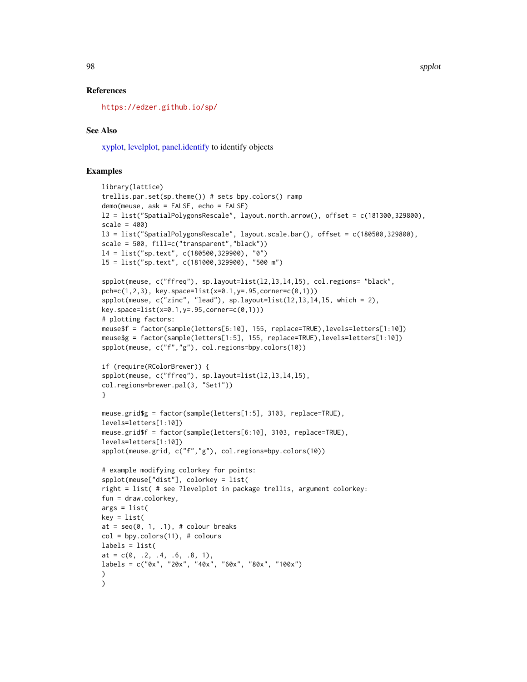98 spplot

# References

<https://edzer.github.io/sp/>

# See Also

[xyplot,](#page-0-0) [levelplot,](#page-0-0) [panel.identify](#page-0-0) to identify objects

```
library(lattice)
trellis.par.set(sp.theme()) # sets bpy.colors() ramp
demo(meuse, ask = FALSE, echo = FALSE)
l2 = list("SpatialPolygonsRescale", layout.north.arrow(), offset = c(181300,329800),
scale = 400)
l3 = list("SpatialPolygonsRescale", layout.scale.bar(), offset = c(180500,329800),
scale = 500, fill=c("transparent","black"))
l4 = list("sp.text", c(180500,329900), "0")
l5 = list("sp.text", c(181000,329900), "500 m")
spplot(meuse, c("ffreq"), sp.layout=list(l2,l3,l4,l5), col.regions= "black",
pch=c(1,2,3), key.space=list(x=0.1,y=.95,corner=c(0,1)))
spplot(meuse, c("zinc", "lead"), sp.layout=list(l2,l3,l4,l5, which = 2),
key.space=list(x=0.1,y=.95,corner=c(0,1)))
# plotting factors:
meuse$f = factor(sample(letters[6:10], 155, replace=TRUE),levels=letters[1:10])
meuse$g = factor(sample(letters[1:5], 155, replace=TRUE),levels=letters[1:10])
spplot(meuse, c("f","g"), col.regions=bpy.colors(10))
if (require(RColorBrewer)) {
spplot(meuse, c("ffreq"), sp.layout=list(l2,l3,l4,l5),
col.regions=brewer.pal(3, "Set1"))
}
meuse.grid$g = factor(sample(letters[1:5], 3103, replace=TRUE),
levels=letters[1:10])
meuse.grid$f = factor(sample(letters[6:10], 3103, replace=TRUE),
levels=letters[1:10])
spplot(meuse.grid, c("f","g"), col.regions=bpy.colors(10))
# example modifying colorkey for points:
spplot(meuse["dist"], colorkey = list(
right = list( # see ?levelplot in package trellis, argument colorkey:
fun = draw.colorkey,
args = list(key = list(at = seq(0, 1, .1), # colour breakscol = bpycolor(11), # colourslabels = list(
at = c(0, 0.2, 0.4, 0.6, 0.8, 1),
labels = c("0x", "20x", "40x", "60x", "80x", "100x")
)
)
```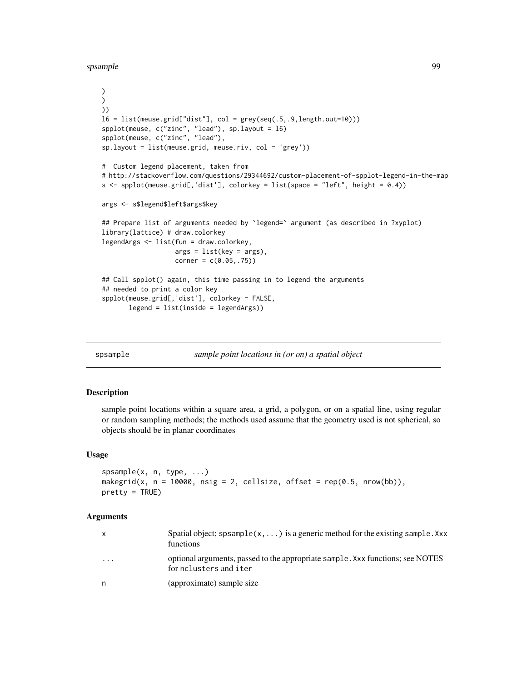<span id="page-98-1"></span>spsample 99

```
)
\mathcal{L}))
16 = list(mense.grid['dist''], col = grey(seq(.5,.9, length.out=10)))spplot(meuse, c("zinc", "lead"), sp.layout = l6)
spplot(meuse, c("zinc", "lead"),
sp.layout = list(meuse.grid, meuse.riv, col = 'grey'))
# Custom legend placement, taken from
# http://stackoverflow.com/questions/29344692/custom-placement-of-spplot-legend-in-the-map
s <- spplot(meuse.grid[,'dist'], colorkey = list(space = "left", height = 0.4))
args <- s$legend$left$args$key
## Prepare list of arguments needed by 'legend=' argument (as described in ?xyplot)
library(lattice) # draw.colorkey
legendArgs <- list(fun = draw.colorkey,
                   args = list(key = args),
                   corner = c(0.05, .75)## Call spplot() again, this time passing in to legend the arguments
## needed to print a color key
spplot(meuse.grid[,'dist'], colorkey = FALSE,
       legend = list(inside = legendArgs))
```
spsample *sample point locations in (or on) a spatial object*

# <span id="page-98-0"></span>Description

sample point locations within a square area, a grid, a polygon, or on a spatial line, using regular or random sampling methods; the methods used assume that the geometry used is not spherical, so objects should be in planar coordinates

# Usage

```
spsample(x, n, type, ...)
makegrid(x, n = 10000, nsig = 2, cellsize, offset = rep(0.5, nrow(bb)),
pretty = TRUE)
```
#### Arguments

| $\mathsf{x}$            | Spatial object; spsample( $x, \ldots$ ) is a generic method for the existing sample. Xxx<br>functions    |
|-------------------------|----------------------------------------------------------------------------------------------------------|
| $\cdot$ $\cdot$ $\cdot$ | optional arguments, passed to the appropriate sample. Xxx functions; see NOTES<br>for nolusters and iter |
| n.                      | (approximate) sample size                                                                                |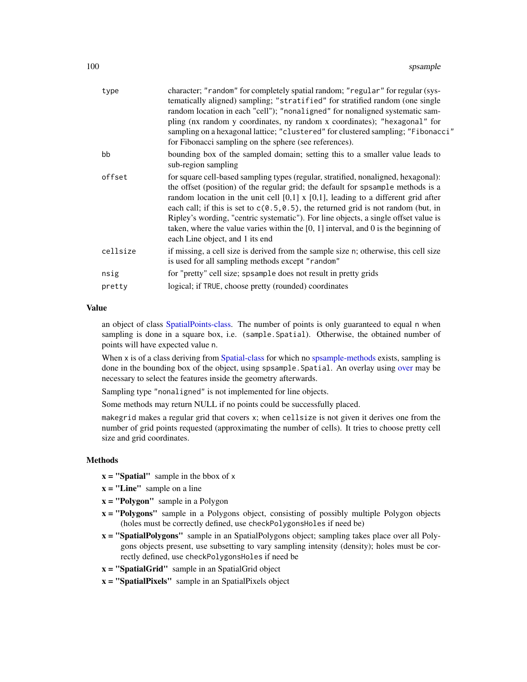| type     | character; "random" for completely spatial random; "regular" for regular (sys-<br>tematically aligned) sampling; "stratified" for stratified random (one single<br>random location in each "cell"); "nonaligned" for nonaligned systematic sam-<br>pling (nx random y coordinates, ny random x coordinates); "hexagonal" for<br>sampling on a hexagonal lattice; "clustered" for clustered sampling; "Fibonacci"<br>for Fibonacci sampling on the sphere (see references).                                                                                                   |
|----------|------------------------------------------------------------------------------------------------------------------------------------------------------------------------------------------------------------------------------------------------------------------------------------------------------------------------------------------------------------------------------------------------------------------------------------------------------------------------------------------------------------------------------------------------------------------------------|
| bb       | bounding box of the sampled domain; setting this to a smaller value leads to<br>sub-region sampling                                                                                                                                                                                                                                                                                                                                                                                                                                                                          |
| offset   | for square cell-based sampling types (regular, stratified, nonaligned, hexagonal):<br>the offset (position) of the regular grid; the default for spsample methods is a<br>random location in the unit cell $[0,1]$ x $[0,1]$ , leading to a different grid after<br>each call; if this is set to $c(0.5, 0.5)$ , the returned grid is not random (but, in<br>Ripley's wording, "centric systematic"). For line objects, a single offset value is<br>taken, where the value varies within the $[0, 1]$ interval, and 0 is the beginning of<br>each Line object, and 1 its end |
| cellsize | if missing, a cell size is derived from the sample size n; otherwise, this cell size<br>is used for all sampling methods except "random"                                                                                                                                                                                                                                                                                                                                                                                                                                     |
| nsig     | for "pretty" cell size; spsample does not result in pretty grids                                                                                                                                                                                                                                                                                                                                                                                                                                                                                                             |
| pretty   | logical; if TRUE, choose pretty (rounded) coordinates                                                                                                                                                                                                                                                                                                                                                                                                                                                                                                                        |
|          |                                                                                                                                                                                                                                                                                                                                                                                                                                                                                                                                                                              |

#### Value

an object of class [SpatialPoints-class.](#page-81-0) The number of points is only guaranteed to equal n when sampling is done in a square box, i.e. (sample. Spatial). Otherwise, the obtained number of points will have expected value n.

When x is of a class deriving from [Spatial-class](#page-59-0) for which no [spsample-methods](#page-98-0) exists, sampling is done in the bounding box of the object, using spsample.Spatial. An overlay using [over](#page-44-0) may be necessary to select the features inside the geometry afterwards.

Sampling type "nonaligned" is not implemented for line objects.

Some methods may return NULL if no points could be successfully placed.

makegrid makes a regular grid that covers x; when cellsize is not given it derives one from the number of grid points requested (approximating the number of cells). It tries to choose pretty cell size and grid coordinates.

# Methods

- $x =$  "Spatial" sample in the bbox of x
- $x =$ "Line" sample on a line
- $x = "Polygon"$  sample in a Polygon
- x = "Polygons" sample in a Polygons object, consisting of possibly multiple Polygon objects (holes must be correctly defined, use checkPolygonsHoles if need be)
- x = "SpatialPolygons" sample in an SpatialPolygons object; sampling takes place over all Polygons objects present, use subsetting to vary sampling intensity (density); holes must be correctly defined, use checkPolygonsHoles if need be
- $x =$  "SpatialGrid" sample in an SpatialGrid object
- $x =$  "SpatialPixels" sample in an SpatialPixels object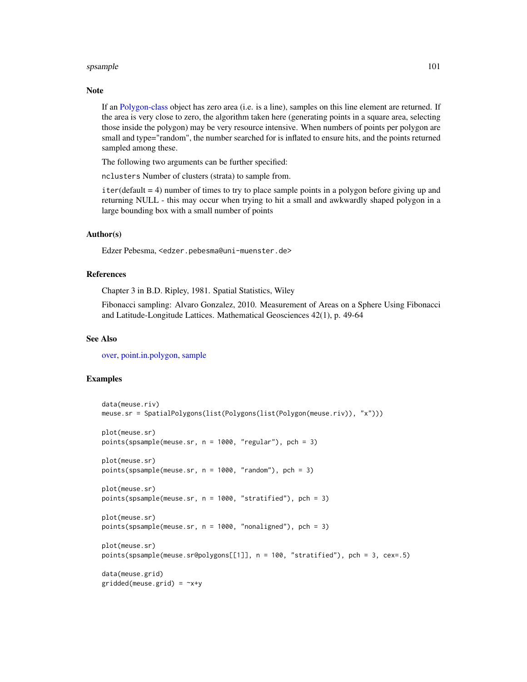#### spsample that the spanner of the spanner of the spanner of the spanner of the spanner of the spanner of the spanner of the spanner of the spanner of the spanner of the spanner of the spanner of the spanner of the spanner o

#### Note

If an [Polygon-class](#page-50-0) object has zero area (i.e. is a line), samples on this line element are returned. If the area is very close to zero, the algorithm taken here (generating points in a square area, selecting those inside the polygon) may be very resource intensive. When numbers of points per polygon are small and type="random", the number searched for is inflated to ensure hits, and the points returned sampled among these.

The following two arguments can be further specified:

nclusters Number of clusters (strata) to sample from.

iter(default = 4) number of times to try to place sample points in a polygon before giving up and returning NULL - this may occur when trying to hit a small and awkwardly shaped polygon in a large bounding box with a small number of points

# Author(s)

Edzer Pebesma, <edzer.pebesma@uni-muenster.de>

#### References

Chapter 3 in B.D. Ripley, 1981. Spatial Statistics, Wiley

Fibonacci sampling: Alvaro Gonzalez, 2010. Measurement of Areas on a Sphere Using Fibonacci and Latitude-Longitude Lattices. Mathematical Geosciences 42(1), p. 49-64

#### See Also

[over,](#page-44-0) [point.in.polygon,](#page-49-0) [sample](#page-0-0)

```
data(meuse.riv)
meuse.sr = SpatialPolygons(list(Polygons(list(Polygon(meuse.riv)), "x")))
plot(meuse.sr)
points(spsample(meuse.sr, n = 1000, "regular"), pch = 3)
plot(meuse.sr)
points(spsample(meuse.sr, n = 1000, "random"), pch = 3)
plot(meuse.sr)
points(spsample(meuse.sr, n = 1000, "stratified"), pch = 3)
plot(meuse.sr)
points(spsample(meuse.sr, n = 1000, "nonaligned"), pch = 3)
plot(meuse.sr)
points(spsample(meuse.sr@polygons[[1]], n = 100, "stratified"), pch = 3, cex=.5)
data(meuse.grid)
gridded(meuse.grid) = \gamma x + y
```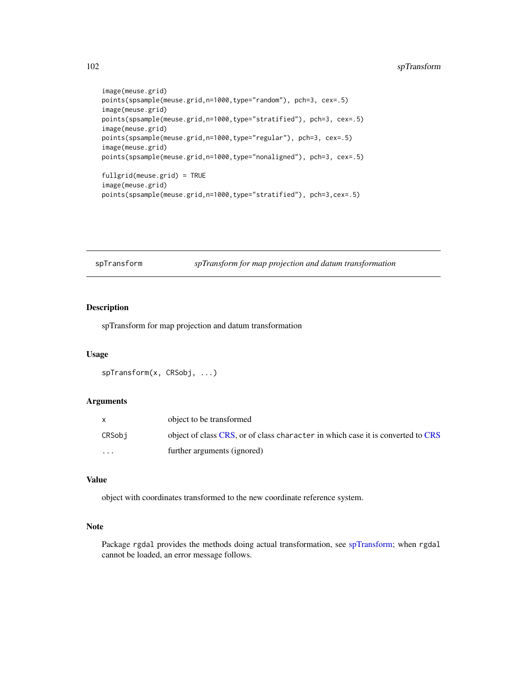```
image(meuse.grid)
points(spsample(meuse.grid,n=1000,type="random"), pch=3, cex=.5)
image(meuse.grid)
points(spsample(meuse.grid,n=1000,type="stratified"), pch=3, cex=.5)
image(meuse.grid)
points(spsample(meuse.grid,n=1000,type="regular"), pch=3, cex=.5)
image(meuse.grid)
points(spsample(meuse.grid,n=1000,type="nonaligned"), pch=3, cex=.5)
fullgrid(meuse.grid) = TRUE
image(meuse.grid)
```
points(spsample(meuse.grid,n=1000,type="stratified"), pch=3,cex=.5)

<span id="page-101-0"></span>spTransform *spTransform for map projection and datum transformation*

#### Description

spTransform for map projection and datum transformation

#### Usage

```
spTransform(x, CRSobj, ...)
```
#### Arguments

|         | object to be transformed                                                        |
|---------|---------------------------------------------------------------------------------|
| CRSobi  | object of class CRS, or of class character in which case it is converted to CRS |
| $\cdot$ | further arguments (ignored)                                                     |

# Value

object with coordinates transformed to the new coordinate reference system.

# Note

Package rgdal provides the methods doing actual transformation, see [spTransform;](#page-101-0) when rgdal cannot be loaded, an error message follows.

<span id="page-101-1"></span>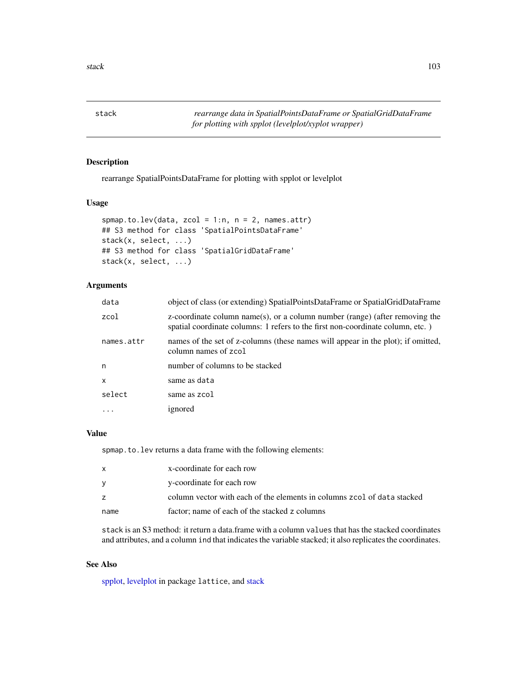<span id="page-102-1"></span><span id="page-102-0"></span>stack *rearrange data in SpatialPointsDataFrame or SpatialGridDataFrame for plotting with spplot (levelplot/xyplot wrapper)*

# Description

rearrange SpatialPointsDataFrame for plotting with spplot or levelplot

# Usage

```
spmap.to.lev(data, zcol = 1:n, n = 2, names.attr)
## S3 method for class 'SpatialPointsDataFrame'
stack(x, select, ...)
## S3 method for class 'SpatialGridDataFrame'
stack(x, select, ...)
```
# Arguments

| data         | object of class (or extending) SpatialPointsDataFrame or SpatialGridDataFrame                                                                                 |
|--------------|---------------------------------------------------------------------------------------------------------------------------------------------------------------|
| zcol         | z-coordinate column name(s), or a column number (range) (after removing the<br>spatial coordinate columns: 1 refers to the first non-coordinate column, etc.) |
| names.attr   | names of the set of z-columns (these names will appear in the plot); if omitted,<br>column names of zcol                                                      |
| n            | number of columns to be stacked                                                                                                                               |
| $\mathsf{x}$ | same as data                                                                                                                                                  |
| select       | same as zcol                                                                                                                                                  |
| .            | ignored                                                                                                                                                       |

# Value

spmap.to.lev returns a data frame with the following elements:

|      | x-coordinate for each row                                               |
|------|-------------------------------------------------------------------------|
|      | y-coordinate for each row                                               |
|      | column vector with each of the elements in columns zcol of data stacked |
| name | factor; name of each of the stacked z columns                           |

stack is an S3 method: it return a data.frame with a column values that has the stacked coordinates and attributes, and a column ind that indicates the variable stacked; it also replicates the coordinates.

# See Also

[spplot,](#page-93-0) [levelplot](#page-0-0) in package lattice, and [stack](#page-102-0)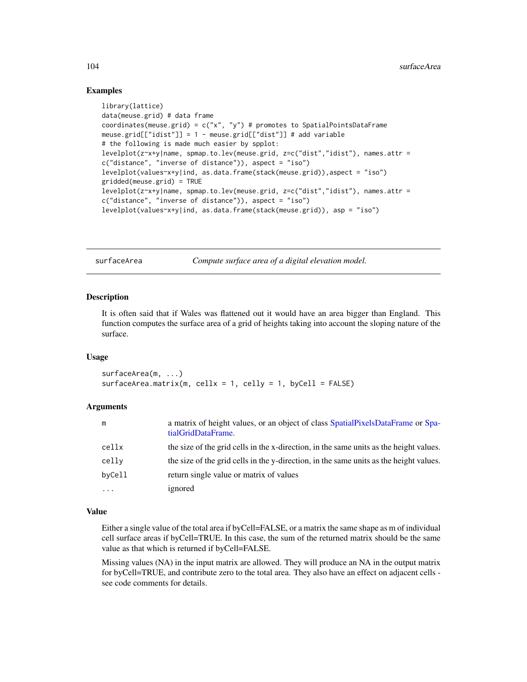# <span id="page-103-0"></span>Examples

```
library(lattice)
data(meuse.grid) # data frame
coordinates(meuse.grid) = c("x", "y") # promotes to SpatialPointsDataFrame
meuse.grid[["idist"]] = 1 - meuse.grid[["dist"]] # add variable
# the following is made much easier by spplot:
levelplot(z~x+y|name, spmap.to.lev(meuse.grid, z=c("dist","idist"), names.attr =
c("distance", "inverse of distance")), aspect = "iso")
levelplot(values~x+y|ind, as.data.frame(stack(meuse.grid)),aspect = "iso")
gridded(meuse.grid) = TRUE
levelplot(z~x+y|name, spmap.to.lev(meuse.grid, z=c("dist","idist"), names.attr =
c("distance", "inverse of distance")), aspect = "iso")
levelplot(values~x+y|ind, as.data.frame(stack(meuse.grid)), asp = "iso")
```
surfaceArea *Compute surface area of a digital elevation model.*

#### Description

It is often said that if Wales was flattened out it would have an area bigger than England. This function computes the surface area of a grid of heights taking into account the sloping nature of the surface.

#### Usage

surfaceArea(m, ...) surfaceArea.matrix(m, cellx = 1, celly = 1, byCell = FALSE)

#### Arguments

| m        | a matrix of height values, or an object of class SpatialPixelsDataFrame or Spa-<br>tialGridDataFrame. |
|----------|-------------------------------------------------------------------------------------------------------|
| cellx    | the size of the grid cells in the x-direction, in the same units as the height values.                |
| celly    | the size of the grid cells in the y-direction, in the same units as the height values.                |
| byCell   | return single value or matrix of values                                                               |
| $\cdots$ | ignored                                                                                               |

# Value

Either a single value of the total area if byCell=FALSE, or a matrix the same shape as m of individual cell surface areas if byCell=TRUE. In this case, the sum of the returned matrix should be the same value as that which is returned if byCell=FALSE.

Missing values (NA) in the input matrix are allowed. They will produce an NA in the output matrix for byCell=TRUE, and contribute zero to the total area. They also have an effect on adjacent cells see code comments for details.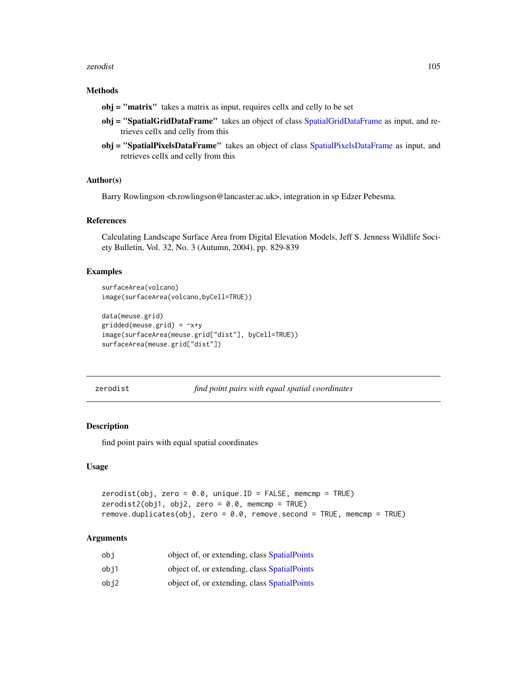#### <span id="page-104-0"></span>zerodist 105

#### Methods

- obj = "matrix" takes a matrix as input, requires cellx and celly to be set
- obj = "SpatialGridDataFrame" takes an object of class [SpatialGridDataFrame](#page-77-1) as input, and retrieves cellx and celly from this
- obj = "SpatialPixelsDataFrame" takes an object of class [SpatialPixelsDataFrame](#page-77-0) as input, and retrieves cellx and celly from this

# Author(s)

Barry Rowlingson <br/>throwlingson@lancaster.ac.uk>, integration in sp Edzer Pebesma.

#### References

Calculating Landscape Surface Area from Digital Elevation Models, Jeff S. Jenness Wildlife Society Bulletin, Vol. 32, No. 3 (Autumn, 2004), pp. 829-839

#### Examples

```
surfaceArea(volcano)
image(surfaceArea(volcano,byCell=TRUE))
```

```
data(meuse.grid)
gridded(meuse.grid) = \gamma x + yimage(surfaceArea(meuse.grid["dist"], byCell=TRUE))
surfaceArea(meuse.grid["dist"])
```
zerodist *find point pairs with equal spatial coordinates*

# Description

find point pairs with equal spatial coordinates

#### Usage

```
zerodist(obj, zero = 0.0, unique.ID = FALSE, memory = TRUE)zerodist2(obj1, obj2, zero = 0.0, memcmp = TRUE)remove.duplicates(obj, zero = 0.0, remove.second = TRUE, memcmp = TRUE)
```
#### Arguments

| obi  | object of, or extending, class SpatialPoints |
|------|----------------------------------------------|
| obi1 | object of, or extending, class SpatialPoints |
| obj2 | object of, or extending, class SpatialPoints |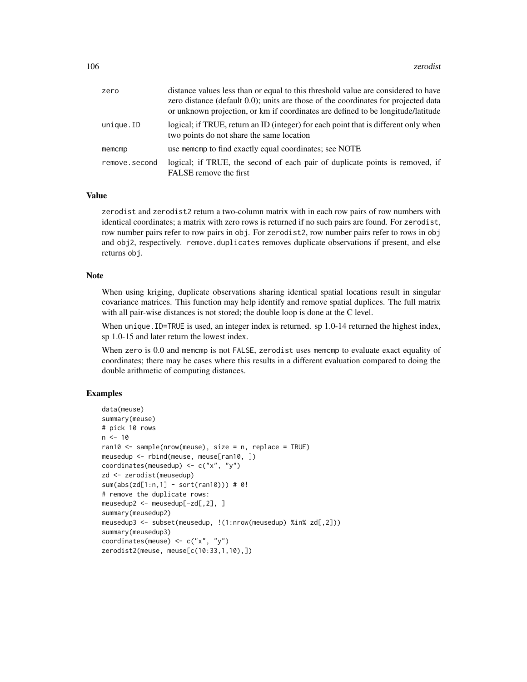| zero          | distance values less than or equal to this threshold value are considered to have<br>zero distance (default 0.0); units are those of the coordinates for projected data<br>or unknown projection, or km if coordinates are defined to be longitude/latitude |
|---------------|-------------------------------------------------------------------------------------------------------------------------------------------------------------------------------------------------------------------------------------------------------------|
| unique.ID     | logical; if TRUE, return an ID (integer) for each point that is different only when<br>two points do not share the same location                                                                                                                            |
| memcmp        | use memomp to find exactly equal coordinates; see NOTE                                                                                                                                                                                                      |
| remove.second | logical; if TRUE, the second of each pair of duplicate points is removed, if<br>FALSE remove the first                                                                                                                                                      |

#### Value

zerodist and zerodist2 return a two-column matrix with in each row pairs of row numbers with identical coordinates; a matrix with zero rows is returned if no such pairs are found. For zerodist, row number pairs refer to row pairs in obj. For zerodist2, row number pairs refer to rows in obj and obj2, respectively. remove.duplicates removes duplicate observations if present, and else returns obj.

#### **Note**

When using kriging, duplicate observations sharing identical spatial locations result in singular covariance matrices. This function may help identify and remove spatial duplices. The full matrix with all pair-wise distances is not stored; the double loop is done at the C level.

When unique. ID=TRUE is used, an integer index is returned. sp 1.0-14 returned the highest index, sp 1.0-15 and later return the lowest index.

When zero is 0.0 and memcmp is not FALSE, zerodist uses memcmp to evaluate exact equality of coordinates; there may be cases where this results in a different evaluation compared to doing the double arithmetic of computing distances.

```
data(meuse)
summary(meuse)
# pick 10 rows
n < -10ran10 <- sample(nrow(meuse), size = n, replace = TRUE)
meusedup <- rbind(meuse, meuse[ran10, ])
coordinates(meusedup) \leq c("x", "y")
zd <- zerodist(meusedup)
sum(abs(zd[1:n,1] - sort(ran10))) # 0!
# remove the duplicate rows:
meusedup2 <- meusedup[-zd[,2], ]
summary(meusedup2)
meusedup3 <- subset(meusedup, !(1:nrow(meusedup) %in% zd[,2]))
summary(meusedup3)
coordinates(meuse) <- c("x", "y")
zerodist2(meuse, meuse[c(10:33,1,10),])
```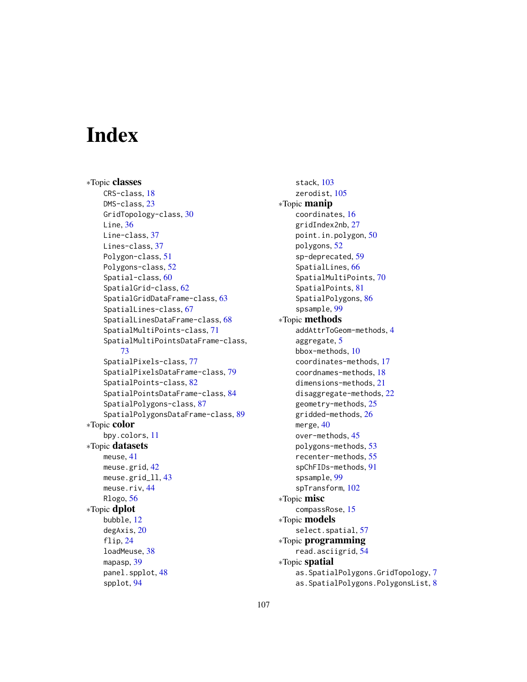# **Index**

∗Topic classes CRS-class, [18](#page-17-2) DMS-class, [23](#page-22-0) GridTopology-class, [30](#page-29-1) Line, [36](#page-35-0) Line-class, [37](#page-36-0) Lines-class, [37](#page-36-0) Polygon-class, [51](#page-50-1) Polygons-class, [52](#page-51-1) Spatial-class, [60](#page-59-1) SpatialGrid-class, [62](#page-61-1) SpatialGridDataFrame-class, [63](#page-62-1) SpatialLines-class, [67](#page-66-0) SpatialLinesDataFrame-class, [68](#page-67-0) SpatialMultiPoints-class, [71](#page-70-1) SpatialMultiPointsDataFrame-class, [73](#page-72-0) SpatialPixels-class, [77](#page-76-1) SpatialPixelsDataFrame-class, [79](#page-78-1) SpatialPoints-class, [82](#page-81-1) SpatialPointsDataFrame-class, [84](#page-83-1) SpatialPolygons-class, [87](#page-86-1) SpatialPolygonsDataFrame-class, [89](#page-88-1) ∗Topic color bpy.colors, [11](#page-10-1) ∗Topic datasets meuse, [41](#page-40-0) meuse.grid, [42](#page-41-0) meuse.grid\_ll, [43](#page-42-0) meuse.riv, [44](#page-43-0) Rlogo, [56](#page-55-0) ∗Topic dplot bubble, [12](#page-11-0) degAxis, [20](#page-19-0) flip, [24](#page-23-0) loadMeuse, [38](#page-37-0) mapasp, [39](#page-38-0) panel.spplot, [48](#page-47-1) spplot, [94](#page-93-2)

stack, [103](#page-102-1) zerodist, [105](#page-104-0) ∗Topic manip coordinates, [16](#page-15-2) gridIndex2nb, [27](#page-26-0) point.in.polygon, [50](#page-49-1) polygons, [52](#page-51-1) sp-deprecated, [59](#page-58-0) SpatialLines, [66](#page-65-0) SpatialMultiPoints, [70](#page-69-0) SpatialPoints, [81](#page-80-2) SpatialPolygons, [86](#page-85-2) spsample, [99](#page-98-1) ∗Topic methods addAttrToGeom-methods, [4](#page-3-0) aggregate, [5](#page-4-0) bbox-methods, [10](#page-9-0) coordinates-methods, [17](#page-16-0) coordnames-methods, [18](#page-17-2) dimensions-methods, [21](#page-20-0) disaggregate-methods, [22](#page-21-0) geometry-methods, [25](#page-24-0) gridded-methods, [26](#page-25-1) merge, [40](#page-39-0) over-methods, [45](#page-44-1) polygons-methods, [53](#page-52-0) recenter-methods, [55](#page-54-0) spChFIDs-methods, [91](#page-90-1) spsample, [99](#page-98-1) spTransform, [102](#page-101-1) ∗Topic misc compassRose, [15](#page-14-0) ∗Topic models select.spatial, [57](#page-56-0) ∗Topic programming read.asciigrid, [54](#page-53-0) ∗Topic spatial as.SpatialPolygons.GridTopology, [7](#page-6-0) as.SpatialPolygons.PolygonsList, [8](#page-7-0)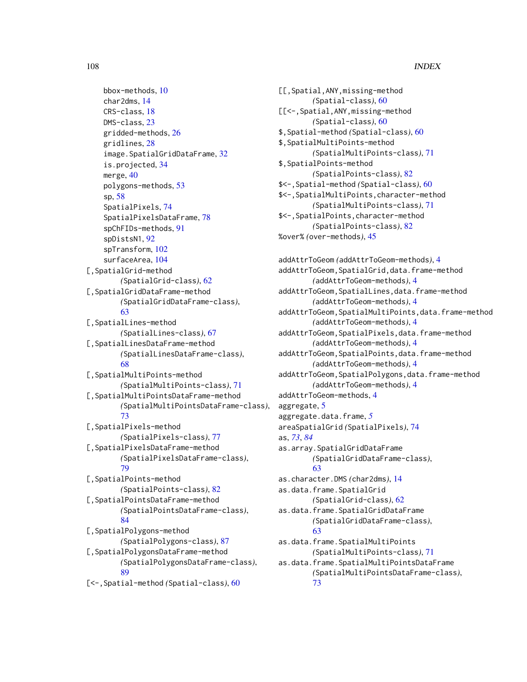bbox-methods, [10](#page-9-0) char2dms, [14](#page-13-0) CRS-class, [18](#page-17-2) DMS-class, [23](#page-22-0) gridded-methods, [26](#page-25-1) gridlines, [28](#page-27-0) image.SpatialGridDataFrame, [32](#page-31-0) is.projected, [34](#page-33-1) merge, [40](#page-39-0) polygons-methods, [53](#page-52-0) sp, [58](#page-57-0) SpatialPixels, [74](#page-73-1) SpatialPixelsDataFrame, [78](#page-77-2) spChFIDs-methods, [91](#page-90-1) spDistsN1, [92](#page-91-0) spTransform, [102](#page-101-1) surfaceArea, [104](#page-103-0) [,SpatialGrid-method *(*SpatialGrid-class*)*, [62](#page-61-1) [,SpatialGridDataFrame-method *(*SpatialGridDataFrame-class*)*, [63](#page-62-1) [,SpatialLines-method *(*SpatialLines-class*)*, [67](#page-66-0) [,SpatialLinesDataFrame-method *(*SpatialLinesDataFrame-class*)*, [68](#page-67-0) [,SpatialMultiPoints-method *(*SpatialMultiPoints-class*)*, [71](#page-70-1) [,SpatialMultiPointsDataFrame-method *(*SpatialMultiPointsDataFrame-class*)*, [73](#page-72-0) [,SpatialPixels-method *(*SpatialPixels-class*)*, [77](#page-76-1) [,SpatialPixelsDataFrame-method *(*SpatialPixelsDataFrame-class*)*, [79](#page-78-1) [,SpatialPoints-method *(*SpatialPoints-class*)*, [82](#page-81-1) [,SpatialPointsDataFrame-method *(*SpatialPointsDataFrame-class*)*, [84](#page-83-1) [,SpatialPolygons-method *(*SpatialPolygons-class*)*, [87](#page-86-1) [,SpatialPolygonsDataFrame-method *(*SpatialPolygonsDataFrame-class*)*, [89](#page-88-1) [<-,Spatial-method *(*Spatial-class*)*, [60](#page-59-1)

```
[[,Spatial,ANY,missing-method
        (Spatial-class), 60
[[<-,Spatial,ANY,missing-method
        (Spatial-class), 60
$,Spatial-method (Spatial-class), 60
$,SpatialMultiPoints-method
        (SpatialMultiPoints-class), 71
$,SpatialPoints-method
        (SpatialPoints-class), 82
$<-,Spatial-method (Spatial-class), 60
$<-,SpatialMultiPoints,character-method
        (SpatialMultiPoints-class), 71
$<-,SpatialPoints,character-method
        (SpatialPoints-class), 82
%over% (over-methods), 45
```
addAttrToGeom *(*addAttrToGeom-methods*)*, [4](#page-3-0) addAttrToGeom,SpatialGrid,data.frame-method *(*addAttrToGeom-methods*)*, [4](#page-3-0) addAttrToGeom,SpatialLines,data.frame-method *(*addAttrToGeom-methods*)*, [4](#page-3-0) addAttrToGeom,SpatialMultiPoints,data.frame-method *(*addAttrToGeom-methods*)*, [4](#page-3-0) addAttrToGeom,SpatialPixels,data.frame-method *(*addAttrToGeom-methods*)*, [4](#page-3-0) addAttrToGeom,SpatialPoints,data.frame-method *(*addAttrToGeom-methods*)*, [4](#page-3-0) addAttrToGeom,SpatialPolygons,data.frame-method *(*addAttrToGeom-methods*)*, [4](#page-3-0) addAttrToGeom-methods, [4](#page-3-0) aggregate, [5](#page-4-0) aggregate.data.frame, *[5](#page-4-0)* areaSpatialGrid *(*SpatialPixels*)*, [74](#page-73-1) as, *[73](#page-72-0)*, *[84](#page-83-1)* as.array.SpatialGridDataFrame *(*SpatialGridDataFrame-class*)*, [63](#page-62-1) as.character.DMS *(*char2dms*)*, [14](#page-13-0) as.data.frame.SpatialGrid *(*SpatialGrid-class*)*, [62](#page-61-1) as.data.frame.SpatialGridDataFrame *(*SpatialGridDataFrame-class*)*, [63](#page-62-1) as.data.frame.SpatialMultiPoints *(*SpatialMultiPoints-class*)*, [71](#page-70-1) as.data.frame.SpatialMultiPointsDataFrame *(*SpatialMultiPointsDataFrame-class*)*, [73](#page-72-0)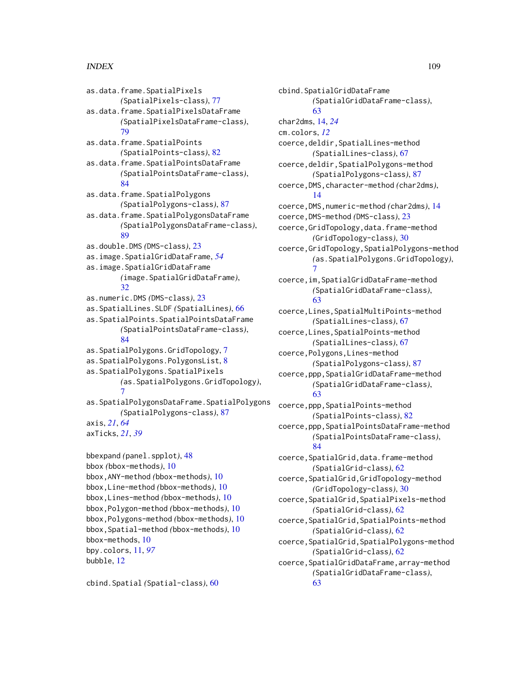as.data.frame.SpatialPixels *(*SpatialPixels-class*)*, [77](#page-76-0) as.data.frame.SpatialPixelsDataFrame *(*SpatialPixelsDataFrame-class*)*, [79](#page-78-0) as.data.frame.SpatialPoints *(*SpatialPoints-class*)*, [82](#page-81-0) as.data.frame.SpatialPointsDataFrame *(*SpatialPointsDataFrame-class*)*, [84](#page-83-0) as.data.frame.SpatialPolygons *(*SpatialPolygons-class*)*, [87](#page-86-0) as.data.frame.SpatialPolygonsDataFrame *(*SpatialPolygonsDataFrame-class*)*,  $80$ as.double.DMS *(*DMS-class*)*, [23](#page-22-0) as.image.SpatialGridDataFrame, *[54](#page-53-0)* as.image.SpatialGridDataFrame *(*image.SpatialGridDataFrame*)*, [32](#page-31-0) as.numeric.DMS *(*DMS-class*)*, [23](#page-22-0) as.SpatialLines.SLDF *(*SpatialLines*)*, [66](#page-65-0) as.SpatialPoints.SpatialPointsDataFrame *(*SpatialPointsDataFrame-class*)*, [84](#page-83-0) as.SpatialPolygons.GridTopology, [7](#page-6-0) as.SpatialPolygons.PolygonsList, [8](#page-7-0) as.SpatialPolygons.SpatialPixels *(*as.SpatialPolygons.GridTopology*)*, [7](#page-6-0) as.SpatialPolygonsDataFrame.SpatialPolygons *(*SpatialPolygons-class*)*, [87](#page-86-0) axis, *[21](#page-20-0)*, *[64](#page-63-0)* axTicks, *[21](#page-20-0)*, *[39](#page-38-0)* bbexpand *(*panel.spplot*)*, [48](#page-47-0) bbox *(*bbox-methods*)*, [10](#page-9-0)

```
bbox,ANY-method (bbox-methods), 10
bbox,Line-method (bbox-methods), 10
bbox,Lines-method (bbox-methods), 10
bbox,Polygon-method (bbox-methods), 10
bbox,Polygons-method (bbox-methods), 10
bbox,Spatial-method (bbox-methods), 10
bbox-methods, 10
bpy.colors, 11, 97
bubble, 12
```
cbind.Spatial *(*Spatial-class*)*, [60](#page-59-0)

cbind.SpatialGridDataFrame *(*SpatialGridDataFrame-class*)*, [63](#page-62-0) char2dms, [14,](#page-13-0) *[24](#page-23-0)* cm.colors, *[12](#page-11-0)* coerce,deldir,SpatialLines-method *(*SpatialLines-class*)*, [67](#page-66-0) coerce,deldir,SpatialPolygons-method *(*SpatialPolygons-class*)*, [87](#page-86-0) coerce,DMS,character-method *(*char2dms*)*, [14](#page-13-0) coerce,DMS,numeric-method *(*char2dms*)*, [14](#page-13-0) coerce,DMS-method *(*DMS-class*)*, [23](#page-22-0) coerce,GridTopology,data.frame-method *(*GridTopology-class*)*, [30](#page-29-0) coerce,GridTopology,SpatialPolygons-method *(*as.SpatialPolygons.GridTopology*)*, [7](#page-6-0) coerce,im,SpatialGridDataFrame-method *(*SpatialGridDataFrame-class*)*, [63](#page-62-0) coerce,Lines,SpatialMultiPoints-method *(*SpatialLines-class*)*, [67](#page-66-0) coerce,Lines,SpatialPoints-method *(*SpatialLines-class*)*, [67](#page-66-0) coerce,Polygons,Lines-method *(*SpatialPolygons-class*)*, [87](#page-86-0) coerce,ppp,SpatialGridDataFrame-method *(*SpatialGridDataFrame-class*)*, [63](#page-62-0) coerce,ppp,SpatialPoints-method *(*SpatialPoints-class*)*, [82](#page-81-0) coerce,ppp,SpatialPointsDataFrame-method *(*SpatialPointsDataFrame-class*)*, [84](#page-83-0) coerce,SpatialGrid,data.frame-method *(*SpatialGrid-class*)*, [62](#page-61-0) coerce,SpatialGrid,GridTopology-method *(*GridTopology-class*)*, [30](#page-29-0) coerce,SpatialGrid,SpatialPixels-method *(*SpatialGrid-class*)*, [62](#page-61-0) coerce,SpatialGrid,SpatialPoints-method *(*SpatialGrid-class*)*, [62](#page-61-0) coerce,SpatialGrid,SpatialPolygons-method *(*SpatialGrid-class*)*, [62](#page-61-0) coerce,SpatialGridDataFrame,array-method *(*SpatialGridDataFrame-class*)*, [63](#page-62-0)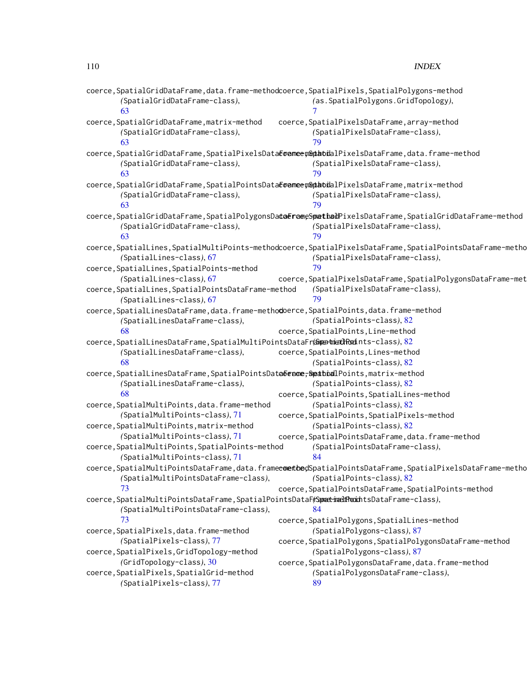| coerce, SpatialGridDataFrame, data.frame-methodcoerce, SpatialPixels, SpatialPolygons-method<br>(SpatialGridDataFrame-class),<br>63 | (as. SpatialPolygons. GridTopology),                                                                                     |
|-------------------------------------------------------------------------------------------------------------------------------------|--------------------------------------------------------------------------------------------------------------------------|
|                                                                                                                                     |                                                                                                                          |
| coerce, SpatialGridDataFrame, matrix-method<br>(SpatialGridDataFrame-class),<br>63                                                  | coerce, SpatialPixelsDataFrame, array-method<br>(SpatialPixelsDataFrame-class),<br>79                                    |
| coerce,SpatialGridDataFrame,SpatialPixelsDataEoanneenGptabialPixelsDataFrame,data.frame-method                                      |                                                                                                                          |
| (SpatialGridDataFrame-class),<br>63                                                                                                 | (SpatialPixelsDataFrame-class),<br>79                                                                                    |
| coerce,SpatialGridDataFrame,SpatialPointsDataEoameem&ptabialPixelsDataFrame,matrix-method                                           |                                                                                                                          |
| (SpatialGridDataFrame-class),<br>63                                                                                                 | (SpatialPixelsDataFrame-class),<br>79                                                                                    |
|                                                                                                                                     | coerce,SpatialGridDataFrame,SpatialPolygonsDa <b>taerae</b> eS <b>pathad</b> PixelsDataFrame,SpatialGridDataFrame-method |
| (SpatialGridDataFrame-class),<br>63                                                                                                 | (SpatialPixelsDataFrame-class),<br>79                                                                                    |
|                                                                                                                                     | coerce, SpatialLines, SpatialMultiPoints-methodcoerce, SpatialPixelsDataFrame, SpatialPointsDataFrame-metho              |
| (SpatialLines-class), 67                                                                                                            | (SpatialPixelsDataFrame-class),                                                                                          |
| coerce, SpatialLines, SpatialPoints-method                                                                                          | 79                                                                                                                       |
| (SpatialLines-class), 67                                                                                                            | coerce, SpatialPixelsDataFrame, SpatialPolygonsDataFrame-met                                                             |
| coerce, SpatialLines, SpatialPointsDataFrame-method                                                                                 | (SpatialPixelsDataFrame-class),                                                                                          |
| (SpatialLines-class), 67                                                                                                            | 79                                                                                                                       |
| coerce,SpatialLinesDataFrame,data.frame-methodoerce,SpatialPoints,data.frame-method                                                 |                                                                                                                          |
| (SpatialLinesDataFrame-class),                                                                                                      | (SpatialPoints-class), 82                                                                                                |
| 68                                                                                                                                  | coerce, SpatialPoints, Line-method                                                                                       |
| coerce,SpatialLinesDataFrame,SpatialMultiPointsDataFr@matmethRodnts-class),82                                                       |                                                                                                                          |
| (SpatialLinesDataFrame-class),                                                                                                      | coerce, SpatialPoints, Lines-method                                                                                      |
| 68                                                                                                                                  | (SpatialPoints-class), 82                                                                                                |
|                                                                                                                                     |                                                                                                                          |
| coerce,SpatialLinesDataFrame,SpatialPointsDatebename <del>,Spathoal</del> Points,matrix-method                                      | (SpatialPoints-class), 82                                                                                                |
| (SpatialLinesDataFrame-class),<br>68                                                                                                |                                                                                                                          |
|                                                                                                                                     | coerce, SpatialPoints, SpatialLines-method                                                                               |
| coerce, SpatialMultiPoints, data.frame-method                                                                                       | (SpatialPoints-class), 82                                                                                                |
| (SpatialMultiPoints-class), 71                                                                                                      | coerce, SpatialPoints, SpatialPixels-method                                                                              |
| coerce, SpatialMultiPoints, matrix-method                                                                                           | (SpatialPoints-class), 82                                                                                                |
| (SpatialMultiPoints-class), 71                                                                                                      | coerce, SpatialPointsDataFrame, data.frame-method                                                                        |
| coerce, SpatialMultiPoints, SpatialPoints-method                                                                                    | (SpatialPointsDataFrame-class),                                                                                          |
| (SpatialMultiPoints-class), 71                                                                                                      | 84                                                                                                                       |
|                                                                                                                                     | coerce,SpatialMultiPointsDataFrame,data.frameeomethodSpatialPointsDataFrame,SpatialPixelsDataFrame-metho                 |
| (SpatialMultiPointsDataFrame-class),                                                                                                | (SpatialPoints-class), 82                                                                                                |
| 73                                                                                                                                  | coerce, SpatialPointsDataFrame, SpatialPoints-method                                                                     |
| coerce, SpatialMultiPointsDataFrame, SpatialPointsDataF(SametimeltPromintsDataFrame-class),                                         |                                                                                                                          |
| (SpatialMultiPointsDataFrame-class),                                                                                                | 84                                                                                                                       |
| 73                                                                                                                                  | coerce, SpatialPolygons, SpatialLines-method                                                                             |
| coerce, SpatialPixels, data.frame-method                                                                                            | (SpatialPolygons-class), 87                                                                                              |
| (SpatialPixels-class), 77                                                                                                           | coerce, SpatialPolygons, SpatialPolygonsDataFrame-method                                                                 |
| coerce, SpatialPixels, GridTopology-method                                                                                          | (SpatialPolygons-class), 87                                                                                              |
| (GridTopology-class), 30                                                                                                            | coerce, SpatialPolygonsDataFrame, data.frame-method                                                                      |
| coerce, SpatialPixels, SpatialGrid-method                                                                                           | (SpatialPolygonsDataFrame-class),                                                                                        |
| (SpatialPixels-class), 77                                                                                                           | 89                                                                                                                       |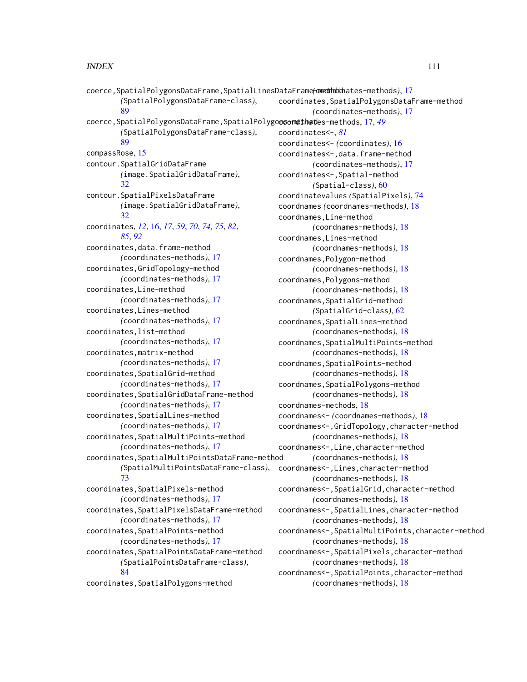coerce,SpatialPolygonsDataFrame,SpatialLinesDataFrame-method *(*coordinates-methods*)*, [17](#page-16-0) *(*SpatialPolygonsDataFrame-class*)*, [89](#page-88-0) coerce, SpatialPolygonsDataFrame, SpatialPolygocsomethates-methods, [17,](#page-16-0) [49](#page-48-0) *(*SpatialPolygonsDataFrame-class*)*, [89](#page-88-0) compassRose, [15](#page-14-0) contour.SpatialGridDataFrame *(*image.SpatialGridDataFrame*)*, [32](#page-31-0) contour.SpatialPixelsDataFrame *(*image.SpatialGridDataFrame*)*, [32](#page-31-0) coordinates, *[12](#page-11-0)*, [16,](#page-15-0) *[17](#page-16-0)*, *[59](#page-58-0)*, *[70](#page-69-0)*, *[74,](#page-73-0) [75](#page-74-0)*, *[82](#page-81-0)*, *[85](#page-84-0)*, *[92](#page-91-0)* coordinates,data.frame-method *(*coordinates-methods*)*, [17](#page-16-0) coordinates,GridTopology-method *(*coordinates-methods*)*, [17](#page-16-0) coordinates,Line-method *(*coordinates-methods*)*, [17](#page-16-0) coordinates,Lines-method *(*coordinates-methods*)*, [17](#page-16-0) coordinates,list-method *(*coordinates-methods*)*, [17](#page-16-0) coordinates,matrix-method *(*coordinates-methods*)*, [17](#page-16-0) coordinates,SpatialGrid-method *(*coordinates-methods*)*, [17](#page-16-0) coordinates,SpatialGridDataFrame-method *(*coordinates-methods*)*, [17](#page-16-0) coordinates,SpatialLines-method *(*coordinates-methods*)*, [17](#page-16-0) coordinates,SpatialMultiPoints-method *(*coordinates-methods*)*, [17](#page-16-0) coordinates,SpatialMultiPointsDataFrame-method *(*SpatialMultiPointsDataFrame-class*)*, [73](#page-72-0) coordinates,SpatialPixels-method *(*coordinates-methods*)*, [17](#page-16-0) coordinates,SpatialPixelsDataFrame-method *(*coordinates-methods*)*, [17](#page-16-0) coordinates,SpatialPoints-method *(*coordinates-methods*)*, [17](#page-16-0) coordinates,SpatialPointsDataFrame-method *(*SpatialPointsDataFrame-class*)*, [84](#page-83-0) coordinates,SpatialPolygons-method coordinates,SpatialPolygonsDataFrame-method *(*coordinates-methods*)*, [17](#page-16-0) coordinates<-, *[81](#page-80-0)* coordinates<- *(*coordinates*)*, [16](#page-15-0) coordinates<-,data.frame-method *(*coordinates-methods*)*, [17](#page-16-0) coordinates<-,Spatial-method *(*Spatial-class*)*, [60](#page-59-0) coordinatevalues *(*SpatialPixels*)*, [74](#page-73-0) coordnames *(*coordnames-methods*)*, [18](#page-17-0) coordnames,Line-method *(*coordnames-methods*)*, [18](#page-17-0) coordnames,Lines-method *(*coordnames-methods*)*, [18](#page-17-0) coordnames,Polygon-method *(*coordnames-methods*)*, [18](#page-17-0) coordnames,Polygons-method *(*coordnames-methods*)*, [18](#page-17-0) coordnames, SpatialGrid-method *(*SpatialGrid-class*)*, [62](#page-61-0) coordnames, SpatialLines-method *(*coordnames-methods*)*, [18](#page-17-0) coordnames,SpatialMultiPoints-method *(*coordnames-methods*)*, [18](#page-17-0) coordnames, SpatialPoints-method *(*coordnames-methods*)*, [18](#page-17-0) coordnames, SpatialPolygons-method *(*coordnames-methods*)*, [18](#page-17-0) coordnames-methods, [18](#page-17-0) coordnames<- *(*coordnames-methods*)*, [18](#page-17-0) coordnames<-,GridTopology,character-method *(*coordnames-methods*)*, [18](#page-17-0) coordnames<-,Line,character-method *(*coordnames-methods*)*, [18](#page-17-0) coordnames<-,Lines,character-method *(*coordnames-methods*)*, [18](#page-17-0) coordnames<-,SpatialGrid,character-method *(*coordnames-methods*)*, [18](#page-17-0) coordnames<-,SpatialLines,character-method *(*coordnames-methods*)*, [18](#page-17-0) coordnames<-,SpatialMultiPoints,character-method *(*coordnames-methods*)*, [18](#page-17-0) coordnames<-,SpatialPixels,character-method *(*coordnames-methods*)*, [18](#page-17-0) coordnames<-,SpatialPoints,character-method *(*coordnames-methods*)*, [18](#page-17-0)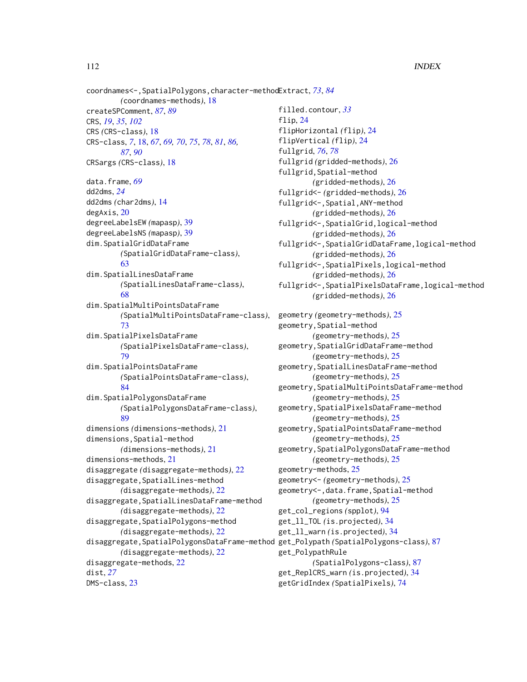coordnames<-,SpatialPolygons,character-method Extract, *[73](#page-72-0)*, *[84](#page-83-0) (*coordnames-methods*)*, [18](#page-17-0) createSPComment, *[87](#page-86-0)*, *[89](#page-88-0)* CRS, *[19](#page-18-0)*, *[35](#page-34-0)*, *[102](#page-101-0)* CRS *(*CRS-class*)*, [18](#page-17-0) CRS-class, *[7](#page-6-0)*, [18,](#page-17-0) *[67](#page-66-0)*, *[69,](#page-68-0) [70](#page-69-0)*, *[75](#page-74-0)*, *[78](#page-77-0)*, *[81](#page-80-0)*, *[86,](#page-85-0) [87](#page-86-0)*, *[90](#page-89-0)* CRSargs *(*CRS-class*)*, [18](#page-17-0) data.frame, *[69](#page-68-0)* dd2dms, *[24](#page-23-0)* dd2dms *(*char2dms*)*, [14](#page-13-0) degAxis, [20](#page-19-0) degreeLabelsEW *(*mapasp*)*, [39](#page-38-0) degreeLabelsNS *(*mapasp*)*, [39](#page-38-0) dim.SpatialGridDataFrame *(*SpatialGridDataFrame-class*)*, [63](#page-62-0) dim.SpatialLinesDataFrame *(*SpatialLinesDataFrame-class*)*, [68](#page-67-0) dim.SpatialMultiPointsDataFrame *(*SpatialMultiPointsDataFrame-class*)*, [73](#page-72-0) dim.SpatialPixelsDataFrame *(*SpatialPixelsDataFrame-class*)*, [79](#page-78-0) dim.SpatialPointsDataFrame *(*SpatialPointsDataFrame-class*)*, [84](#page-83-0) dim.SpatialPolygonsDataFrame *(*SpatialPolygonsDataFrame-class*)*, [89](#page-88-0) dimensions *(*dimensions-methods*)*, [21](#page-20-0) dimensions,Spatial-method *(*dimensions-methods*)*, [21](#page-20-0) dimensions-methods, [21](#page-20-0) disaggregate *(*disaggregate-methods*)*, [22](#page-21-0) disaggregate,SpatialLines-method *(*disaggregate-methods*)*, [22](#page-21-0) disaggregate,SpatialLinesDataFrame-method *(*disaggregate-methods*)*, [22](#page-21-0) disaggregate,SpatialPolygons-method *(*disaggregate-methods*)*, [22](#page-21-0) disaggregate,SpatialPolygonsDataFrame-method get\_Polypath *(*SpatialPolygons-class*)*, [87](#page-86-0) *(*disaggregate-methods*)*, [22](#page-21-0) disaggregate-methods, [22](#page-21-0) dist, *[27](#page-26-0)* DMS-class, [23](#page-22-0)

filled.contour, *[33](#page-32-0)* flip, [24](#page-23-0) flipHorizontal *(*flip*)*, [24](#page-23-0) flipVertical *(*flip*)*, [24](#page-23-0) fullgrid, *[76](#page-75-0)*, *[78](#page-77-0)* fullgrid *(*gridded-methods*)*, [26](#page-25-0) fullgrid,Spatial-method *(*gridded-methods*)*, [26](#page-25-0) fullgrid<- *(*gridded-methods*)*, [26](#page-25-0) fullgrid<-,Spatial,ANY-method *(*gridded-methods*)*, [26](#page-25-0) fullgrid<-,SpatialGrid,logical-method *(*gridded-methods*)*, [26](#page-25-0) fullgrid<-,SpatialGridDataFrame,logical-method *(*gridded-methods*)*, [26](#page-25-0) fullgrid<-,SpatialPixels,logical-method *(*gridded-methods*)*, [26](#page-25-0) fullgrid<-,SpatialPixelsDataFrame,logical-method *(*gridded-methods*)*, [26](#page-25-0) geometry *(*geometry-methods*)*, [25](#page-24-0) geometry,Spatial-method *(*geometry-methods*)*, [25](#page-24-0) geometry,SpatialGridDataFrame-method *(*geometry-methods*)*, [25](#page-24-0) geometry,SpatialLinesDataFrame-method *(*geometry-methods*)*, [25](#page-24-0) geometry,SpatialMultiPointsDataFrame-method *(*geometry-methods*)*, [25](#page-24-0) geometry,SpatialPixelsDataFrame-method *(*geometry-methods*)*, [25](#page-24-0) geometry,SpatialPointsDataFrame-method *(*geometry-methods*)*, [25](#page-24-0) geometry,SpatialPolygonsDataFrame-method *(*geometry-methods*)*, [25](#page-24-0) geometry-methods, [25](#page-24-0) geometry<- *(*geometry-methods*)*, [25](#page-24-0) geometry<-,data.frame,Spatial-method *(*geometry-methods*)*, [25](#page-24-0) get\_col\_regions *(*spplot*)*, [94](#page-93-0) get\_ll\_TOL *(*is.projected*)*, [34](#page-33-0) get\_ll\_warn *(*is.projected*)*, [34](#page-33-0) get\_PolypathRule *(*SpatialPolygons-class*)*, [87](#page-86-0) get\_ReplCRS\_warn *(*is.projected*)*, [34](#page-33-0) getGridIndex *(*SpatialPixels*)*, [74](#page-73-0)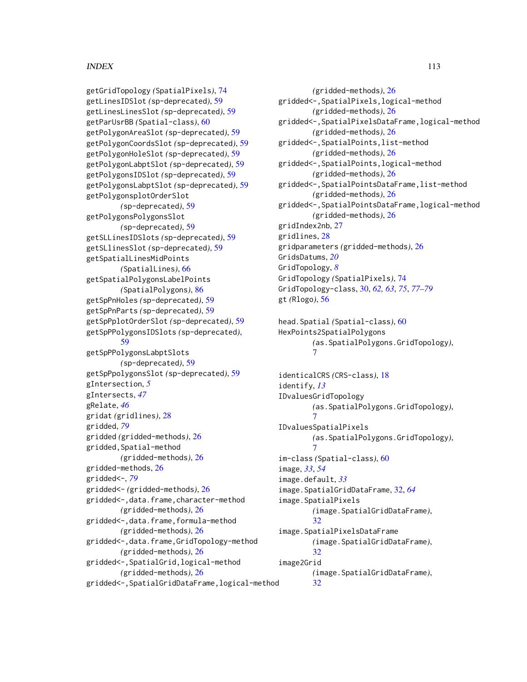getGridTopology *(*SpatialPixels*)*, [74](#page-73-0) getLinesIDSlot *(*sp-deprecated*)*, [59](#page-58-0) getLinesLinesSlot *(*sp-deprecated*)*, [59](#page-58-0) getParUsrBB *(*Spatial-class*)*, [60](#page-59-0) getPolygonAreaSlot *(*sp-deprecated*)*, [59](#page-58-0) getPolygonCoordsSlot *(*sp-deprecated*)*, [59](#page-58-0) getPolygonHoleSlot *(*sp-deprecated*)*, [59](#page-58-0) getPolygonLabptSlot *(*sp-deprecated*)*, [59](#page-58-0) getPolygonsIDSlot *(*sp-deprecated*)*, [59](#page-58-0) getPolygonsLabptSlot *(*sp-deprecated*)*, [59](#page-58-0) getPolygonsplotOrderSlot *(*sp-deprecated*)*, [59](#page-58-0) getPolygonsPolygonsSlot *(*sp-deprecated*)*, [59](#page-58-0) getSLLinesIDSlots *(*sp-deprecated*)*, [59](#page-58-0) getSLlinesSlot *(*sp-deprecated*)*, [59](#page-58-0) getSpatialLinesMidPoints *(*SpatialLines*)*, [66](#page-65-0) getSpatialPolygonsLabelPoints *(*SpatialPolygons*)*, [86](#page-85-0) getSpPnHoles *(*sp-deprecated*)*, [59](#page-58-0) getSpPnParts *(*sp-deprecated*)*, [59](#page-58-0) getSpPplotOrderSlot *(*sp-deprecated*)*, [59](#page-58-0) getSpPPolygonsIDSlots *(*sp-deprecated*)*, [59](#page-58-0) getSpPPolygonsLabptSlots *(*sp-deprecated*)*, [59](#page-58-0) getSpPpolygonsSlot *(*sp-deprecated*)*, [59](#page-58-0) gIntersection, *[5](#page-4-0)* gIntersects, *[47](#page-46-0)* gRelate, *[46](#page-45-0)* gridat *(*gridlines*)*, [28](#page-27-0) gridded, *[79](#page-78-0)* gridded *(*gridded-methods*)*, [26](#page-25-0) gridded,Spatial-method *(*gridded-methods*)*, [26](#page-25-0) gridded-methods, [26](#page-25-0) gridded<-, *[79](#page-78-0)* gridded<- *(*gridded-methods*)*, [26](#page-25-0) gridded<-,data.frame,character-method *(*gridded-methods*)*, [26](#page-25-0) gridded<-,data.frame,formula-method *(*gridded-methods*)*, [26](#page-25-0) gridded<-,data.frame,GridTopology-method *(*gridded-methods*)*, [26](#page-25-0) gridded<-,SpatialGrid,logical-method *(*gridded-methods*)*, [26](#page-25-0)

gridded<-,SpatialGridDataFrame,logical-method

*(*gridded-methods*)*, [26](#page-25-0) gridded<-,SpatialPixels,logical-method *(*gridded-methods*)*, [26](#page-25-0) gridded<-,SpatialPixelsDataFrame,logical-method *(*gridded-methods*)*, [26](#page-25-0) gridded<-,SpatialPoints,list-method *(*gridded-methods*)*, [26](#page-25-0) gridded<-,SpatialPoints,logical-method *(*gridded-methods*)*, [26](#page-25-0) gridded<-,SpatialPointsDataFrame,list-method *(*gridded-methods*)*, [26](#page-25-0) gridded<-,SpatialPointsDataFrame,logical-method *(*gridded-methods*)*, [26](#page-25-0) gridIndex2nb, [27](#page-26-0) gridlines, [28](#page-27-0) gridparameters *(*gridded-methods*)*, [26](#page-25-0) GridsDatums, *[20](#page-19-0)* GridTopology, *[8](#page-7-0)* GridTopology *(*SpatialPixels*)*, [74](#page-73-0) GridTopology-class, [30,](#page-29-0) *[62,](#page-61-0) [63](#page-62-0)*, *[75](#page-74-0)*, *[77](#page-76-0)[–79](#page-78-0)* gt *(*Rlogo*)*, [56](#page-55-0)

```
head.Spatial (Spatial-class), 60
HexPoints2SpatialPolygons
        (as.SpatialPolygons.GridTopology),
        7
```
identicalCRS *(*CRS-class*)*, [18](#page-17-0) identify, *[13](#page-12-0)* IDvaluesGridTopology *(*as.SpatialPolygons.GridTopology*)*, [7](#page-6-0) IDvaluesSpatialPixels *(*as.SpatialPolygons.GridTopology*)*, [7](#page-6-0) im-class *(*Spatial-class*)*, [60](#page-59-0) image, *[33](#page-32-0)*, *[54](#page-53-0)* image.default, *[33](#page-32-0)* image.SpatialGridDataFrame, [32,](#page-31-0) *[64](#page-63-0)* image.SpatialPixels *(*image.SpatialGridDataFrame*)*, [32](#page-31-0) image.SpatialPixelsDataFrame *(*image.SpatialGridDataFrame*)*, [32](#page-31-0) image2Grid *(*image.SpatialGridDataFrame*)*, [32](#page-31-0)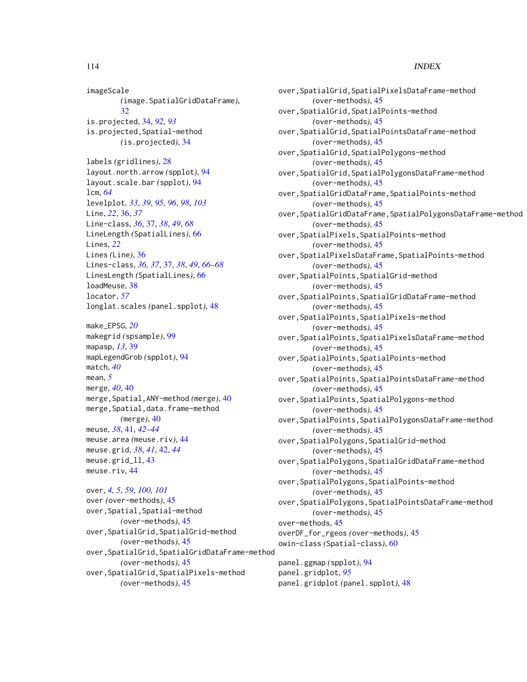imageScale *(*image.SpatialGridDataFrame*)*, [32](#page-31-0) is.projected, [34,](#page-33-0) *[92,](#page-91-0) [93](#page-92-0)* is.projected,Spatial-method *(*is.projected*)*, [34](#page-33-0) labels *(*gridlines*)*, [28](#page-27-0) layout.north.arrow *(*spplot*)*, [94](#page-93-0) layout.scale.bar *(*spplot*)*, [94](#page-93-0) lcm, *[64](#page-63-0)* levelplot, *[33](#page-32-0)*, *[39](#page-38-0)*, *[95,](#page-94-0) [96](#page-95-0)*, *[98](#page-97-0)*, *[103](#page-102-0)* Line, *[22](#page-21-0)*, [36,](#page-35-0) *[37](#page-36-0)* Line-class, *[36](#page-35-0)*, [37,](#page-36-0) *[38](#page-37-0)*, *[49](#page-48-0)*, *[68](#page-67-0)* LineLength *(*SpatialLines*)*, [66](#page-65-0) Lines, *[22](#page-21-0)*

Lines *(*Line*)*, [36](#page-35-0) Lines-class, *[36,](#page-35-0) [37](#page-36-0)*, [37,](#page-36-0) *[38](#page-37-0)*, *[49](#page-48-0)*, *[66–](#page-65-0)[68](#page-67-0)* LinesLength *(*SpatialLines*)*, [66](#page-65-0) loadMeuse, [38](#page-37-0) locator, *[57](#page-56-0)* longlat.scales *(*panel.spplot*)*, [48](#page-47-0)

make\_EPSG, *[20](#page-19-0)* makegrid *(*spsample*)*, [99](#page-98-0) mapasp, *[13](#page-12-0)*, [39](#page-38-0) mapLegendGrob *(*spplot*)*, [94](#page-93-0) match, *[40](#page-39-0)* mean, *[5](#page-4-0)* merge, *[40](#page-39-0)*, [40](#page-39-0) merge,Spatial,ANY-method *(*merge*)*, [40](#page-39-0) merge,Spatial,data.frame-method *(*merge*)*, [40](#page-39-0) meuse, *[38](#page-37-0)*, [41,](#page-40-0) *[42](#page-41-0)[–44](#page-43-0)* meuse.area *(*meuse.riv*)*, [44](#page-43-0) meuse.grid, *[38](#page-37-0)*, *[41](#page-40-0)*, [42,](#page-41-0) *[44](#page-43-0)* meuse.grid\_ll, [43](#page-42-0) meuse.riv, [44](#page-43-0)

```
over, 4, 5, 59, 100, 101
over (over-methods), 45
over,Spatial,Spatial-method
        (over-methods), 45
over,SpatialGrid,SpatialGrid-method
        (over-methods), 45
over,SpatialGrid,SpatialGridDataFrame-method
        (over-methods), 45
over,SpatialGrid,SpatialPixels-method
        (over-methods), 45
```
over,SpatialGrid,SpatialPixelsDataFrame-method *(*over-methods*)*, [45](#page-44-0) over,SpatialGrid,SpatialPoints-method *(*over-methods*)*, [45](#page-44-0) over,SpatialGrid,SpatialPointsDataFrame-method *(*over-methods*)*, [45](#page-44-0) over,SpatialGrid,SpatialPolygons-method *(*over-methods*)*, [45](#page-44-0) over,SpatialGrid,SpatialPolygonsDataFrame-method *(*over-methods*)*, [45](#page-44-0) over,SpatialGridDataFrame,SpatialPoints-method *(*over-methods*)*, [45](#page-44-0) over,SpatialGridDataFrame,SpatialPolygonsDataFrame-method *(*over-methods*)*, [45](#page-44-0) over,SpatialPixels,SpatialPoints-method *(*over-methods*)*, [45](#page-44-0) over,SpatialPixelsDataFrame,SpatialPoints-method *(*over-methods*)*, [45](#page-44-0) over,SpatialPoints,SpatialGrid-method *(*over-methods*)*, [45](#page-44-0) over,SpatialPoints,SpatialGridDataFrame-method *(*over-methods*)*, [45](#page-44-0) over,SpatialPoints,SpatialPixels-method *(*over-methods*)*, [45](#page-44-0) over,SpatialPoints,SpatialPixelsDataFrame-method *(*over-methods*)*, [45](#page-44-0) over,SpatialPoints,SpatialPoints-method *(*over-methods*)*, [45](#page-44-0) over,SpatialPoints,SpatialPointsDataFrame-method *(*over-methods*)*, [45](#page-44-0) over,SpatialPoints,SpatialPolygons-method *(*over-methods*)*, [45](#page-44-0) over,SpatialPoints,SpatialPolygonsDataFrame-method *(*over-methods*)*, [45](#page-44-0) over,SpatialPolygons,SpatialGrid-method *(*over-methods*)*, [45](#page-44-0) over,SpatialPolygons,SpatialGridDataFrame-method *(*over-methods*)*, [45](#page-44-0) over,SpatialPolygons,SpatialPoints-method *(*over-methods*)*, [45](#page-44-0) over,SpatialPolygons,SpatialPointsDataFrame-method *(*over-methods*)*, [45](#page-44-0) over-methods, [45](#page-44-0) overDF\_for\_rgeos *(*over-methods*)*, [45](#page-44-0) owin-class *(*Spatial-class*)*, [60](#page-59-0) panel.ggmap *(*spplot*)*, [94](#page-93-0) panel.gridplot, *[95](#page-94-0)*

panel.gridplot *(*panel.spplot*)*, [48](#page-47-0)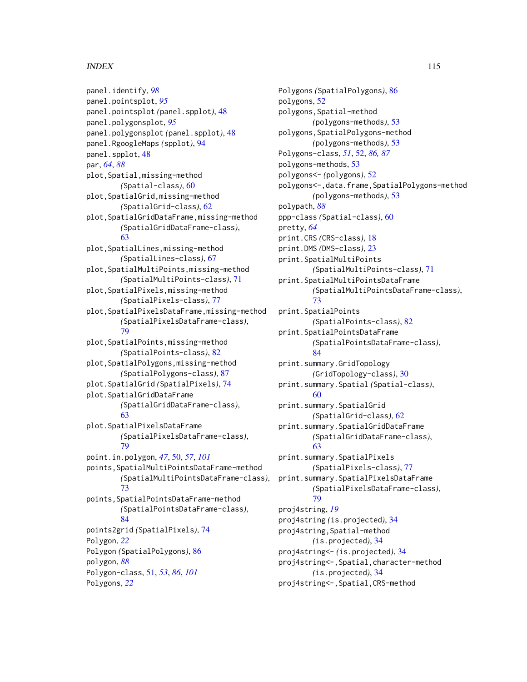panel.identify, *[98](#page-97-0)* panel.pointsplot, *[95](#page-94-0)* panel.pointsplot *(*panel.spplot*)*, [48](#page-47-0) panel.polygonsplot, *[95](#page-94-0)* panel.polygonsplot *(*panel.spplot*)*, [48](#page-47-0) panel.RgoogleMaps *(*spplot*)*, [94](#page-93-0) panel.spplot, [48](#page-47-0) par, *[64](#page-63-0)*, *[88](#page-87-0)* plot,Spatial,missing-method *(*Spatial-class*)*, [60](#page-59-0) plot,SpatialGrid,missing-method *(*SpatialGrid-class*)*, [62](#page-61-0) plot,SpatialGridDataFrame,missing-method *(*SpatialGridDataFrame-class*)*, [63](#page-62-0) plot,SpatialLines,missing-method *(*SpatialLines-class*)*, [67](#page-66-0) plot,SpatialMultiPoints,missing-method *(*SpatialMultiPoints-class*)*, [71](#page-70-0) plot,SpatialPixels,missing-method *(*SpatialPixels-class*)*, [77](#page-76-0) plot,SpatialPixelsDataFrame,missing-method *(*SpatialPixelsDataFrame-class*)*, [79](#page-78-0) plot,SpatialPoints,missing-method *(*SpatialPoints-class*)*, [82](#page-81-0) plot,SpatialPolygons,missing-method *(*SpatialPolygons-class*)*, [87](#page-86-0) plot.SpatialGrid *(*SpatialPixels*)*, [74](#page-73-0) plot.SpatialGridDataFrame *(*SpatialGridDataFrame-class*)*, [63](#page-62-0) plot.SpatialPixelsDataFrame *(*SpatialPixelsDataFrame-class*)*, [79](#page-78-0) point.in.polygon, *[47](#page-46-0)*, [50,](#page-49-0) *[57](#page-56-0)*, *[101](#page-100-0)* points,SpatialMultiPointsDataFrame-method *(*SpatialMultiPointsDataFrame-class*)*, [73](#page-72-0) points,SpatialPointsDataFrame-method *(*SpatialPointsDataFrame-class*)*, [84](#page-83-0) points2grid *(*SpatialPixels*)*, [74](#page-73-0) Polygon, *[22](#page-21-0)* Polygon *(*SpatialPolygons*)*, [86](#page-85-0) polygon, *[88](#page-87-0)* Polygon-class, [51,](#page-50-0) *[53](#page-52-0)*, *[86](#page-85-0)*, *[101](#page-100-0)* Polygons, *[22](#page-21-0)*

Polygons *(*SpatialPolygons*)*, [86](#page-85-0) polygons, [52](#page-51-0) polygons,Spatial-method *(*polygons-methods*)*, [53](#page-52-0) polygons,SpatialPolygons-method *(*polygons-methods*)*, [53](#page-52-0) Polygons-class, *[51](#page-50-0)*, [52,](#page-51-0) *[86,](#page-85-0) [87](#page-86-0)* polygons-methods, [53](#page-52-0) polygons<- *(*polygons*)*, [52](#page-51-0) polygons<-,data.frame,SpatialPolygons-method *(*polygons-methods*)*, [53](#page-52-0) polypath, *[88](#page-87-0)* ppp-class *(*Spatial-class*)*, [60](#page-59-0) pretty, *[64](#page-63-0)* print.CRS *(*CRS-class*)*, [18](#page-17-0) print.DMS *(*DMS-class*)*, [23](#page-22-0) print.SpatialMultiPoints *(*SpatialMultiPoints-class*)*, [71](#page-70-0) print.SpatialMultiPointsDataFrame *(*SpatialMultiPointsDataFrame-class*)*, [73](#page-72-0) print.SpatialPoints *(*SpatialPoints-class*)*, [82](#page-81-0) print.SpatialPointsDataFrame *(*SpatialPointsDataFrame-class*)*, [84](#page-83-0) print.summary.GridTopology *(*GridTopology-class*)*, [30](#page-29-0) print.summary.Spatial *(*Spatial-class*)*, [60](#page-59-0) print.summary.SpatialGrid *(*SpatialGrid-class*)*, [62](#page-61-0) print.summary.SpatialGridDataFrame *(*SpatialGridDataFrame-class*)*, [63](#page-62-0) print.summary.SpatialPixels *(*SpatialPixels-class*)*, [77](#page-76-0) print.summary.SpatialPixelsDataFrame *(*SpatialPixelsDataFrame-class*)*, [79](#page-78-0) proj4string, *[19](#page-18-0)* proj4string *(*is.projected*)*, [34](#page-33-0) proj4string,Spatial-method *(*is.projected*)*, [34](#page-33-0) proj4string<- *(*is.projected*)*, [34](#page-33-0) proj4string<-,Spatial,character-method *(*is.projected*)*, [34](#page-33-0) proj4string<-,Spatial,CRS-method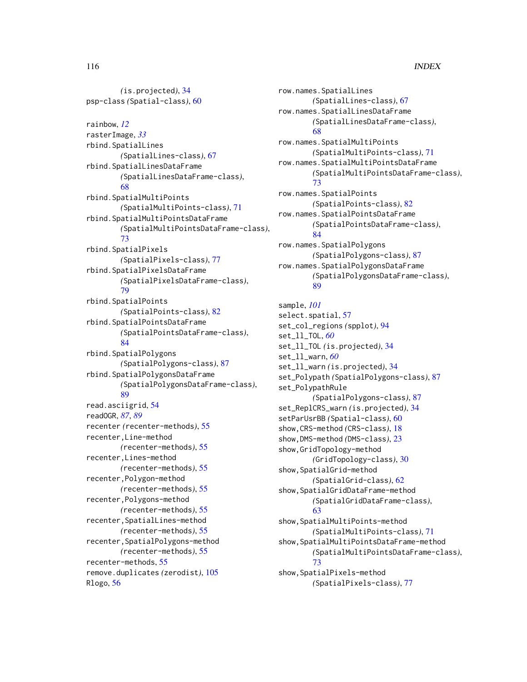*(*is.projected*)*, [34](#page-33-0) psp-class *(*Spatial-class*)*, [60](#page-59-0) rainbow, *[12](#page-11-0)* rasterImage, *[33](#page-32-0)* rbind.SpatialLines *(*SpatialLines-class*)*, [67](#page-66-0) rbind.SpatialLinesDataFrame *(*SpatialLinesDataFrame-class*)*, [68](#page-67-0) rbind.SpatialMultiPoints *(*SpatialMultiPoints-class*)*, [71](#page-70-0) rbind.SpatialMultiPointsDataFrame *(*SpatialMultiPointsDataFrame-class*)*, [73](#page-72-0) rbind.SpatialPixels *(*SpatialPixels-class*)*, [77](#page-76-0) rbind.SpatialPixelsDataFrame *(*SpatialPixelsDataFrame-class*)*, [79](#page-78-0) rbind.SpatialPoints *(*SpatialPoints-class*)*, [82](#page-81-0) rbind.SpatialPointsDataFrame *(*SpatialPointsDataFrame-class*)*, [84](#page-83-0) rbind.SpatialPolygons *(*SpatialPolygons-class*)*, [87](#page-86-0) rbind.SpatialPolygonsDataFrame *(*SpatialPolygonsDataFrame-class*)*, [89](#page-88-0) read.asciigrid, [54](#page-53-0) readOGR, *[87](#page-86-0)*, *[89](#page-88-0)* recenter *(*recenter-methods*)*, [55](#page-54-0) recenter,Line-method *(*recenter-methods*)*, [55](#page-54-0) recenter,Lines-method *(*recenter-methods*)*, [55](#page-54-0) recenter,Polygon-method *(*recenter-methods*)*, [55](#page-54-0) recenter,Polygons-method *(*recenter-methods*)*, [55](#page-54-0) recenter,SpatialLines-method *(*recenter-methods*)*, [55](#page-54-0) recenter,SpatialPolygons-method *(*recenter-methods*)*, [55](#page-54-0) recenter-methods, [55](#page-54-0) remove.duplicates *(*zerodist*)*, [105](#page-104-0) Rlogo, [56](#page-55-0)

row.names.SpatialLines *(*SpatialLines-class*)*, [67](#page-66-0) row.names.SpatialLinesDataFrame *(*SpatialLinesDataFrame-class*)*, [68](#page-67-0) row.names.SpatialMultiPoints *(*SpatialMultiPoints-class*)*, [71](#page-70-0) row.names.SpatialMultiPointsDataFrame *(*SpatialMultiPointsDataFrame-class*)*, [73](#page-72-0) row.names.SpatialPoints *(*SpatialPoints-class*)*, [82](#page-81-0) row.names.SpatialPointsDataFrame *(*SpatialPointsDataFrame-class*)*, [84](#page-83-0) row.names.SpatialPolygons *(*SpatialPolygons-class*)*, [87](#page-86-0) row.names.SpatialPolygonsDataFrame *(*SpatialPolygonsDataFrame-class*)*, [89](#page-88-0) sample, *[101](#page-100-0)* select.spatial, [57](#page-56-0) set\_col\_regions *(*spplot*)*, [94](#page-93-0) set\_ll\_TOL, *[60](#page-59-0)* set\_ll\_TOL *(*is.projected*)*, [34](#page-33-0) set\_ll\_warn, *[60](#page-59-0)* set\_ll\_warn *(*is.projected*)*, [34](#page-33-0) set\_Polypath *(*SpatialPolygons-class*)*, [87](#page-86-0) set\_PolypathRule *(*SpatialPolygons-class*)*, [87](#page-86-0) set\_ReplCRS\_warn *(*is.projected*)*, [34](#page-33-0) setParUsrBB *(*Spatial-class*)*, [60](#page-59-0) show,CRS-method *(*CRS-class*)*, [18](#page-17-0) show,DMS-method *(*DMS-class*)*, [23](#page-22-0) show,GridTopology-method *(*GridTopology-class*)*, [30](#page-29-0) show,SpatialGrid-method *(*SpatialGrid-class*)*, [62](#page-61-0) show,SpatialGridDataFrame-method *(*SpatialGridDataFrame-class*)*, [63](#page-62-0) show,SpatialMultiPoints-method *(*SpatialMultiPoints-class*)*, [71](#page-70-0) show,SpatialMultiPointsDataFrame-method *(*SpatialMultiPointsDataFrame-class*)*, [73](#page-72-0) show,SpatialPixels-method *(*SpatialPixels-class*)*, [77](#page-76-0)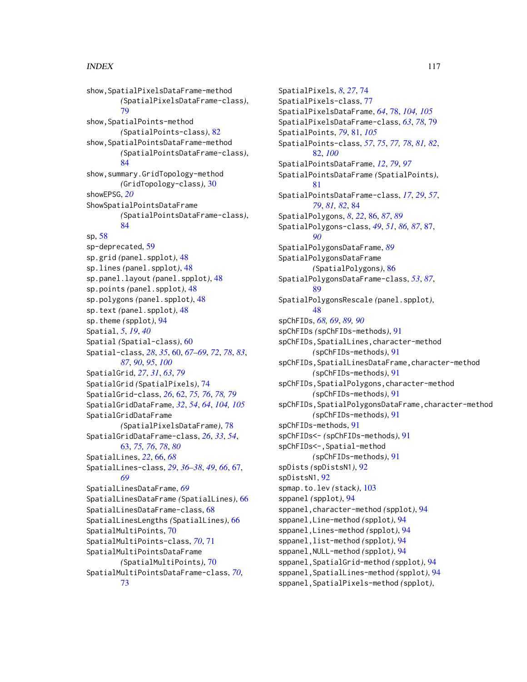show,SpatialPixelsDataFrame-method *(*SpatialPixelsDataFrame-class*)*, [79](#page-78-0) show, SpatialPoints-method *(*SpatialPoints-class*)*, [82](#page-81-0) show,SpatialPointsDataFrame-method *(*SpatialPointsDataFrame-class*)*, [84](#page-83-0) show,summary.GridTopology-method *(*GridTopology-class*)*, [30](#page-29-0) showEPSG, *[20](#page-19-0)* ShowSpatialPointsDataFrame *(*SpatialPointsDataFrame-class*)*, [84](#page-83-0) sp, [58](#page-57-0) sp-deprecated, [59](#page-58-0) sp.grid *(*panel.spplot*)*, [48](#page-47-0) sp.lines *(*panel.spplot*)*, [48](#page-47-0) sp.panel.layout *(*panel.spplot*)*, [48](#page-47-0) sp.points *(*panel.spplot*)*, [48](#page-47-0) sp.polygons *(*panel.spplot*)*, [48](#page-47-0) sp.text *(*panel.spplot*)*, [48](#page-47-0) sp.theme *(*spplot*)*, [94](#page-93-0) Spatial, *[5](#page-4-0)*, *[19](#page-18-0)*, *[40](#page-39-0)* Spatial *(*Spatial-class*)*, [60](#page-59-0) Spatial-class, *[28](#page-27-0)*, *[35](#page-34-0)*, [60,](#page-59-0) *[67–](#page-66-0)[69](#page-68-0)*, *[72](#page-71-0)*, *[78](#page-77-0)*, *[83](#page-82-0)*, *[87](#page-86-0)*, *[90](#page-89-0)*, *[95](#page-94-0)*, *[100](#page-99-0)* SpatialGrid, *[27](#page-26-0)*, *[31](#page-30-0)*, *[63](#page-62-0)*, *[79](#page-78-0)* SpatialGrid *(*SpatialPixels*)*, [74](#page-73-0) SpatialGrid-class, *[26](#page-25-0)*, [62,](#page-61-0) *[75,](#page-74-0) [76](#page-75-0)*, *[78,](#page-77-0) [79](#page-78-0)* SpatialGridDataFrame, *[32](#page-31-0)*, *[54](#page-53-0)*, *[64](#page-63-0)*, *[104,](#page-103-0) [105](#page-104-0)* SpatialGridDataFrame *(*SpatialPixelsDataFrame*)*, [78](#page-77-0) SpatialGridDataFrame-class, *[26](#page-25-0)*, *[33](#page-32-0)*, *[54](#page-53-0)*, [63,](#page-62-0) *[75,](#page-74-0) [76](#page-75-0)*, *[78](#page-77-0)*, *[80](#page-79-0)* SpatialLines, *[22](#page-21-0)*, [66,](#page-65-0) *[68](#page-67-0)* SpatialLines-class, *[29](#page-28-0)*, *[36–](#page-35-0)[38](#page-37-0)*, *[49](#page-48-0)*, *[66](#page-65-0)*, [67,](#page-66-0) *[69](#page-68-0)* SpatialLinesDataFrame, *[69](#page-68-0)* SpatialLinesDataFrame *(*SpatialLines*)*, [66](#page-65-0) SpatialLinesDataFrame-class, [68](#page-67-0) SpatialLinesLengths *(*SpatialLines*)*, [66](#page-65-0) SpatialMultiPoints, [70](#page-69-0) SpatialMultiPoints-class, *[70](#page-69-0)*, [71](#page-70-0) SpatialMultiPointsDataFrame *(*SpatialMultiPoints*)*, [70](#page-69-0) SpatialMultiPointsDataFrame-class, *[70](#page-69-0)*, [73](#page-72-0)

SpatialPixels, *[8](#page-7-0)*, *[27](#page-26-0)*, [74](#page-73-0) SpatialPixels-class, [77](#page-76-0) SpatialPixelsDataFrame, *[64](#page-63-0)*, [78,](#page-77-0) *[104,](#page-103-0) [105](#page-104-0)* SpatialPixelsDataFrame-class, *[63](#page-62-0)*, *[78](#page-77-0)*, [79](#page-78-0) SpatialPoints, *[79](#page-78-0)*, [81,](#page-80-0) *[105](#page-104-0)* SpatialPoints-class, *[57](#page-56-0)*, *[75](#page-74-0)*, *[77,](#page-76-0) [78](#page-77-0)*, *[81,](#page-80-0) [82](#page-81-0)*, [82,](#page-81-0) *[100](#page-99-0)* SpatialPointsDataFrame, *[12](#page-11-0)*, *[79](#page-78-0)*, *[97](#page-96-0)* SpatialPointsDataFrame *(*SpatialPoints*)*, [81](#page-80-0) SpatialPointsDataFrame-class, *[17](#page-16-0)*, *[29](#page-28-0)*, *[57](#page-56-0)*, *[79](#page-78-0)*, *[81,](#page-80-0) [82](#page-81-0)*, [84](#page-83-0) SpatialPolygons, *[8](#page-7-0)*, *[22](#page-21-0)*, [86,](#page-85-0) *[87](#page-86-0)*, *[89](#page-88-0)* SpatialPolygons-class, *[49](#page-48-0)*, *[51](#page-50-0)*, *[86,](#page-85-0) [87](#page-86-0)*, [87,](#page-86-0) *[90](#page-89-0)* SpatialPolygonsDataFrame, *[89](#page-88-0)* SpatialPolygonsDataFrame *(*SpatialPolygons*)*, [86](#page-85-0) SpatialPolygonsDataFrame-class, *[53](#page-52-0)*, *[87](#page-86-0)*, [89](#page-88-0) SpatialPolygonsRescale *(*panel.spplot*)*, [48](#page-47-0) spChFIDs, *[68,](#page-67-0) [69](#page-68-0)*, *[89,](#page-88-0) [90](#page-89-0)* spChFIDs *(*spChFIDs-methods*)*, [91](#page-90-0) spChFIDs,SpatialLines,character-method *(*spChFIDs-methods*)*, [91](#page-90-0) spChFIDs,SpatialLinesDataFrame,character-method *(*spChFIDs-methods*)*, [91](#page-90-0) spChFIDs,SpatialPolygons,character-method *(*spChFIDs-methods*)*, [91](#page-90-0) spChFIDs,SpatialPolygonsDataFrame,character-method *(*spChFIDs-methods*)*, [91](#page-90-0) spChFIDs-methods, [91](#page-90-0) spChFIDs<- *(*spChFIDs-methods*)*, [91](#page-90-0) spChFIDs<-,Spatial-method *(*spChFIDs-methods*)*, [91](#page-90-0) spDists *(*spDistsN1*)*, [92](#page-91-0) spDistsN1, [92](#page-91-0) spmap.to.lev *(*stack*)*, [103](#page-102-0) sppanel *(*spplot*)*, [94](#page-93-0) sppanel,character-method *(*spplot*)*, [94](#page-93-0) sppanel,Line-method *(*spplot*)*, [94](#page-93-0) sppanel,Lines-method *(*spplot*)*, [94](#page-93-0) sppanel,list-method *(*spplot*)*, [94](#page-93-0) sppanel,NULL-method *(*spplot*)*, [94](#page-93-0) sppanel,SpatialGrid-method *(*spplot*)*, [94](#page-93-0) sppanel,SpatialLines-method *(*spplot*)*, [94](#page-93-0) sppanel,SpatialPixels-method *(*spplot*)*,